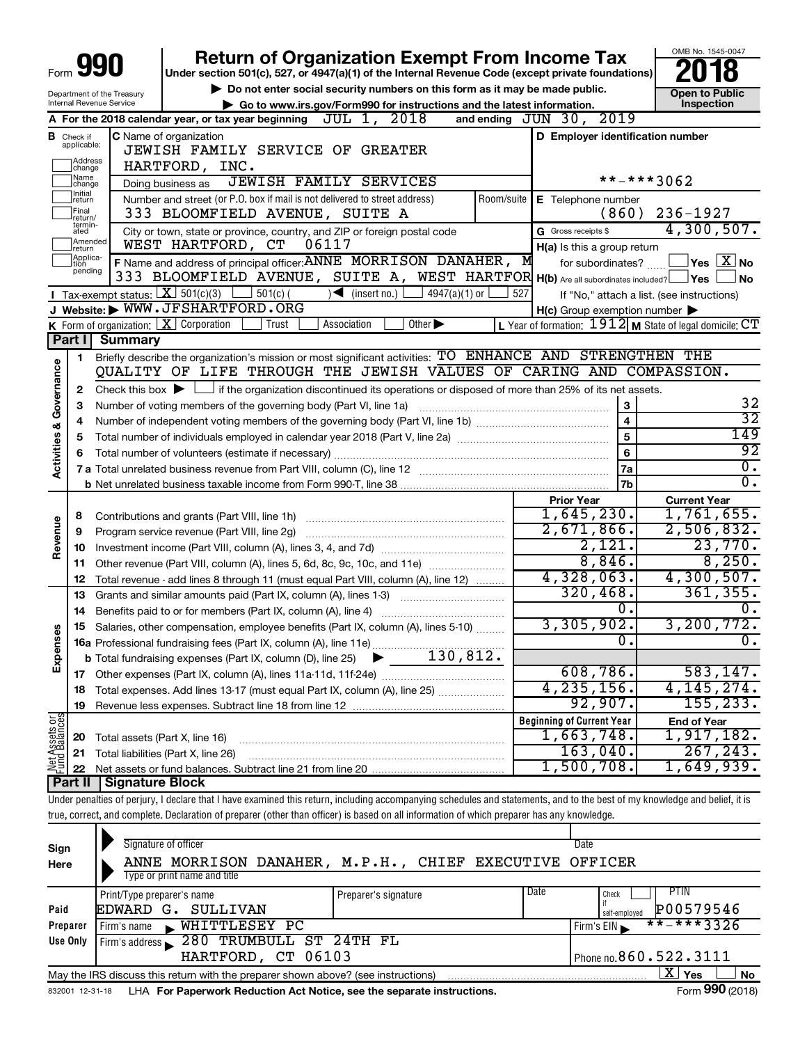|                                                        |                                                                                                                                                                               |                                                   |                                                                                                                                                                            |     |                                                     | OMB No. 1545-0047                                       |  |  |
|--------------------------------------------------------|-------------------------------------------------------------------------------------------------------------------------------------------------------------------------------|---------------------------------------------------|----------------------------------------------------------------------------------------------------------------------------------------------------------------------------|-----|-----------------------------------------------------|---------------------------------------------------------|--|--|
|                                                        |                                                                                                                                                                               |                                                   | <b>Return of Organization Exempt From Income Tax</b><br>Under section 501(c), 527, or 4947(a)(1) of the Internal Revenue Code (except private foundations)                 |     |                                                     |                                                         |  |  |
|                                                        |                                                                                                                                                                               |                                                   | Do not enter social security numbers on this form as it may be made public.                                                                                                |     |                                                     |                                                         |  |  |
| Department of the Treasury<br>Internal Revenue Service |                                                                                                                                                                               |                                                   | <b>Open to Public</b><br>Inspection<br>Go to www.irs.gov/Form990 for instructions and the latest information.                                                              |     |                                                     |                                                         |  |  |
|                                                        |                                                                                                                                                                               |                                                   | A For the 2018 calendar year, or tax year beginning $J\overline{UL}$ 1, 2018<br>and ending $JUN$ $30$ ,                                                                    |     | 2019                                                |                                                         |  |  |
|                                                        | <b>B</b> Check if                                                                                                                                                             |                                                   | <b>C</b> Name of organization                                                                                                                                              |     |                                                     | D Employer identification number                        |  |  |
|                                                        | applicable:                                                                                                                                                                   |                                                   | JEWISH FAMILY SERVICE OF GREATER                                                                                                                                           |     |                                                     |                                                         |  |  |
|                                                        | ]Address<br>]change                                                                                                                                                           |                                                   | HARTFORD, INC.                                                                                                                                                             |     |                                                     |                                                         |  |  |
|                                                        |                                                                                                                                                                               |                                                   | <b>JEWISH FAMILY SERVICES</b>                                                                                                                                              |     |                                                     | **-***3062                                              |  |  |
|                                                        | ]Name<br>]change<br>Doing business as<br>Initial<br>Number and street (or P.O. box if mail is not delivered to street address)<br>Room/suite<br>E Telephone number<br>]return |                                                   |                                                                                                                                                                            |     |                                                     |                                                         |  |  |
|                                                        | Final<br>return/                                                                                                                                                              |                                                   | 333 BLOOMFIELD AVENUE, SUITE A                                                                                                                                             |     | (860)                                               | $236 - 1927$                                            |  |  |
|                                                        | termin-<br>ated                                                                                                                                                               |                                                   | City or town, state or province, country, and ZIP or foreign postal code                                                                                                   |     | G Gross receipts \$                                 | 4,300,507.                                              |  |  |
|                                                        | Amended<br>WEST HARTFORD, CT<br>06117<br>Ireturn                                                                                                                              |                                                   |                                                                                                                                                                            |     | H(a) Is this a group return                         |                                                         |  |  |
|                                                        | Applica-<br>ltion                                                                                                                                                             |                                                   | F Name and address of principal officer: ANNE MORRISON DANAHER, M                                                                                                          |     | for subordinates?                                   | $\Box$ Yes $~\boxed{\mathrm{X}}$ No                     |  |  |
|                                                        | pending                                                                                                                                                                       |                                                   | 333 BLOOMFIELD AVENUE, SUITE A, WEST HARTFOR H(b) Are all subordinates included?   Yes                                                                                     |     |                                                     | ⊿ No                                                    |  |  |
|                                                        |                                                                                                                                                                               | Tax-exempt status: $\boxed{\textbf{X}}$ 501(c)(3) | $\sqrt{\frac{1}{1}}$ (insert no.)<br>$501(c)$ (<br>4947(a)(1) or                                                                                                           | 527 |                                                     | If "No," attach a list. (see instructions)              |  |  |
|                                                        |                                                                                                                                                                               |                                                   | J Website: WWW.JFSHARTFORD.ORG                                                                                                                                             |     | $H(c)$ Group exemption number $\blacktriangleright$ |                                                         |  |  |
|                                                        |                                                                                                                                                                               |                                                   | K Form of organization: $X$ Corporation<br>Other $\blacktriangleright$<br>Association<br>Trust                                                                             |     |                                                     | L Year of formation: 1912 M State of legal domicile: CT |  |  |
|                                                        | Part I                                                                                                                                                                        | <b>Summary</b>                                    |                                                                                                                                                                            |     |                                                     |                                                         |  |  |
|                                                        | 1                                                                                                                                                                             |                                                   | Briefly describe the organization's mission or most significant activities: TO ENHANCE AND STRENGTHEN THE                                                                  |     |                                                     |                                                         |  |  |
| Governance                                             |                                                                                                                                                                               |                                                   | QUALITY OF LIFE THROUGH THE JEWISH VALUES OF CARING AND COMPASSION.                                                                                                        |     |                                                     |                                                         |  |  |
|                                                        | 2                                                                                                                                                                             |                                                   | Check this box $\blacktriangleright$ $\Box$ if the organization discontinued its operations or disposed of more than 25% of its net assets.                                |     |                                                     |                                                         |  |  |
|                                                        | З                                                                                                                                                                             |                                                   | Number of voting members of the governing body (Part VI, line 1a)                                                                                                          |     | 3                                                   | 32                                                      |  |  |
|                                                        | 4                                                                                                                                                                             |                                                   |                                                                                                                                                                            |     | $\overline{\mathbf{4}}$                             | $\overline{32}$                                         |  |  |
| <b>Activities &amp;</b>                                | 5                                                                                                                                                                             |                                                   |                                                                                                                                                                            |     | 5                                                   | 149                                                     |  |  |
|                                                        | 6                                                                                                                                                                             |                                                   | Total number of volunteers (estimate if necessary)                                                                                                                         |     | 6                                                   | $\overline{92}$                                         |  |  |
|                                                        |                                                                                                                                                                               |                                                   |                                                                                                                                                                            |     | 7a                                                  | $\overline{0}$ .                                        |  |  |
|                                                        |                                                                                                                                                                               |                                                   |                                                                                                                                                                            |     | 7b                                                  | $\overline{0}$ .                                        |  |  |
|                                                        |                                                                                                                                                                               |                                                   |                                                                                                                                                                            |     | <b>Prior Year</b>                                   | <b>Current Year</b>                                     |  |  |
|                                                        | 8                                                                                                                                                                             |                                                   |                                                                                                                                                                            |     | 1,645,230.                                          | 1,761,655.                                              |  |  |
| Revenue                                                | 9                                                                                                                                                                             |                                                   | Program service revenue (Part VIII, line 2g)                                                                                                                               |     | 2,671,866.                                          | 2,506,832.                                              |  |  |
|                                                        | 10                                                                                                                                                                            |                                                   |                                                                                                                                                                            |     | 2,121.                                              | 23,770.                                                 |  |  |
|                                                        | 11                                                                                                                                                                            |                                                   | Other revenue (Part VIII, column (A), lines 5, 6d, 8c, 9c, 10c, and 11e)                                                                                                   |     | 8,846.                                              | 8,250.                                                  |  |  |
|                                                        | 12                                                                                                                                                                            |                                                   | Total revenue - add lines 8 through 11 (must equal Part VIII, column (A), line 12)                                                                                         |     | 4,328,063.                                          | 4,300,507.                                              |  |  |
|                                                        | 13                                                                                                                                                                            |                                                   | Grants and similar amounts paid (Part IX, column (A), lines 1-3)                                                                                                           |     | 320,468.                                            | 361, 355.                                               |  |  |
|                                                        | 14                                                                                                                                                                            |                                                   | Benefits paid to or for members (Part IX, column (A), line 4)                                                                                                              |     | Ο.                                                  | 0.                                                      |  |  |
| 3                                                      |                                                                                                                                                                               |                                                   | 15 Salaries, other compensation, employee benefits (Part IX, column (A), lines 5-10)                                                                                       |     | 3,305,902.                                          | 3, 200, 772.                                            |  |  |
|                                                        |                                                                                                                                                                               |                                                   |                                                                                                                                                                            |     | $\overline{0}$ .                                    | 0.                                                      |  |  |
| Expense                                                |                                                                                                                                                                               |                                                   |                                                                                                                                                                            |     |                                                     |                                                         |  |  |
|                                                        | 17                                                                                                                                                                            |                                                   |                                                                                                                                                                            |     | 608,786.                                            | 583, 147.                                               |  |  |
|                                                        | 18                                                                                                                                                                            |                                                   | Total expenses. Add lines 13-17 (must equal Part IX, column (A), line 25)                                                                                                  |     | 4, 235, 156.<br>92,907.                             | 4, 145, 274.<br>155, 233.                               |  |  |
|                                                        | 19                                                                                                                                                                            |                                                   |                                                                                                                                                                            |     |                                                     |                                                         |  |  |
| Net Assets or                                          |                                                                                                                                                                               |                                                   |                                                                                                                                                                            |     | <b>Beginning of Current Year</b><br>1,663,748.      | <b>End of Year</b><br>1,917,182.                        |  |  |
|                                                        | 20                                                                                                                                                                            | Total assets (Part X, line 16)                    |                                                                                                                                                                            |     | 163,040.                                            | 267, 243.                                               |  |  |
|                                                        | 21                                                                                                                                                                            |                                                   | Total liabilities (Part X, line 26)                                                                                                                                        |     | 1,500,708.                                          | 1,649,939.                                              |  |  |
|                                                        | 22<br>Part II                                                                                                                                                                 | <b>Signature Block</b>                            |                                                                                                                                                                            |     |                                                     |                                                         |  |  |
|                                                        |                                                                                                                                                                               |                                                   | Under penalties of perjury, I declare that I have examined this return, including accompanying schedules and statements, and to the best of my knowledge and belief, it is |     |                                                     |                                                         |  |  |
|                                                        |                                                                                                                                                                               |                                                   | true, correct, and complete. Declaration of preparer (other than officer) is based on all information of which preparer has any knowledge.                                 |     |                                                     |                                                         |  |  |
|                                                        |                                                                                                                                                                               |                                                   |                                                                                                                                                                            |     |                                                     |                                                         |  |  |
|                                                        |                                                                                                                                                                               |                                                   |                                                                                                                                                                            |     |                                                     |                                                         |  |  |

| Sign     | Signature of officer |                                                                                   |                         |                      |                                                        | Date          |                          |
|----------|----------------------|-----------------------------------------------------------------------------------|-------------------------|----------------------|--------------------------------------------------------|---------------|--------------------------|
| Here     |                      |                                                                                   |                         |                      | ANNE MORRISON DANAHER, M.P.H., CHIEF EXECUTIVE OFFICER |               |                          |
|          |                      | Type or print name and title                                                      |                         |                      |                                                        |               |                          |
|          |                      | Print/Type preparer's name                                                        |                         | Preparer's signature | Date                                                   | Check         | PIIN                     |
| Paid     |                      | EDWARD G. SULLIVAN                                                                |                         |                      |                                                        | self-employed | P00579546                |
| Preparer | Firm's name          | WHITTLESEY PC                                                                     |                         |                      |                                                        | Firm's $EIN$  | $***$ $***$ 3326         |
| Use Only | Firm's address       |                                                                                   | 280 TRUMBULL ST 24TH FL |                      |                                                        |               |                          |
|          |                      |                                                                                   | HARTFORD, CT 06103      |                      |                                                        |               | Phone no. $860.522.3111$ |
|          |                      | May the IRS discuss this return with the preparer shown above? (see instructions) |                         |                      |                                                        |               | x.<br>Yes<br><b>No</b>   |

832001 12-31-18 **For Paperwork Reduction Act Notice, see the separate instructions.** LHA Form (2018)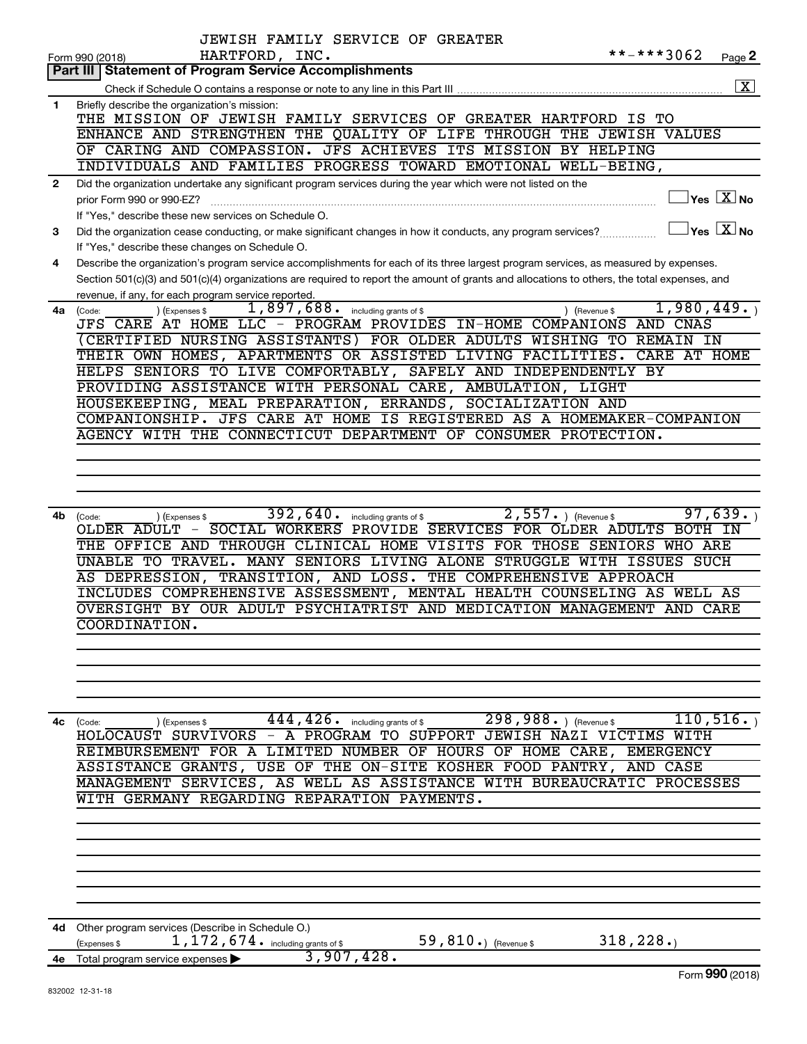|              | JEWISH FAMILY SERVICE OF GREATER                                                                                                                                                                    |
|--------------|-----------------------------------------------------------------------------------------------------------------------------------------------------------------------------------------------------|
|              | **-***3062<br>HARTFORD, INC.<br>Form 990 (2018)<br>Page 2                                                                                                                                           |
|              | Part III   Statement of Program Service Accomplishments                                                                                                                                             |
|              | $\overline{\mathbf{X}}$                                                                                                                                                                             |
| 1            | Briefly describe the organization's mission:<br>THE MISSION OF JEWISH FAMILY SERVICES OF GREATER HARTFORD IS TO                                                                                     |
|              | ENHANCE AND STRENGTHEN THE QUALITY OF LIFE THROUGH THE JEWISH VALUES                                                                                                                                |
|              | OF CARING AND COMPASSION. JFS ACHIEVES ITS MISSION BY HELPING                                                                                                                                       |
|              | INDIVIDUALS AND FAMILIES PROGRESS TOWARD EMOTIONAL WELL-BEING,                                                                                                                                      |
| $\mathbf{2}$ | Did the organization undertake any significant program services during the year which were not listed on the                                                                                        |
|              | $\overline{\ }$ Yes $\overline{\rm \ }X$ No<br>prior Form 990 or 990-EZ?                                                                                                                            |
|              | If "Yes," describe these new services on Schedule O.                                                                                                                                                |
| 3            | $\Box$ Yes $\boxed{\text{X}}$ No<br>Did the organization cease conducting, or make significant changes in how it conducts, any program services?                                                    |
|              | If "Yes," describe these changes on Schedule O.                                                                                                                                                     |
| 4            | Describe the organization's program service accomplishments for each of its three largest program services, as measured by expenses.                                                                |
|              | Section 501(c)(3) and 501(c)(4) organizations are required to report the amount of grants and allocations to others, the total expenses, and<br>revenue, if any, for each program service reported. |
| 4a           | $1,897,688$ including grants of \$<br>1,980,449.<br>) (Expenses \$<br>) (Revenue \$<br>(Code:                                                                                                       |
|              | JFS CARE AT HOME LLC - PROGRAM PROVIDES IN-HOME COMPANIONS AND CNAS                                                                                                                                 |
|              | (CERTIFIED NURSING ASSISTANTS) FOR OLDER ADULTS WISHING TO REMAIN IN                                                                                                                                |
|              | THEIR OWN HOMES, APARTMENTS OR ASSISTED LIVING FACILITIES. CARE AT HOME                                                                                                                             |
|              | HELPS SENIORS TO LIVE COMFORTABLY, SAFELY AND INDEPENDENTLY BY                                                                                                                                      |
|              | PROVIDING ASSISTANCE WITH PERSONAL CARE, AMBULATION, LIGHT                                                                                                                                          |
|              | HOUSEKEEPING, MEAL PREPARATION, ERRANDS, SOCIALIZATION AND<br>COMPANIONSHIP. JFS CARE AT HOME IS REGISTERED AS A HOMEMAKER-COMPANION                                                                |
|              | AGENCY WITH THE CONNECTICUT DEPARTMENT OF CONSUMER PROTECTION.                                                                                                                                      |
|              |                                                                                                                                                                                                     |
|              |                                                                                                                                                                                                     |
|              |                                                                                                                                                                                                     |
|              |                                                                                                                                                                                                     |
| 4b           | $392, 640$ . including grants of \$<br>$2,557.$ (Revenue \$)<br>97,639.<br>(Code:<br>) (Expenses \$                                                                                                 |
|              | OLDER ADULT - SOCIAL WORKERS PROVIDE SERVICES FOR OLDER ADULTS BOTH IN                                                                                                                              |
|              | THE OFFICE AND THROUGH CLINICAL HOME VISITS FOR THOSE SENIORS WHO ARE<br>UNABLE TO TRAVEL. MANY SENIORS LIVING ALONE STRUGGLE WITH ISSUES SUCH                                                      |
|              | AS DEPRESSION, TRANSITION, AND LOSS. THE COMPREHENSIVE APPROACH                                                                                                                                     |
|              | INCLUDES COMPREHENSIVE ASSESSMENT, MENTAL HEALTH COUNSELING AS WELL AS                                                                                                                              |
|              | OVERSIGHT BY OUR ADULT PSYCHIATRIST AND MEDICATION MANAGEMENT AND CARE                                                                                                                              |
|              | <b>COORDINATION.</b>                                                                                                                                                                                |
|              |                                                                                                                                                                                                     |
|              |                                                                                                                                                                                                     |
|              |                                                                                                                                                                                                     |
|              |                                                                                                                                                                                                     |
|              | 110, 516.<br>$444, 426$ $\cdot$ including grants of \$<br>$298,988.$ (Revenue \$                                                                                                                    |
| 4с           | (Expenses \$<br>(Code:<br>HOLOCAUST SURVIVORS - A PROGRAM TO SUPPORT JEWISH NAZI VICTIMS WITH                                                                                                       |
|              | REIMBURSEMENT FOR A LIMITED NUMBER OF HOURS OF HOME CARE, EMERGENCY                                                                                                                                 |
|              | ASSISTANCE GRANTS, USE OF THE ON-SITE KOSHER FOOD PANTRY, AND CASE                                                                                                                                  |
|              | MANAGEMENT SERVICES, AS WELL AS ASSISTANCE WITH BUREAUCRATIC PROCESSES                                                                                                                              |
|              | WITH GERMANY REGARDING REPARATION PAYMENTS.                                                                                                                                                         |
|              |                                                                                                                                                                                                     |
|              |                                                                                                                                                                                                     |
|              |                                                                                                                                                                                                     |
|              |                                                                                                                                                                                                     |
|              |                                                                                                                                                                                                     |
|              |                                                                                                                                                                                                     |
| 4d           | Other program services (Describe in Schedule O.)                                                                                                                                                    |
|              | 59,810.) (Revenue \$<br>318, 228.<br>1, 172, 674. including grants of \$<br>(Expenses \$                                                                                                            |
| 4е —         | 3,907,428.<br>Total program service expenses                                                                                                                                                        |
|              | Form 990 (2018)                                                                                                                                                                                     |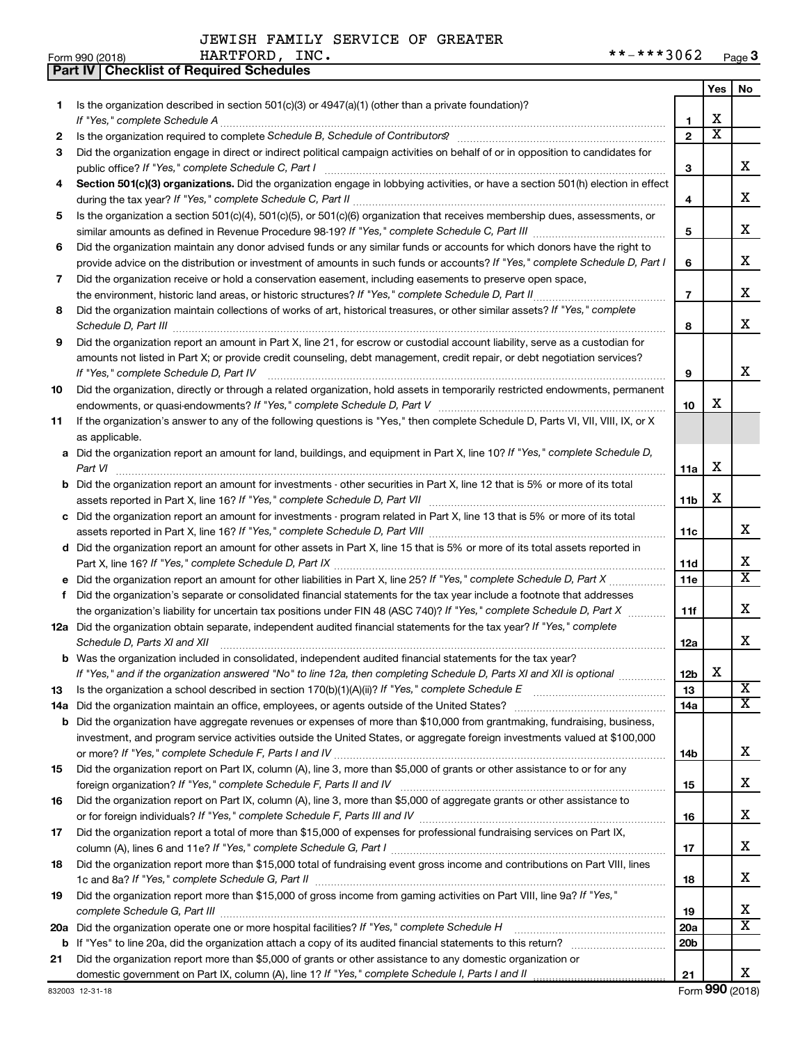**Part IV Checklist of Required Schedules**

| Form 990 (2018) | INC.<br><b>HARTFORD</b> | $***3062$<br>**_ | Page v |
|-----------------|-------------------------|------------------|--------|
|-----------------|-------------------------|------------------|--------|

|     |                                                                                                                                                                 |                 | Yes                   | No                                               |
|-----|-----------------------------------------------------------------------------------------------------------------------------------------------------------------|-----------------|-----------------------|--------------------------------------------------|
| 1.  | Is the organization described in section $501(c)(3)$ or $4947(a)(1)$ (other than a private foundation)?                                                         |                 |                       |                                                  |
|     | If "Yes," complete Schedule A                                                                                                                                   | 1               | х                     |                                                  |
| 2   | Is the organization required to complete Schedule B, Schedule of Contributors? [11] the organization required to complete Schedule B, Schedule of Contributors? | $\overline{2}$  | $\overline{\text{x}}$ |                                                  |
| 3   | Did the organization engage in direct or indirect political campaign activities on behalf of or in opposition to candidates for                                 |                 |                       |                                                  |
|     | public office? If "Yes," complete Schedule C, Part I                                                                                                            | 3               |                       | х                                                |
| 4   | Section 501(c)(3) organizations. Did the organization engage in lobbying activities, or have a section 501(h) election in effect                                |                 |                       |                                                  |
|     |                                                                                                                                                                 | 4               |                       | х                                                |
| 5   | Is the organization a section 501(c)(4), 501(c)(5), or 501(c)(6) organization that receives membership dues, assessments, or                                    |                 |                       |                                                  |
|     |                                                                                                                                                                 | 5               |                       | х                                                |
| 6   | Did the organization maintain any donor advised funds or any similar funds or accounts for which donors have the right to                                       |                 |                       |                                                  |
|     | provide advice on the distribution or investment of amounts in such funds or accounts? If "Yes," complete Schedule D, Part I                                    | 6               |                       | х                                                |
| 7   | Did the organization receive or hold a conservation easement, including easements to preserve open space,                                                       |                 |                       | х                                                |
|     | .                                                                                                                                                               | $\overline{7}$  |                       |                                                  |
| 8   | Did the organization maintain collections of works of art, historical treasures, or other similar assets? If "Yes," complete                                    |                 |                       | х                                                |
| 9   | Did the organization report an amount in Part X, line 21, for escrow or custodial account liability, serve as a custodian for                                   | 8               |                       |                                                  |
|     | amounts not listed in Part X; or provide credit counseling, debt management, credit repair, or debt negotiation services?                                       |                 |                       |                                                  |
|     | If "Yes," complete Schedule D, Part IV                                                                                                                          | 9               |                       | х                                                |
| 10  | Did the organization, directly or through a related organization, hold assets in temporarily restricted endowments, permanent                                   |                 |                       |                                                  |
|     |                                                                                                                                                                 | 10              | х                     |                                                  |
| 11  | If the organization's answer to any of the following questions is "Yes," then complete Schedule D, Parts VI, VII, VIII, IX, or X                                |                 |                       |                                                  |
|     | as applicable.                                                                                                                                                  |                 |                       |                                                  |
|     | a Did the organization report an amount for land, buildings, and equipment in Part X, line 10? If "Yes," complete Schedule D,                                   |                 |                       |                                                  |
|     | Part VI                                                                                                                                                         | 11a             | х                     |                                                  |
|     | Did the organization report an amount for investments - other securities in Part X, line 12 that is 5% or more of its total                                     |                 |                       |                                                  |
|     |                                                                                                                                                                 | 11 <sub>b</sub> | х                     |                                                  |
|     | c Did the organization report an amount for investments - program related in Part X, line 13 that is 5% or more of its total                                    |                 |                       |                                                  |
|     |                                                                                                                                                                 | 11c             |                       | х                                                |
|     | d Did the organization report an amount for other assets in Part X, line 15 that is 5% or more of its total assets reported in                                  |                 |                       |                                                  |
|     |                                                                                                                                                                 | 11d             |                       | х                                                |
|     | e Did the organization report an amount for other liabilities in Part X, line 25? If "Yes," complete Schedule D, Part X                                         | 11e             |                       | $\overline{\textbf{X}}$                          |
| f   | Did the organization's separate or consolidated financial statements for the tax year include a footnote that addresses                                         |                 |                       |                                                  |
|     | the organization's liability for uncertain tax positions under FIN 48 (ASC 740)? If "Yes," complete Schedule D, Part X                                          | 11f             |                       | х                                                |
|     | 12a Did the organization obtain separate, independent audited financial statements for the tax year? If "Yes," complete                                         |                 |                       |                                                  |
|     | Schedule D, Parts XI and XII                                                                                                                                    | 12a             |                       | х                                                |
|     | <b>b</b> Was the organization included in consolidated, independent audited financial statements for the tax year?                                              |                 |                       |                                                  |
|     | If "Yes," and if the organization answered "No" to line 12a, then completing Schedule D, Parts XI and XII is optional www.                                      | 12 <sub>b</sub> | х                     |                                                  |
| 13  | Is the organization a school described in section $170(b)(1)(A)(ii)?$ If "Yes," complete Schedule E                                                             | 13              |                       | $\overline{\mathbf{X}}$<br>$\overline{\text{X}}$ |
| 14a | Did the organization maintain an office, employees, or agents outside of the United States?                                                                     | 14a             |                       |                                                  |
|     | <b>b</b> Did the organization have aggregate revenues or expenses of more than \$10,000 from grantmaking, fundraising, business,                                |                 |                       |                                                  |
|     | investment, and program service activities outside the United States, or aggregate foreign investments valued at \$100,000                                      | 14b             |                       | X.                                               |
| 15  | Did the organization report on Part IX, column (A), line 3, more than \$5,000 of grants or other assistance to or for any                                       |                 |                       |                                                  |
|     |                                                                                                                                                                 | 15              |                       | x                                                |
| 16  | Did the organization report on Part IX, column (A), line 3, more than \$5,000 of aggregate grants or other assistance to                                        |                 |                       |                                                  |
|     |                                                                                                                                                                 | 16              |                       | x                                                |
| 17  | Did the organization report a total of more than \$15,000 of expenses for professional fundraising services on Part IX,                                         |                 |                       |                                                  |
|     |                                                                                                                                                                 | 17              |                       | x                                                |
| 18  | Did the organization report more than \$15,000 total of fundraising event gross income and contributions on Part VIII, lines                                    |                 |                       |                                                  |
|     |                                                                                                                                                                 | 18              |                       | x                                                |
| 19  | Did the organization report more than \$15,000 of gross income from gaming activities on Part VIII, line 9a? If "Yes,"                                          |                 |                       |                                                  |
|     |                                                                                                                                                                 | 19              |                       | х                                                |
| 20a | Did the organization operate one or more hospital facilities? If "Yes," complete Schedule H                                                                     | 20a             |                       | $\overline{\texttt{x}}$                          |
|     |                                                                                                                                                                 | 20 <sub>b</sub> |                       |                                                  |
| 21  | Did the organization report more than \$5,000 of grants or other assistance to any domestic organization or                                                     |                 |                       |                                                  |
|     | domestic government on Part IX, column (A), line 1? If "Yes," complete Schedule I, Parts I and II                                                               | 21              |                       | X.                                               |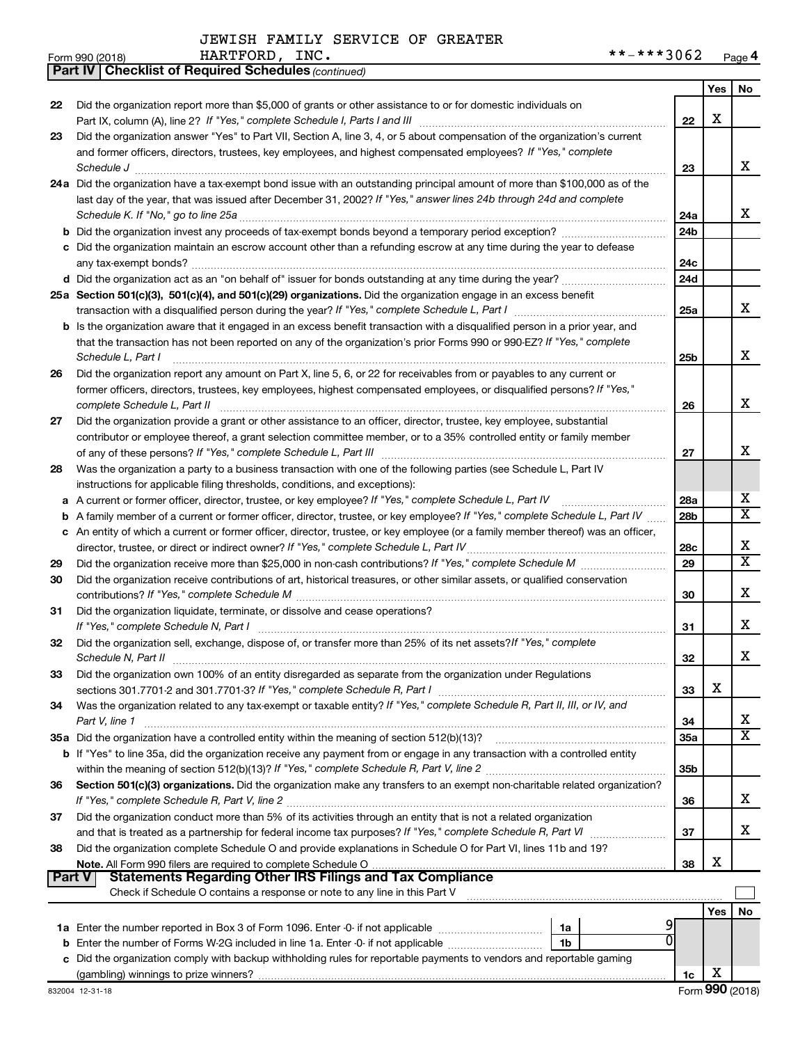|               | <b>Part IV   Checklist of Required Schedules (continued)</b>                                                                        |                 |     |                         |
|---------------|-------------------------------------------------------------------------------------------------------------------------------------|-----------------|-----|-------------------------|
|               |                                                                                                                                     |                 | Yes | No                      |
| 22            | Did the organization report more than \$5,000 of grants or other assistance to or for domestic individuals on                       |                 |     |                         |
|               |                                                                                                                                     | 22              | X   |                         |
| 23            | Did the organization answer "Yes" to Part VII, Section A, line 3, 4, or 5 about compensation of the organization's current          |                 |     |                         |
|               | and former officers, directors, trustees, key employees, and highest compensated employees? If "Yes," complete                      |                 |     |                         |
|               | Schedule J <b>Execute Schedule J Execute Schedule J</b>                                                                             | 23              |     | х                       |
|               | 24a Did the organization have a tax-exempt bond issue with an outstanding principal amount of more than \$100,000 as of the         |                 |     |                         |
|               | last day of the year, that was issued after December 31, 2002? If "Yes," answer lines 24b through 24d and complete                  |                 |     |                         |
|               |                                                                                                                                     | 24a             |     | х                       |
|               |                                                                                                                                     | 24 <sub>b</sub> |     |                         |
|               | c Did the organization maintain an escrow account other than a refunding escrow at any time during the year to defease              |                 |     |                         |
|               |                                                                                                                                     | 24с             |     |                         |
|               |                                                                                                                                     | 24d             |     |                         |
|               | 25a Section 501(c)(3), 501(c)(4), and 501(c)(29) organizations. Did the organization engage in an excess benefit                    |                 |     |                         |
|               |                                                                                                                                     | 25a             |     | х                       |
|               | <b>b</b> Is the organization aware that it engaged in an excess benefit transaction with a disqualified person in a prior year, and |                 |     |                         |
|               |                                                                                                                                     |                 |     |                         |
|               | that the transaction has not been reported on any of the organization's prior Forms 990 or 990-EZ? If "Yes," complete               |                 |     | Х                       |
|               | Schedule L, Part I                                                                                                                  | 25b             |     |                         |
| 26            | Did the organization report any amount on Part X, line 5, 6, or 22 for receivables from or payables to any current or               |                 |     |                         |
|               | former officers, directors, trustees, key employees, highest compensated employees, or disqualified persons? If "Yes,"              |                 |     |                         |
|               |                                                                                                                                     | 26              |     | Х                       |
| 27            | Did the organization provide a grant or other assistance to an officer, director, trustee, key employee, substantial                |                 |     |                         |
|               | contributor or employee thereof, a grant selection committee member, or to a 35% controlled entity or family member                 |                 |     |                         |
|               |                                                                                                                                     | 27              |     | х                       |
| 28            | Was the organization a party to a business transaction with one of the following parties (see Schedule L, Part IV                   |                 |     |                         |
|               | instructions for applicable filing thresholds, conditions, and exceptions):                                                         |                 |     |                         |
| а             | A current or former officer, director, trustee, or key employee? If "Yes," complete Schedule L, Part IV                             | 28a             |     | х                       |
| b             | A family member of a current or former officer, director, trustee, or key employee? If "Yes," complete Schedule L, Part IV          | 28 <sub>b</sub> |     | Χ                       |
|               | c An entity of which a current or former officer, director, trustee, or key employee (or a family member thereof) was an officer,   |                 |     |                         |
|               | director, trustee, or direct or indirect owner? If "Yes," complete Schedule L, Part IV                                              | 28c             |     | х                       |
| 29            |                                                                                                                                     | 29              |     | $\overline{\mathbf{X}}$ |
| 30            | Did the organization receive contributions of art, historical treasures, or other similar assets, or qualified conservation         |                 |     |                         |
|               |                                                                                                                                     | 30              |     | х                       |
| 31            | Did the organization liquidate, terminate, or dissolve and cease operations?                                                        |                 |     |                         |
|               |                                                                                                                                     | 31              |     | х                       |
| 32            | Did the organization sell, exchange, dispose of, or transfer more than 25% of its net assets? If "Yes," complete                    |                 |     |                         |
|               | Schedule N, Part II                                                                                                                 | 32              |     | Χ                       |
| 33            | Did the organization own 100% of an entity disregarded as separate from the organization under Regulations                          |                 |     |                         |
|               |                                                                                                                                     | 33              | х   |                         |
| 34            | Was the organization related to any tax-exempt or taxable entity? If "Yes," complete Schedule R, Part II, III, or IV, and           |                 |     |                         |
|               | Part V, line 1                                                                                                                      | 34              |     | х                       |
|               | 35a Did the organization have a controlled entity within the meaning of section 512(b)(13)?                                         | 35a             |     | $\overline{\textbf{X}}$ |
|               | b If "Yes" to line 35a, did the organization receive any payment from or engage in any transaction with a controlled entity         |                 |     |                         |
|               |                                                                                                                                     | 35b             |     |                         |
| 36            | Section 501(c)(3) organizations. Did the organization make any transfers to an exempt non-charitable related organization?          |                 |     |                         |
|               |                                                                                                                                     | 36              |     | х                       |
| 37            | Did the organization conduct more than 5% of its activities through an entity that is not a related organization                    |                 |     |                         |
|               |                                                                                                                                     | 37              |     | х                       |
| 38            | Did the organization complete Schedule O and provide explanations in Schedule O for Part VI, lines 11b and 19?                      |                 |     |                         |
|               |                                                                                                                                     | 38              | х   |                         |
| <b>Part V</b> | <b>Statements Regarding Other IRS Filings and Tax Compliance</b>                                                                    |                 |     |                         |
|               | Check if Schedule O contains a response or note to any line in this Part V                                                          |                 |     |                         |
|               |                                                                                                                                     |                 | Yes | No                      |
|               | 1a                                                                                                                                  |                 |     |                         |
|               | $\Omega$<br>Enter the number of Forms W-2G included in line 1a. Enter -0- if not applicable<br>1b                                   |                 |     |                         |
|               | c Did the organization comply with backup withholding rules for reportable payments to vendors and reportable gaming                |                 |     |                         |
|               |                                                                                                                                     | 1c              | х   |                         |
|               |                                                                                                                                     |                 |     |                         |

 $\overline{\phantom{a}}$ 

| m aa∩ (≤∩ ເ໑) |  |
|---------------|--|
|               |  |

| Form 990 (2018) | HARTFORD | INC. | ***3062<br>**. | Page |
|-----------------|----------|------|----------------|------|
| --------        |          |      |                |      |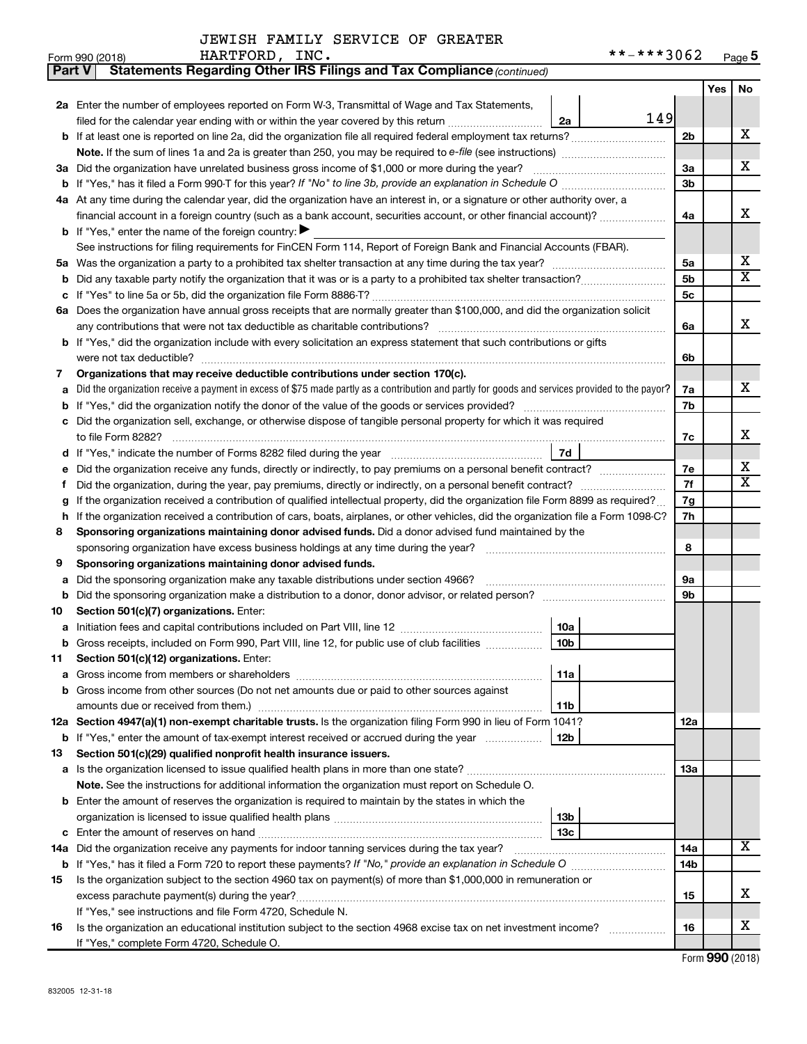| Part V | Statements Regarding Other IRS Filings and Tax Compliance (continued)                                                                           |                |     |                         |
|--------|-------------------------------------------------------------------------------------------------------------------------------------------------|----------------|-----|-------------------------|
|        |                                                                                                                                                 |                | Yes | No                      |
|        | 2a Enter the number of employees reported on Form W-3, Transmittal of Wage and Tax Statements,                                                  |                |     |                         |
|        | 149<br>filed for the calendar year ending with or within the year covered by this return<br>2a                                                  |                |     |                         |
|        |                                                                                                                                                 | 2 <sub>b</sub> |     | х                       |
|        | Note. If the sum of lines 1a and 2a is greater than 250, you may be required to e-file (see instructions) <i>managereroum</i>                   |                |     |                         |
|        | 3a Did the organization have unrelated business gross income of \$1,000 or more during the year?                                                | За             |     | х                       |
| b      |                                                                                                                                                 | 3b             |     |                         |
|        | 4a At any time during the calendar year, did the organization have an interest in, or a signature or other authority over, a                    |                |     |                         |
|        | financial account in a foreign country (such as a bank account, securities account, or other financial account)?                                | 4a             |     | x                       |
|        | <b>b</b> If "Yes," enter the name of the foreign country: $\blacktriangleright$                                                                 |                |     |                         |
|        | See instructions for filing requirements for FinCEN Form 114, Report of Foreign Bank and Financial Accounts (FBAR).                             |                |     |                         |
|        |                                                                                                                                                 | 5a             |     | x                       |
| b      |                                                                                                                                                 | 5b             |     | X                       |
| с      |                                                                                                                                                 | 5c             |     |                         |
|        | 6a Does the organization have annual gross receipts that are normally greater than \$100,000, and did the organization solicit                  |                |     |                         |
|        |                                                                                                                                                 | 6a             |     | x                       |
|        | <b>b</b> If "Yes," did the organization include with every solicitation an express statement that such contributions or gifts                   |                |     |                         |
|        |                                                                                                                                                 | 6b             |     |                         |
| 7      | Organizations that may receive deductible contributions under section 170(c).                                                                   |                |     |                         |
| а      | Did the organization receive a payment in excess of \$75 made partly as a contribution and partly for goods and services provided to the payor? | 7a             |     | х                       |
| b      |                                                                                                                                                 | 7b             |     |                         |
|        | c Did the organization sell, exchange, or otherwise dispose of tangible personal property for which it was required                             |                |     |                         |
|        |                                                                                                                                                 | 7c             |     | х                       |
|        | <b>7d</b>                                                                                                                                       |                |     |                         |
| е      |                                                                                                                                                 | 7е             |     | x                       |
| f.     |                                                                                                                                                 | 7f             |     | $\overline{\textbf{X}}$ |
| g      | If the organization received a contribution of qualified intellectual property, did the organization file Form 8899 as required?                | 7g             |     |                         |
| h      | If the organization received a contribution of cars, boats, airplanes, or other vehicles, did the organization file a Form 1098-C?              | 7h             |     |                         |
| 8      | Sponsoring organizations maintaining donor advised funds. Did a donor advised fund maintained by the                                            |                |     |                         |
|        |                                                                                                                                                 | 8              |     |                         |
| 9      | Sponsoring organizations maintaining donor advised funds.                                                                                       |                |     |                         |
| а      | Did the sponsoring organization make any taxable distributions under section 4966?                                                              | 9а             |     |                         |
| b      | Did the sponsoring organization make a distribution to a donor, donor advisor, or related person?                                               | 9b             |     |                         |
| 10     | Section 501(c)(7) organizations. Enter:                                                                                                         |                |     |                         |
| а      | 10a                                                                                                                                             |                |     |                         |
|        | 10 <sub>b</sub><br>b Gross receipts, included on Form 990, Part VIII, line 12, for public use of club facilities                                |                |     |                         |
| 11     | Section 501(c)(12) organizations. Enter:                                                                                                        |                |     |                         |
| а      | 11a<br>b Gross income from other sources (Do not net amounts due or paid to other sources against                                               |                |     |                         |
|        | 11b                                                                                                                                             |                |     |                         |
|        | 12a Section 4947(a)(1) non-exempt charitable trusts. Is the organization filing Form 990 in lieu of Form 1041?                                  | 12a            |     |                         |
|        | 12 <sub>b</sub><br><b>b</b> If "Yes," enter the amount of tax-exempt interest received or accrued during the year                               |                |     |                         |
| 13     | Section 501(c)(29) qualified nonprofit health insurance issuers.                                                                                |                |     |                         |
|        | a Is the organization licensed to issue qualified health plans in more than one state?                                                          | 1За            |     |                         |
|        | <b>Note.</b> See the instructions for additional information the organization must report on Schedule O.                                        |                |     |                         |
|        | <b>b</b> Enter the amount of reserves the organization is required to maintain by the states in which the                                       |                |     |                         |
|        | 13 <sub>b</sub>                                                                                                                                 |                |     |                         |
| с      | 13с                                                                                                                                             |                |     |                         |
|        | 14a Did the organization receive any payments for indoor tanning services during the tax year?                                                  | 14a            |     | x                       |
| b      |                                                                                                                                                 | 14b            |     |                         |
| 15     | Is the organization subject to the section 4960 tax on payment(s) of more than \$1,000,000 in remuneration or                                   |                |     |                         |
|        |                                                                                                                                                 | 15             |     | х                       |
|        | If "Yes," see instructions and file Form 4720, Schedule N.                                                                                      |                |     |                         |
| 16     | Is the organization an educational institution subject to the section 4968 excise tax on net investment income?                                 | 16             |     | х                       |
|        | If "Yes," complete Form 4720, Schedule O.                                                                                                       |                |     |                         |

Form (2018) **990**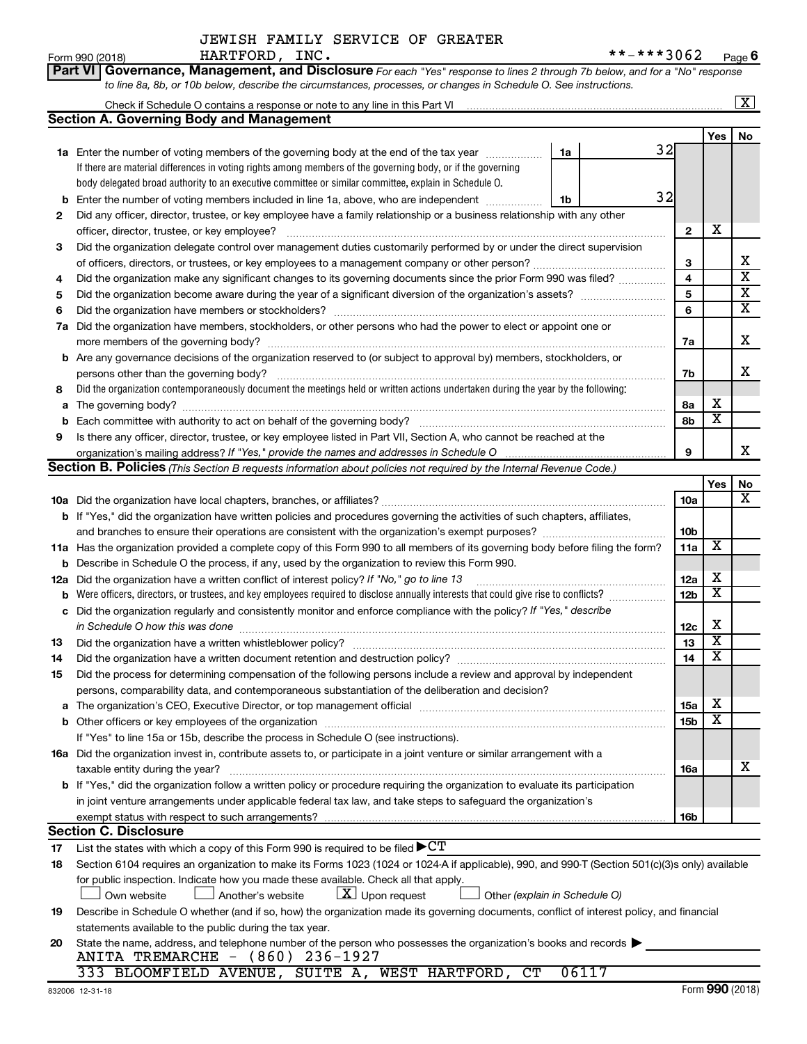| Part VI   Governance, Management, and Disclosure For each "Yes" response to lines 2 through 7b below, and for a "No" response |
|-------------------------------------------------------------------------------------------------------------------------------|
| to line 8a, 8b, or 10b below, describe the circumstances, processes, or changes in Schedule O. See instructions.              |

|     | Check if Schedule O contains a response or note to any line in this Part VI                                                                     |                         |                         | $\overline{\texttt{x}}$ |
|-----|-------------------------------------------------------------------------------------------------------------------------------------------------|-------------------------|-------------------------|-------------------------|
|     | <b>Section A. Governing Body and Management</b>                                                                                                 |                         |                         |                         |
|     |                                                                                                                                                 |                         | Yes                     | No                      |
|     | 32<br>1a<br>1a Enter the number of voting members of the governing body at the end of the tax year                                              |                         |                         |                         |
|     | If there are material differences in voting rights among members of the governing body, or if the governing                                     |                         |                         |                         |
|     | body delegated broad authority to an executive committee or similar committee, explain in Schedule O.                                           |                         |                         |                         |
| b   | 32<br>Enter the number of voting members included in line 1a, above, who are independent<br>1b                                                  |                         |                         |                         |
| 2   | Did any officer, director, trustee, or key employee have a family relationship or a business relationship with any other                        |                         |                         |                         |
|     |                                                                                                                                                 | $\mathbf{2}$            | X                       |                         |
| 3   | Did the organization delegate control over management duties customarily performed by or under the direct supervision                           |                         |                         |                         |
|     | of officers, directors, or trustees, or key employees to a management company or other person?                                                  | 3                       |                         | х                       |
| 4   | Did the organization make any significant changes to its governing documents since the prior Form 990 was filed?                                | $\overline{\mathbf{4}}$ |                         | $\overline{\text{x}}$   |
| 5   |                                                                                                                                                 | 5                       |                         | $\overline{\mathbf{X}}$ |
| 6   |                                                                                                                                                 | 6                       |                         | $\overline{\textbf{x}}$ |
| 7a  | Did the organization have members, stockholders, or other persons who had the power to elect or appoint one or                                  |                         |                         |                         |
|     |                                                                                                                                                 | 7a                      |                         | х                       |
| b   | Are any governance decisions of the organization reserved to (or subject to approval by) members, stockholders, or                              |                         |                         |                         |
|     | persons other than the governing body?                                                                                                          | 7b                      |                         | x                       |
| 8   | Did the organization contemporaneously document the meetings held or written actions undertaken during the year by the following:               |                         |                         |                         |
| а   |                                                                                                                                                 | 8а                      | х                       |                         |
|     |                                                                                                                                                 | 8b                      | $\overline{\textbf{x}}$ |                         |
| 9   | Is there any officer, director, trustee, or key employee listed in Part VII, Section A, who cannot be reached at the                            |                         |                         |                         |
|     | organization's mailing address? If "Yes," provide the names and addresses in Schedule O                                                         | 9                       |                         | x                       |
|     | Section B. Policies (This Section B requests information about policies not required by the Internal Revenue Code.)                             |                         |                         |                         |
|     |                                                                                                                                                 |                         | Yes                     | No                      |
|     |                                                                                                                                                 | 10a                     |                         | х                       |
|     | b If "Yes," did the organization have written policies and procedures governing the activities of such chapters, affiliates,                    |                         |                         |                         |
|     |                                                                                                                                                 | 10 <sub>b</sub>         |                         |                         |
|     | 11a Has the organization provided a complete copy of this Form 990 to all members of its governing body before filing the form?                 | 11a                     | $\overline{\textbf{x}}$ |                         |
| b   | Describe in Schedule O the process, if any, used by the organization to review this Form 990.                                                   |                         |                         |                         |
| 12a | Did the organization have a written conflict of interest policy? If "No," go to line 13                                                         | 12a                     | х                       |                         |
| b   | Were officers, directors, or trustees, and key employees required to disclose annually interests that could give rise to conflicts?             | 12 <sub>b</sub>         | $\overline{\texttt{x}}$ |                         |
| c   | Did the organization regularly and consistently monitor and enforce compliance with the policy? If "Yes," describe                              |                         |                         |                         |
|     | in Schedule O how this was done                                                                                                                 | 12c                     | X                       |                         |
| 13  |                                                                                                                                                 | 13                      | $\overline{\textbf{x}}$ |                         |
| 14  |                                                                                                                                                 | 14                      | $\overline{\texttt{x}}$ |                         |
| 15  | Did the process for determining compensation of the following persons include a review and approval by independent                              |                         |                         |                         |
|     | persons, comparability data, and contemporaneous substantiation of the deliberation and decision?                                               |                         |                         |                         |
| а   |                                                                                                                                                 | 15a                     | х                       |                         |
|     |                                                                                                                                                 | 15 <sub>b</sub>         | $\overline{\texttt{x}}$ |                         |
|     | If "Yes" to line 15a or 15b, describe the process in Schedule O (see instructions).                                                             |                         |                         |                         |
|     | 16a Did the organization invest in, contribute assets to, or participate in a joint venture or similar arrangement with a                       |                         |                         |                         |
|     | taxable entity during the year?                                                                                                                 | 16a                     |                         | х                       |
|     | b If "Yes," did the organization follow a written policy or procedure requiring the organization to evaluate its participation                  |                         |                         |                         |
|     | in joint venture arrangements under applicable federal tax law, and take steps to safeguard the organization's                                  |                         |                         |                         |
|     | exempt status with respect to such arrangements?                                                                                                | 16b                     |                         |                         |
|     | <b>Section C. Disclosure</b>                                                                                                                    |                         |                         |                         |
| 17  | List the states with which a copy of this Form 990 is required to be filed $\blacktriangleright C T$                                            |                         |                         |                         |
| 18  | Section 6104 requires an organization to make its Forms 1023 (1024 or 1024 A if applicable), 990, and 990-T (Section 501(c)(3)s only) available |                         |                         |                         |
|     | for public inspection. Indicate how you made these available. Check all that apply.                                                             |                         |                         |                         |
|     | $\lfloor x \rfloor$ Upon request<br>Other (explain in Schedule O)<br>Own website<br>Another's website                                           |                         |                         |                         |
| 19  | Describe in Schedule O whether (and if so, how) the organization made its governing documents, conflict of interest policy, and financial       |                         |                         |                         |
|     | statements available to the public during the tax year.                                                                                         |                         |                         |                         |
| 20  | State the name, address, and telephone number of the person who possesses the organization's books and records $\blacktriangleright$            |                         |                         |                         |
|     | ANITA TREMARCHE - (860) 236-1927                                                                                                                |                         |                         |                         |
|     | 333 BLOOMFIELD AVENUE, SUITE A, WEST HARTFORD, CT<br>06117                                                                                      |                         |                         |                         |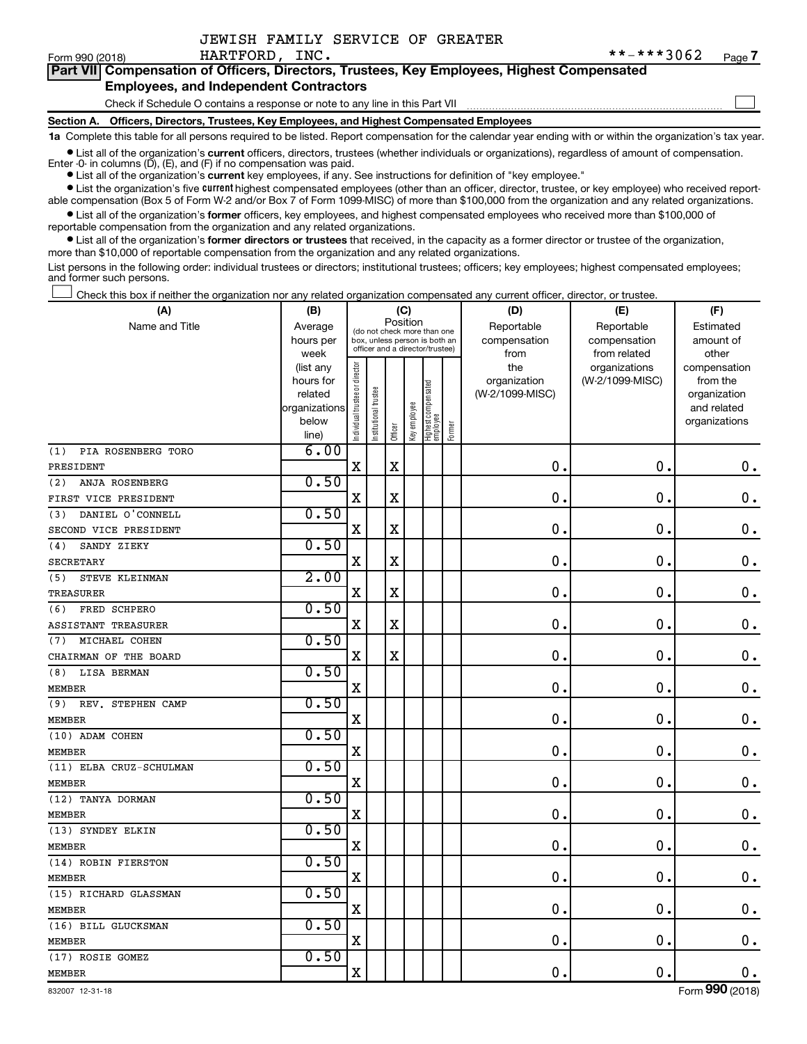| JEWISH FAMILY SERVICE OF GREATER |  |  |  |  |  |
|----------------------------------|--|--|--|--|--|
|----------------------------------|--|--|--|--|--|

 $\Box$ 

| Part VII Compensation of Officers, Directors, Trustees, Key Employees, Highest Compensated |  |
|--------------------------------------------------------------------------------------------|--|
| <b>Employees, and Independent Contractors</b>                                              |  |

#### Check if Schedule O contains a response or note to any line in this Part VII

**Section A. Officers, Directors, Trustees, Key Employees, and Highest Compensated Employees**

**1a**  Complete this table for all persons required to be listed. Report compensation for the calendar year ending with or within the organization's tax year.

**•** List all of the organization's current officers, directors, trustees (whether individuals or organizations), regardless of amount of compensation.

**•** List all of the organization's **current** key employees, if any. See instructions for definition of "key employee." Enter -0- in columns  $(D)$ ,  $(E)$ , and  $(F)$  if no compensation was paid.

**•** List the organization's five current highest compensated employees (other than an officer, director, trustee, or key employee) who received reportable compensation (Box 5 of Form W-2 and/or Box 7 of Form 1099-MISC) of more than \$100,000 from the organization and any related organizations.

**•** List all of the organization's former officers, key employees, and highest compensated employees who received more than \$100,000 of reportable compensation from the organization and any related organizations.

**•** List all of the organization's former directors or trustees that received, in the capacity as a former director or trustee of the organization, more than \$10,000 of reportable compensation from the organization and any related organizations.

List persons in the following order: individual trustees or directors; institutional trustees; officers; key employees; highest compensated employees; and former such persons.

Check this box if neither the organization nor any related organization compensated any current officer, director, or trustee. †

| (A)                       | (B)                    | (C)                            |                                                                  |             |              |                                 | (D)    | (E)                 | (F)                              |                          |  |
|---------------------------|------------------------|--------------------------------|------------------------------------------------------------------|-------------|--------------|---------------------------------|--------|---------------------|----------------------------------|--------------------------|--|
| Name and Title            | Average                |                                | (do not check more than one                                      | Position    |              |                                 |        | Reportable          | Reportable                       | Estimated                |  |
|                           | hours per              |                                | box, unless person is both an<br>officer and a director/trustee) |             |              |                                 |        | compensation        | compensation                     | amount of                |  |
|                           | week                   |                                |                                                                  |             |              |                                 |        | from                | from related                     | other                    |  |
|                           | (list any<br>hours for |                                |                                                                  |             |              |                                 |        | the<br>organization | organizations<br>(W-2/1099-MISC) | compensation<br>from the |  |
|                           | related                |                                |                                                                  |             |              |                                 |        | (W-2/1099-MISC)     |                                  | organization             |  |
|                           | organizations          |                                |                                                                  |             |              |                                 |        |                     |                                  | and related              |  |
|                           | below                  |                                |                                                                  |             |              |                                 |        |                     |                                  | organizations            |  |
|                           | line)                  | Individual trustee or director | Institutional trustee                                            | Officer     | Key employee | Highest compensated<br>employee | Former |                     |                                  |                          |  |
| PIA ROSENBERG TORO<br>(1) | 6.00                   |                                |                                                                  |             |              |                                 |        |                     |                                  |                          |  |
| PRESIDENT                 |                        | $\mathbf X$                    |                                                                  | $\mathbf X$ |              |                                 |        | $\mathbf 0$ .       | $\mathbf 0$                      | $\mathbf 0$ .            |  |
| (2)<br>ANJA ROSENBERG     | 0.50                   |                                |                                                                  |             |              |                                 |        |                     |                                  |                          |  |
| FIRST VICE PRESIDENT      |                        | X                              |                                                                  | $\rm X$     |              |                                 |        | $\mathbf 0$         | $\mathbf 0$                      | $\mathbf 0$ .            |  |
| DANIEL O'CONNELL<br>(3)   | 0.50                   |                                |                                                                  |             |              |                                 |        |                     |                                  |                          |  |
| SECOND VICE PRESIDENT     |                        | X                              |                                                                  | $\mathbf X$ |              |                                 |        | $\mathbf 0$         | $\mathbf 0$                      | $\mathbf 0$ .            |  |
| SANDY ZIEKY<br>(4)        | 0.50                   |                                |                                                                  |             |              |                                 |        |                     |                                  |                          |  |
| <b>SECRETARY</b>          |                        | $\mathbf X$                    |                                                                  | $\mathbf X$ |              |                                 |        | $\mathbf 0$         | $\mathbf 0$                      | $\mathbf 0$ .            |  |
| STEVE KLEINMAN<br>(5)     | 2.00                   |                                |                                                                  |             |              |                                 |        |                     |                                  |                          |  |
| TREASURER                 |                        | $\mathbf X$                    |                                                                  | $\mathbf X$ |              |                                 |        | $\mathbf 0$         | $\mathbf 0$                      | $\mathbf 0$ .            |  |
| (6)<br>FRED SCHPERO       | 0.50                   |                                |                                                                  |             |              |                                 |        |                     |                                  |                          |  |
| ASSISTANT TREASURER       |                        | $\mathbf X$                    |                                                                  | $\rm X$     |              |                                 |        | $\mathbf 0$         | $\mathbf 0$                      | $\mathbf 0$ .            |  |
| MICHAEL COHEN<br>(7)      | 0.50                   |                                |                                                                  |             |              |                                 |        |                     |                                  |                          |  |
| CHAIRMAN OF THE BOARD     |                        | $\mathbf X$                    |                                                                  | $\mathbf X$ |              |                                 |        | $\mathbf 0$         | $\mathbf 0$                      | $\mathbf 0$ .            |  |
| LISA BERMAN<br>(8)        | 0.50                   |                                |                                                                  |             |              |                                 |        |                     |                                  |                          |  |
| <b>MEMBER</b>             |                        | $\mathbf X$                    |                                                                  |             |              |                                 |        | $\mathbf 0$         | $\mathbf 0$                      | $\mathbf 0$ .            |  |
| REV. STEPHEN CAMP<br>(9)  | 0.50                   |                                |                                                                  |             |              |                                 |        |                     |                                  |                          |  |
| <b>MEMBER</b>             |                        | $\mathbf X$                    |                                                                  |             |              |                                 |        | $\mathbf 0$         | $\mathbf 0$                      | $\mathbf 0$ .            |  |
| (10) ADAM COHEN           | 0.50                   |                                |                                                                  |             |              |                                 |        |                     |                                  |                          |  |
| <b>MEMBER</b>             |                        | $\mathbf X$                    |                                                                  |             |              |                                 |        | $\mathbf 0$         | $\mathbf 0$                      | $\mathbf 0$ .            |  |
| (11) ELBA CRUZ-SCHULMAN   | 0.50                   |                                |                                                                  |             |              |                                 |        |                     |                                  |                          |  |
| <b>MEMBER</b>             |                        | $\mathbf X$                    |                                                                  |             |              |                                 |        | $\mathbf 0$         | $\mathbf 0$                      | $\mathbf 0$ .            |  |
| (12) TANYA DORMAN         | 0.50                   |                                |                                                                  |             |              |                                 |        |                     |                                  |                          |  |
| <b>MEMBER</b>             |                        | $\mathbf X$                    |                                                                  |             |              |                                 |        | $\mathbf 0$         | $\mathbf 0$                      | $\mathbf 0$ .            |  |
| (13) SYNDEY ELKIN         | 0.50                   |                                |                                                                  |             |              |                                 |        |                     |                                  |                          |  |
| <b>MEMBER</b>             |                        | $\mathbf X$                    |                                                                  |             |              |                                 |        | $\mathbf 0$         | $\mathbf 0$                      | $\mathbf 0$ .            |  |
| (14) ROBIN FIERSTON       | 0.50                   |                                |                                                                  |             |              |                                 |        |                     |                                  |                          |  |
| <b>MEMBER</b>             |                        | $\mathbf X$                    |                                                                  |             |              |                                 |        | 0                   | $\mathbf 0$                      | $\mathbf 0$ .            |  |
| (15) RICHARD GLASSMAN     | 0.50                   |                                |                                                                  |             |              |                                 |        |                     |                                  |                          |  |
| <b>MEMBER</b>             |                        | $\mathbf X$                    |                                                                  |             |              |                                 |        | $\mathbf 0$         | $\mathbf 0$                      | $\mathbf 0$ .            |  |
| (16) BILL GLUCKSMAN       | 0.50                   |                                |                                                                  |             |              |                                 |        |                     |                                  |                          |  |
| <b>MEMBER</b>             |                        | $\mathbf X$                    |                                                                  |             |              |                                 |        | $\mathbf 0$         | $\mathbf 0$                      | $\mathbf 0$ .            |  |
| (17) ROSIE GOMEZ          | 0.50                   |                                |                                                                  |             |              |                                 |        |                     |                                  |                          |  |
| <b>MEMBER</b>             |                        | $\mathbf X$                    |                                                                  |             |              |                                 |        | 0.                  | $\mathbf 0$                      | $\mathbf 0$ .            |  |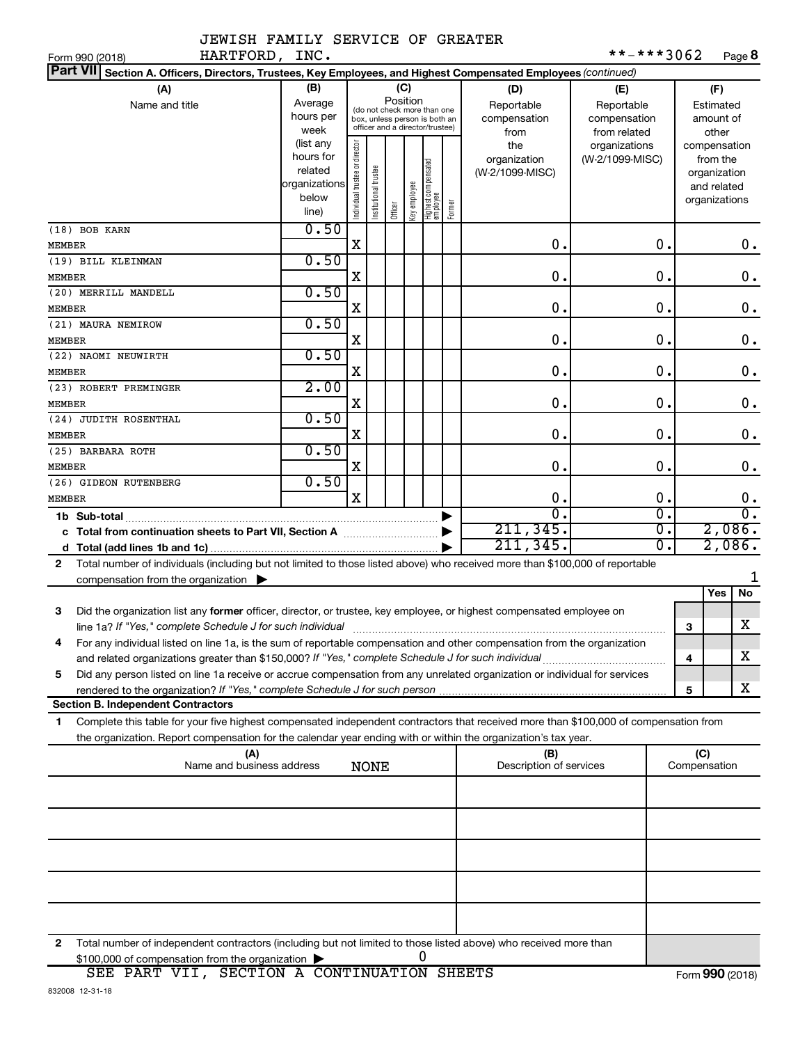|             |  | JEWISH FAMILY SERVICE OF GREATER |  |
|-------------|--|----------------------------------|--|
| י חסרים מסג |  |                                  |  |

| **-***3062 | Page 8 |
|------------|--------|
|------------|--------|

| Section A. Officers, Directors, Trustees, Key Employees, and Highest Compensated Employees (continued)<br>(B)<br>(A)<br>(C)<br>(F)<br>(D)<br>(E)<br>Position<br>Average<br>Reportable<br>Name and title<br>Reportable<br>Estimated<br>(do not check more than one<br>hours per<br>compensation<br>compensation<br>amount of<br>box, unless person is both an<br>officer and a director/trustee)<br>week<br>from related<br>other<br>from<br>(list any<br>Individual trustee or director<br>the<br>organizations<br>compensation<br>hours for<br>(W-2/1099-MISC)<br>organization<br>from the<br>  Highest compensated<br>  employee<br>Institutional trustee<br>related<br>(W-2/1099-MISC)<br>organization<br>organizations<br>Key employee<br>and related<br>below<br>organizations<br>Former<br>Officer<br>line)<br>0.50<br>(18) BOB KARN<br>0.<br>X<br>0.<br>0.<br>MEMBER<br>0.50<br>(19) BILL KLEINMAN<br>0.<br>$\mathbf 0$ .<br>$\boldsymbol{0}$ .<br>X<br>0.50<br>(20) MERRILL MANDELL<br>0.<br>$\mathbf 0$ .<br>$\boldsymbol{0}$ .<br>X<br>MEMBER<br>0.50<br>(21) MAURA NEMIROW<br>0.<br>$\mathbf 0$ .<br>$\boldsymbol{0}$ .<br>X<br>0.50<br>(22) NAOMI NEUWIRTH<br>0.<br>$\mathbf 0$ .<br>$\boldsymbol{0}$ .<br>X<br>MEMBER<br>2.00<br>(23) ROBERT PREMINGER<br>0.<br>$\mathbf 0$ .<br>X<br>0.<br>MEMBER<br>0.50<br>(24) JUDITH ROSENTHAL<br>0.<br>$\mathbf 0$ .<br>0.<br>х<br>MEMBER<br>0.50<br>(25) BARBARA ROTH<br>0.<br>$\mathbf 0$ .<br>0.<br>х<br>MEMBER<br>0.50<br>(26) GIDEON RUTENBERG<br>X<br>0.<br>0.<br>$\mathbf 0$ .<br>MEMBER<br>$\overline{0}$ .<br>$\overline{0}$ .<br>σ.<br>1b Sub-total<br>2,086.<br>211, 345.<br>σ.<br>c Total from continuation sheets to Part VII, Section A manuscreen continuum<br>2,086.<br>211, 345.<br>σ.<br>Total number of individuals (including but not limited to those listed above) who received more than \$100,000 of reportable<br>2<br>compensation from the organization $\blacktriangleright$<br>Yes<br>No<br>3<br>Did the organization list any former officer, director, or trustee, key employee, or highest compensated employee on<br>X<br>line 1a? If "Yes," complete Schedule J for such individual manufactured content to the set of the set of the s<br>з<br>For any individual listed on line 1a, is the sum of reportable compensation and other compensation from the organization<br>х<br>and related organizations greater than \$150,000? If "Yes," complete Schedule J for such individual<br>4<br>Did any person listed on line 1a receive or accrue compensation from any unrelated organization or individual for services<br>5<br>х<br>5<br><b>Section B. Independent Contractors</b><br>Complete this table for your five highest compensated independent contractors that received more than \$100,000 of compensation from<br>1.<br>the organization. Report compensation for the calendar year ending with or within the organization's tax year.<br>(C)<br>(A)<br>(B)<br>Name and business address<br>Description of services<br>Compensation<br><b>NONE</b><br>Total number of independent contractors (including but not limited to those listed above) who received more than<br>2<br>0<br>\$100,000 of compensation from the organization | HARTFORD, INC.<br>Form 990 (2018) |  |  |  |  |  | **-***3062 |  | Page 8 |
|---------------------------------------------------------------------------------------------------------------------------------------------------------------------------------------------------------------------------------------------------------------------------------------------------------------------------------------------------------------------------------------------------------------------------------------------------------------------------------------------------------------------------------------------------------------------------------------------------------------------------------------------------------------------------------------------------------------------------------------------------------------------------------------------------------------------------------------------------------------------------------------------------------------------------------------------------------------------------------------------------------------------------------------------------------------------------------------------------------------------------------------------------------------------------------------------------------------------------------------------------------------------------------------------------------------------------------------------------------------------------------------------------------------------------------------------------------------------------------------------------------------------------------------------------------------------------------------------------------------------------------------------------------------------------------------------------------------------------------------------------------------------------------------------------------------------------------------------------------------------------------------------------------------------------------------------------------------------------------------------------------------------------------------------------------------------------------------------------------------------------------------------------------------------------------------------------------------------------------------------------------------------------------------------------------------------------------------------------------------------------------------------------------------------------------------------------------------------------------------------------------------------------------------------------------------------------------------------------------------------------------------------------------------------------------------------------------------------------------------------------------------------------------------------------------------------------------------------------------------------------------------------------------------------------------------------------------------------------------------------------------------------------------------------------------------------------------------------------------------------------------------------------------------------------------------------------------------------------------------|-----------------------------------|--|--|--|--|--|------------|--|--------|
|                                                                                                                                                                                                                                                                                                                                                                                                                                                                                                                                                                                                                                                                                                                                                                                                                                                                                                                                                                                                                                                                                                                                                                                                                                                                                                                                                                                                                                                                                                                                                                                                                                                                                                                                                                                                                                                                                                                                                                                                                                                                                                                                                                                                                                                                                                                                                                                                                                                                                                                                                                                                                                                                                                                                                                                                                                                                                                                                                                                                                                                                                                                                                                                                                                       | <b>Part VII</b>                   |  |  |  |  |  |            |  |        |
|                                                                                                                                                                                                                                                                                                                                                                                                                                                                                                                                                                                                                                                                                                                                                                                                                                                                                                                                                                                                                                                                                                                                                                                                                                                                                                                                                                                                                                                                                                                                                                                                                                                                                                                                                                                                                                                                                                                                                                                                                                                                                                                                                                                                                                                                                                                                                                                                                                                                                                                                                                                                                                                                                                                                                                                                                                                                                                                                                                                                                                                                                                                                                                                                                                       |                                   |  |  |  |  |  |            |  |        |
|                                                                                                                                                                                                                                                                                                                                                                                                                                                                                                                                                                                                                                                                                                                                                                                                                                                                                                                                                                                                                                                                                                                                                                                                                                                                                                                                                                                                                                                                                                                                                                                                                                                                                                                                                                                                                                                                                                                                                                                                                                                                                                                                                                                                                                                                                                                                                                                                                                                                                                                                                                                                                                                                                                                                                                                                                                                                                                                                                                                                                                                                                                                                                                                                                                       |                                   |  |  |  |  |  |            |  |        |
|                                                                                                                                                                                                                                                                                                                                                                                                                                                                                                                                                                                                                                                                                                                                                                                                                                                                                                                                                                                                                                                                                                                                                                                                                                                                                                                                                                                                                                                                                                                                                                                                                                                                                                                                                                                                                                                                                                                                                                                                                                                                                                                                                                                                                                                                                                                                                                                                                                                                                                                                                                                                                                                                                                                                                                                                                                                                                                                                                                                                                                                                                                                                                                                                                                       |                                   |  |  |  |  |  |            |  |        |
|                                                                                                                                                                                                                                                                                                                                                                                                                                                                                                                                                                                                                                                                                                                                                                                                                                                                                                                                                                                                                                                                                                                                                                                                                                                                                                                                                                                                                                                                                                                                                                                                                                                                                                                                                                                                                                                                                                                                                                                                                                                                                                                                                                                                                                                                                                                                                                                                                                                                                                                                                                                                                                                                                                                                                                                                                                                                                                                                                                                                                                                                                                                                                                                                                                       |                                   |  |  |  |  |  |            |  |        |
|                                                                                                                                                                                                                                                                                                                                                                                                                                                                                                                                                                                                                                                                                                                                                                                                                                                                                                                                                                                                                                                                                                                                                                                                                                                                                                                                                                                                                                                                                                                                                                                                                                                                                                                                                                                                                                                                                                                                                                                                                                                                                                                                                                                                                                                                                                                                                                                                                                                                                                                                                                                                                                                                                                                                                                                                                                                                                                                                                                                                                                                                                                                                                                                                                                       | MEMBER                            |  |  |  |  |  |            |  |        |
|                                                                                                                                                                                                                                                                                                                                                                                                                                                                                                                                                                                                                                                                                                                                                                                                                                                                                                                                                                                                                                                                                                                                                                                                                                                                                                                                                                                                                                                                                                                                                                                                                                                                                                                                                                                                                                                                                                                                                                                                                                                                                                                                                                                                                                                                                                                                                                                                                                                                                                                                                                                                                                                                                                                                                                                                                                                                                                                                                                                                                                                                                                                                                                                                                                       |                                   |  |  |  |  |  |            |  |        |
|                                                                                                                                                                                                                                                                                                                                                                                                                                                                                                                                                                                                                                                                                                                                                                                                                                                                                                                                                                                                                                                                                                                                                                                                                                                                                                                                                                                                                                                                                                                                                                                                                                                                                                                                                                                                                                                                                                                                                                                                                                                                                                                                                                                                                                                                                                                                                                                                                                                                                                                                                                                                                                                                                                                                                                                                                                                                                                                                                                                                                                                                                                                                                                                                                                       |                                   |  |  |  |  |  |            |  |        |
|                                                                                                                                                                                                                                                                                                                                                                                                                                                                                                                                                                                                                                                                                                                                                                                                                                                                                                                                                                                                                                                                                                                                                                                                                                                                                                                                                                                                                                                                                                                                                                                                                                                                                                                                                                                                                                                                                                                                                                                                                                                                                                                                                                                                                                                                                                                                                                                                                                                                                                                                                                                                                                                                                                                                                                                                                                                                                                                                                                                                                                                                                                                                                                                                                                       | MEMBER                            |  |  |  |  |  |            |  |        |
|                                                                                                                                                                                                                                                                                                                                                                                                                                                                                                                                                                                                                                                                                                                                                                                                                                                                                                                                                                                                                                                                                                                                                                                                                                                                                                                                                                                                                                                                                                                                                                                                                                                                                                                                                                                                                                                                                                                                                                                                                                                                                                                                                                                                                                                                                                                                                                                                                                                                                                                                                                                                                                                                                                                                                                                                                                                                                                                                                                                                                                                                                                                                                                                                                                       |                                   |  |  |  |  |  |            |  |        |
|                                                                                                                                                                                                                                                                                                                                                                                                                                                                                                                                                                                                                                                                                                                                                                                                                                                                                                                                                                                                                                                                                                                                                                                                                                                                                                                                                                                                                                                                                                                                                                                                                                                                                                                                                                                                                                                                                                                                                                                                                                                                                                                                                                                                                                                                                                                                                                                                                                                                                                                                                                                                                                                                                                                                                                                                                                                                                                                                                                                                                                                                                                                                                                                                                                       |                                   |  |  |  |  |  |            |  |        |
|                                                                                                                                                                                                                                                                                                                                                                                                                                                                                                                                                                                                                                                                                                                                                                                                                                                                                                                                                                                                                                                                                                                                                                                                                                                                                                                                                                                                                                                                                                                                                                                                                                                                                                                                                                                                                                                                                                                                                                                                                                                                                                                                                                                                                                                                                                                                                                                                                                                                                                                                                                                                                                                                                                                                                                                                                                                                                                                                                                                                                                                                                                                                                                                                                                       |                                   |  |  |  |  |  |            |  |        |
|                                                                                                                                                                                                                                                                                                                                                                                                                                                                                                                                                                                                                                                                                                                                                                                                                                                                                                                                                                                                                                                                                                                                                                                                                                                                                                                                                                                                                                                                                                                                                                                                                                                                                                                                                                                                                                                                                                                                                                                                                                                                                                                                                                                                                                                                                                                                                                                                                                                                                                                                                                                                                                                                                                                                                                                                                                                                                                                                                                                                                                                                                                                                                                                                                                       |                                   |  |  |  |  |  |            |  |        |
|                                                                                                                                                                                                                                                                                                                                                                                                                                                                                                                                                                                                                                                                                                                                                                                                                                                                                                                                                                                                                                                                                                                                                                                                                                                                                                                                                                                                                                                                                                                                                                                                                                                                                                                                                                                                                                                                                                                                                                                                                                                                                                                                                                                                                                                                                                                                                                                                                                                                                                                                                                                                                                                                                                                                                                                                                                                                                                                                                                                                                                                                                                                                                                                                                                       |                                   |  |  |  |  |  |            |  |        |
|                                                                                                                                                                                                                                                                                                                                                                                                                                                                                                                                                                                                                                                                                                                                                                                                                                                                                                                                                                                                                                                                                                                                                                                                                                                                                                                                                                                                                                                                                                                                                                                                                                                                                                                                                                                                                                                                                                                                                                                                                                                                                                                                                                                                                                                                                                                                                                                                                                                                                                                                                                                                                                                                                                                                                                                                                                                                                                                                                                                                                                                                                                                                                                                                                                       |                                   |  |  |  |  |  |            |  |        |
|                                                                                                                                                                                                                                                                                                                                                                                                                                                                                                                                                                                                                                                                                                                                                                                                                                                                                                                                                                                                                                                                                                                                                                                                                                                                                                                                                                                                                                                                                                                                                                                                                                                                                                                                                                                                                                                                                                                                                                                                                                                                                                                                                                                                                                                                                                                                                                                                                                                                                                                                                                                                                                                                                                                                                                                                                                                                                                                                                                                                                                                                                                                                                                                                                                       |                                   |  |  |  |  |  |            |  |        |
|                                                                                                                                                                                                                                                                                                                                                                                                                                                                                                                                                                                                                                                                                                                                                                                                                                                                                                                                                                                                                                                                                                                                                                                                                                                                                                                                                                                                                                                                                                                                                                                                                                                                                                                                                                                                                                                                                                                                                                                                                                                                                                                                                                                                                                                                                                                                                                                                                                                                                                                                                                                                                                                                                                                                                                                                                                                                                                                                                                                                                                                                                                                                                                                                                                       |                                   |  |  |  |  |  |            |  |        |
|                                                                                                                                                                                                                                                                                                                                                                                                                                                                                                                                                                                                                                                                                                                                                                                                                                                                                                                                                                                                                                                                                                                                                                                                                                                                                                                                                                                                                                                                                                                                                                                                                                                                                                                                                                                                                                                                                                                                                                                                                                                                                                                                                                                                                                                                                                                                                                                                                                                                                                                                                                                                                                                                                                                                                                                                                                                                                                                                                                                                                                                                                                                                                                                                                                       |                                   |  |  |  |  |  |            |  |        |
|                                                                                                                                                                                                                                                                                                                                                                                                                                                                                                                                                                                                                                                                                                                                                                                                                                                                                                                                                                                                                                                                                                                                                                                                                                                                                                                                                                                                                                                                                                                                                                                                                                                                                                                                                                                                                                                                                                                                                                                                                                                                                                                                                                                                                                                                                                                                                                                                                                                                                                                                                                                                                                                                                                                                                                                                                                                                                                                                                                                                                                                                                                                                                                                                                                       |                                   |  |  |  |  |  |            |  |        |
|                                                                                                                                                                                                                                                                                                                                                                                                                                                                                                                                                                                                                                                                                                                                                                                                                                                                                                                                                                                                                                                                                                                                                                                                                                                                                                                                                                                                                                                                                                                                                                                                                                                                                                                                                                                                                                                                                                                                                                                                                                                                                                                                                                                                                                                                                                                                                                                                                                                                                                                                                                                                                                                                                                                                                                                                                                                                                                                                                                                                                                                                                                                                                                                                                                       |                                   |  |  |  |  |  |            |  |        |
|                                                                                                                                                                                                                                                                                                                                                                                                                                                                                                                                                                                                                                                                                                                                                                                                                                                                                                                                                                                                                                                                                                                                                                                                                                                                                                                                                                                                                                                                                                                                                                                                                                                                                                                                                                                                                                                                                                                                                                                                                                                                                                                                                                                                                                                                                                                                                                                                                                                                                                                                                                                                                                                                                                                                                                                                                                                                                                                                                                                                                                                                                                                                                                                                                                       |                                   |  |  |  |  |  |            |  |        |
|                                                                                                                                                                                                                                                                                                                                                                                                                                                                                                                                                                                                                                                                                                                                                                                                                                                                                                                                                                                                                                                                                                                                                                                                                                                                                                                                                                                                                                                                                                                                                                                                                                                                                                                                                                                                                                                                                                                                                                                                                                                                                                                                                                                                                                                                                                                                                                                                                                                                                                                                                                                                                                                                                                                                                                                                                                                                                                                                                                                                                                                                                                                                                                                                                                       |                                   |  |  |  |  |  |            |  |        |
|                                                                                                                                                                                                                                                                                                                                                                                                                                                                                                                                                                                                                                                                                                                                                                                                                                                                                                                                                                                                                                                                                                                                                                                                                                                                                                                                                                                                                                                                                                                                                                                                                                                                                                                                                                                                                                                                                                                                                                                                                                                                                                                                                                                                                                                                                                                                                                                                                                                                                                                                                                                                                                                                                                                                                                                                                                                                                                                                                                                                                                                                                                                                                                                                                                       |                                   |  |  |  |  |  |            |  |        |
|                                                                                                                                                                                                                                                                                                                                                                                                                                                                                                                                                                                                                                                                                                                                                                                                                                                                                                                                                                                                                                                                                                                                                                                                                                                                                                                                                                                                                                                                                                                                                                                                                                                                                                                                                                                                                                                                                                                                                                                                                                                                                                                                                                                                                                                                                                                                                                                                                                                                                                                                                                                                                                                                                                                                                                                                                                                                                                                                                                                                                                                                                                                                                                                                                                       |                                   |  |  |  |  |  |            |  |        |
|                                                                                                                                                                                                                                                                                                                                                                                                                                                                                                                                                                                                                                                                                                                                                                                                                                                                                                                                                                                                                                                                                                                                                                                                                                                                                                                                                                                                                                                                                                                                                                                                                                                                                                                                                                                                                                                                                                                                                                                                                                                                                                                                                                                                                                                                                                                                                                                                                                                                                                                                                                                                                                                                                                                                                                                                                                                                                                                                                                                                                                                                                                                                                                                                                                       |                                   |  |  |  |  |  |            |  |        |
|                                                                                                                                                                                                                                                                                                                                                                                                                                                                                                                                                                                                                                                                                                                                                                                                                                                                                                                                                                                                                                                                                                                                                                                                                                                                                                                                                                                                                                                                                                                                                                                                                                                                                                                                                                                                                                                                                                                                                                                                                                                                                                                                                                                                                                                                                                                                                                                                                                                                                                                                                                                                                                                                                                                                                                                                                                                                                                                                                                                                                                                                                                                                                                                                                                       |                                   |  |  |  |  |  |            |  |        |
|                                                                                                                                                                                                                                                                                                                                                                                                                                                                                                                                                                                                                                                                                                                                                                                                                                                                                                                                                                                                                                                                                                                                                                                                                                                                                                                                                                                                                                                                                                                                                                                                                                                                                                                                                                                                                                                                                                                                                                                                                                                                                                                                                                                                                                                                                                                                                                                                                                                                                                                                                                                                                                                                                                                                                                                                                                                                                                                                                                                                                                                                                                                                                                                                                                       |                                   |  |  |  |  |  |            |  |        |
|                                                                                                                                                                                                                                                                                                                                                                                                                                                                                                                                                                                                                                                                                                                                                                                                                                                                                                                                                                                                                                                                                                                                                                                                                                                                                                                                                                                                                                                                                                                                                                                                                                                                                                                                                                                                                                                                                                                                                                                                                                                                                                                                                                                                                                                                                                                                                                                                                                                                                                                                                                                                                                                                                                                                                                                                                                                                                                                                                                                                                                                                                                                                                                                                                                       |                                   |  |  |  |  |  |            |  |        |
|                                                                                                                                                                                                                                                                                                                                                                                                                                                                                                                                                                                                                                                                                                                                                                                                                                                                                                                                                                                                                                                                                                                                                                                                                                                                                                                                                                                                                                                                                                                                                                                                                                                                                                                                                                                                                                                                                                                                                                                                                                                                                                                                                                                                                                                                                                                                                                                                                                                                                                                                                                                                                                                                                                                                                                                                                                                                                                                                                                                                                                                                                                                                                                                                                                       |                                   |  |  |  |  |  |            |  |        |
|                                                                                                                                                                                                                                                                                                                                                                                                                                                                                                                                                                                                                                                                                                                                                                                                                                                                                                                                                                                                                                                                                                                                                                                                                                                                                                                                                                                                                                                                                                                                                                                                                                                                                                                                                                                                                                                                                                                                                                                                                                                                                                                                                                                                                                                                                                                                                                                                                                                                                                                                                                                                                                                                                                                                                                                                                                                                                                                                                                                                                                                                                                                                                                                                                                       |                                   |  |  |  |  |  |            |  |        |
|                                                                                                                                                                                                                                                                                                                                                                                                                                                                                                                                                                                                                                                                                                                                                                                                                                                                                                                                                                                                                                                                                                                                                                                                                                                                                                                                                                                                                                                                                                                                                                                                                                                                                                                                                                                                                                                                                                                                                                                                                                                                                                                                                                                                                                                                                                                                                                                                                                                                                                                                                                                                                                                                                                                                                                                                                                                                                                                                                                                                                                                                                                                                                                                                                                       |                                   |  |  |  |  |  |            |  |        |
|                                                                                                                                                                                                                                                                                                                                                                                                                                                                                                                                                                                                                                                                                                                                                                                                                                                                                                                                                                                                                                                                                                                                                                                                                                                                                                                                                                                                                                                                                                                                                                                                                                                                                                                                                                                                                                                                                                                                                                                                                                                                                                                                                                                                                                                                                                                                                                                                                                                                                                                                                                                                                                                                                                                                                                                                                                                                                                                                                                                                                                                                                                                                                                                                                                       |                                   |  |  |  |  |  |            |  |        |
|                                                                                                                                                                                                                                                                                                                                                                                                                                                                                                                                                                                                                                                                                                                                                                                                                                                                                                                                                                                                                                                                                                                                                                                                                                                                                                                                                                                                                                                                                                                                                                                                                                                                                                                                                                                                                                                                                                                                                                                                                                                                                                                                                                                                                                                                                                                                                                                                                                                                                                                                                                                                                                                                                                                                                                                                                                                                                                                                                                                                                                                                                                                                                                                                                                       |                                   |  |  |  |  |  |            |  |        |
|                                                                                                                                                                                                                                                                                                                                                                                                                                                                                                                                                                                                                                                                                                                                                                                                                                                                                                                                                                                                                                                                                                                                                                                                                                                                                                                                                                                                                                                                                                                                                                                                                                                                                                                                                                                                                                                                                                                                                                                                                                                                                                                                                                                                                                                                                                                                                                                                                                                                                                                                                                                                                                                                                                                                                                                                                                                                                                                                                                                                                                                                                                                                                                                                                                       |                                   |  |  |  |  |  |            |  |        |
|                                                                                                                                                                                                                                                                                                                                                                                                                                                                                                                                                                                                                                                                                                                                                                                                                                                                                                                                                                                                                                                                                                                                                                                                                                                                                                                                                                                                                                                                                                                                                                                                                                                                                                                                                                                                                                                                                                                                                                                                                                                                                                                                                                                                                                                                                                                                                                                                                                                                                                                                                                                                                                                                                                                                                                                                                                                                                                                                                                                                                                                                                                                                                                                                                                       |                                   |  |  |  |  |  |            |  |        |
|                                                                                                                                                                                                                                                                                                                                                                                                                                                                                                                                                                                                                                                                                                                                                                                                                                                                                                                                                                                                                                                                                                                                                                                                                                                                                                                                                                                                                                                                                                                                                                                                                                                                                                                                                                                                                                                                                                                                                                                                                                                                                                                                                                                                                                                                                                                                                                                                                                                                                                                                                                                                                                                                                                                                                                                                                                                                                                                                                                                                                                                                                                                                                                                                                                       |                                   |  |  |  |  |  |            |  |        |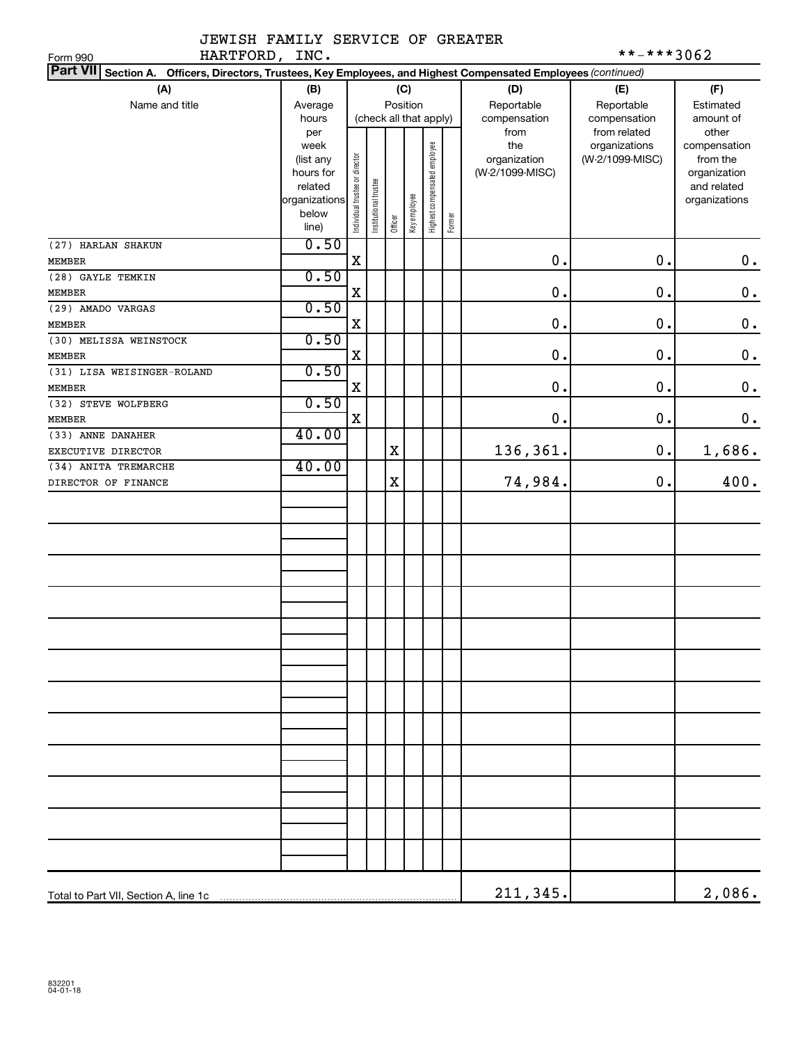|               | JEWISH FAMILY SERVICE OF GREATER |  |
|---------------|----------------------------------|--|
| HARTFORD TNC. |                                  |  |

| HARTFORD, INC.<br>Form 990                                                                                                   |                        |                                |                        |             |              |                              |        |                 | **-***3062                    |                       |
|------------------------------------------------------------------------------------------------------------------------------|------------------------|--------------------------------|------------------------|-------------|--------------|------------------------------|--------|-----------------|-------------------------------|-----------------------|
| <b>Part VII</b><br>Section A.<br>Officers, Directors, Trustees, Key Employees, and Highest Compensated Employees (continued) |                        |                                |                        |             |              |                              |        |                 |                               |                       |
| (A)                                                                                                                          | (B)                    |                                |                        |             | (C)          |                              |        | (D)             | (E)                           | (F)                   |
| Name and title                                                                                                               | Average                |                                |                        |             | Position     |                              |        | Reportable      | Reportable                    | Estimated             |
|                                                                                                                              | hours                  |                                | (check all that apply) |             |              |                              |        | compensation    | compensation                  | amount of             |
|                                                                                                                              | per<br>week            |                                |                        |             |              |                              |        | from<br>the     | from related<br>organizations | other<br>compensation |
|                                                                                                                              | (list any              |                                |                        |             |              |                              |        | organization    | (W-2/1099-MISC)               | from the              |
|                                                                                                                              | hours for              |                                |                        |             |              |                              |        | (W-2/1099-MISC) |                               | organization          |
|                                                                                                                              | related                |                                |                        |             |              |                              |        |                 |                               | and related           |
|                                                                                                                              | organizations<br>below |                                |                        |             |              |                              |        |                 |                               | organizations         |
|                                                                                                                              | line)                  | Individual trustee or director | Institutional trustee  | Officer     | Key employee | Highest compensated employee | Former |                 |                               |                       |
| (27) HARLAN SHAKUN                                                                                                           | 0.50                   |                                |                        |             |              |                              |        |                 |                               |                       |
| <b>MEMBER</b>                                                                                                                |                        | $\mathbf X$                    |                        |             |              |                              |        | $\mathbf 0$ .   | 0.                            | $\mathbf 0$ .         |
| (28) GAYLE TEMKIN                                                                                                            | 0.50                   |                                |                        |             |              |                              |        |                 |                               |                       |
| <b>MEMBER</b>                                                                                                                |                        | X                              |                        |             |              |                              |        | 0.              | $\mathbf 0$ .                 | $\mathbf 0$ .         |
| (29) AMADO VARGAS                                                                                                            | 0.50                   |                                |                        |             |              |                              |        |                 |                               |                       |
| <b>MEMBER</b>                                                                                                                |                        | X                              |                        |             |              |                              |        | 0.              | $\mathbf 0$ .                 | $\mathbf 0$ .         |
| (30) MELISSA WEINSTOCK                                                                                                       | 0.50                   |                                |                        |             |              |                              |        |                 |                               |                       |
| <b>MEMBER</b>                                                                                                                |                        | X                              |                        |             |              |                              |        | 0.              | $\mathbf 0$ .                 | $\mathbf 0$ .         |
| (31) LISA WEISINGER-ROLAND                                                                                                   | 0.50                   |                                |                        |             |              |                              |        | 0.              | $\mathbf 0$ .                 |                       |
| <b>MEMBER</b><br>(32) STEVE WOLFBERG                                                                                         | 0.50                   | X                              |                        |             |              |                              |        |                 |                               | $\mathbf 0$ .         |
| <b>MEMBER</b>                                                                                                                |                        | X                              |                        |             |              |                              |        | 0.              | $\mathbf 0$ .                 | $\mathbf 0$ .         |
| (33) ANNE DANAHER                                                                                                            | 40.00                  |                                |                        |             |              |                              |        |                 |                               |                       |
| EXECUTIVE DIRECTOR                                                                                                           |                        |                                |                        | $\mathbf X$ |              |                              |        | 136,361.        | 0.                            | 1,686.                |
| (34) ANITA TREMARCHE                                                                                                         | 40.00                  |                                |                        |             |              |                              |        |                 |                               |                       |
| DIRECTOR OF FINANCE                                                                                                          |                        |                                |                        | $\mathbf X$ |              |                              |        | 74,984.         | 0.                            | 400.                  |
|                                                                                                                              |                        |                                |                        |             |              |                              |        |                 |                               |                       |
|                                                                                                                              |                        |                                |                        |             |              |                              |        |                 |                               |                       |
|                                                                                                                              |                        |                                |                        |             |              |                              |        |                 |                               |                       |
|                                                                                                                              |                        |                                |                        |             |              |                              |        |                 |                               |                       |
|                                                                                                                              |                        |                                |                        |             |              |                              |        |                 |                               |                       |
|                                                                                                                              |                        |                                |                        |             |              |                              |        |                 |                               |                       |
|                                                                                                                              |                        |                                |                        |             |              |                              |        |                 |                               |                       |
|                                                                                                                              |                        |                                |                        |             |              |                              |        |                 |                               |                       |
|                                                                                                                              |                        |                                |                        |             |              |                              |        |                 |                               |                       |
|                                                                                                                              |                        |                                |                        |             |              |                              |        |                 |                               |                       |
|                                                                                                                              |                        |                                |                        |             |              |                              |        |                 |                               |                       |
|                                                                                                                              |                        |                                |                        |             |              |                              |        |                 |                               |                       |
|                                                                                                                              |                        |                                |                        |             |              |                              |        |                 |                               |                       |
|                                                                                                                              |                        |                                |                        |             |              |                              |        |                 |                               |                       |
|                                                                                                                              |                        |                                |                        |             |              |                              |        |                 |                               |                       |
|                                                                                                                              |                        |                                |                        |             |              |                              |        |                 |                               |                       |
|                                                                                                                              |                        |                                |                        |             |              |                              |        |                 |                               |                       |
|                                                                                                                              |                        |                                |                        |             |              |                              |        |                 |                               |                       |
|                                                                                                                              |                        |                                |                        |             |              |                              |        |                 |                               |                       |
|                                                                                                                              |                        |                                |                        |             |              |                              |        |                 |                               |                       |
|                                                                                                                              |                        |                                |                        |             |              |                              |        |                 |                               |                       |
|                                                                                                                              |                        |                                |                        |             |              |                              |        |                 |                               |                       |
|                                                                                                                              |                        |                                |                        |             |              |                              |        |                 |                               |                       |
|                                                                                                                              |                        |                                |                        |             |              |                              |        |                 |                               |                       |
| Total to Part VII, Section A, line 1c                                                                                        |                        |                                |                        |             |              |                              |        | 211,345.        |                               | 2,086.                |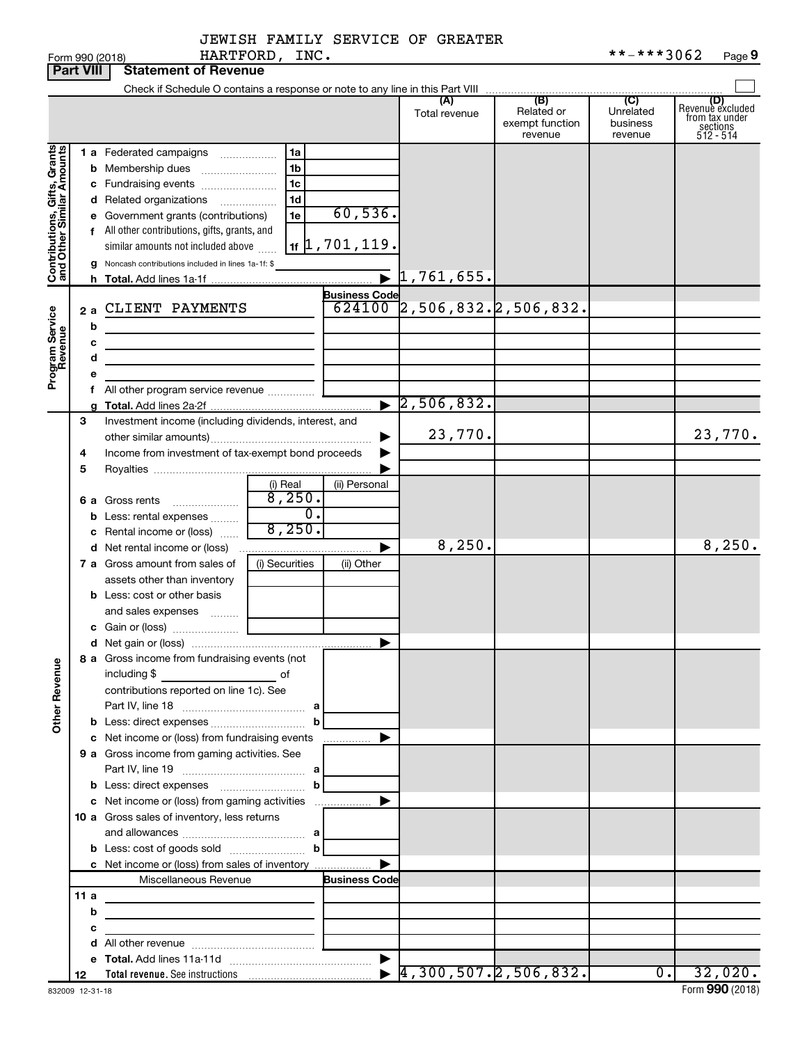|  | JEWISH FAMILY SERVICE OF GREATER |  |
|--|----------------------------------|--|
|  |                                  |  |

|                              |      |   | Form 990 (2018)                                                            | HARTFORD, INC.      |                                     |                                  |                                                 | **-***3062                                         | Page 9                                                             |
|------------------------------|------|---|----------------------------------------------------------------------------|---------------------|-------------------------------------|----------------------------------|-------------------------------------------------|----------------------------------------------------|--------------------------------------------------------------------|
| <b>Part VIII</b>             |      |   | <b>Statement of Revenue</b>                                                |                     |                                     |                                  |                                                 |                                                    |                                                                    |
|                              |      |   |                                                                            |                     |                                     |                                  |                                                 |                                                    |                                                                    |
|                              |      |   |                                                                            |                     |                                     | (A)<br>Total revenue             | (B)<br>Related or<br>exempt function<br>revenue | $\overline{C}$<br>Unrelated<br>business<br>revenue | (D)<br>Revenue excluded<br>from tax under<br>sections<br>512 - 514 |
|                              |      |   | 1 a Federated campaigns                                                    | 1a                  |                                     |                                  |                                                 |                                                    |                                                                    |
| Contributions, Gifts, Grants |      |   | <b>b</b> Membership dues                                                   | 1 <sub>b</sub>      |                                     |                                  |                                                 |                                                    |                                                                    |
|                              |      |   | c Fundraising events                                                       | 1 <sub>c</sub>      |                                     |                                  |                                                 |                                                    |                                                                    |
|                              |      |   | d Related organizations                                                    | 1 <sub>d</sub><br>. |                                     |                                  |                                                 |                                                    |                                                                    |
|                              |      |   | e Government grants (contributions)                                        | 1e                  | 60,536.                             |                                  |                                                 |                                                    |                                                                    |
|                              |      |   | f All other contributions, gifts, grants, and                              |                     |                                     |                                  |                                                 |                                                    |                                                                    |
|                              |      |   |                                                                            |                     | $1$ if $\left 1, 701, 119\right $ . |                                  |                                                 |                                                    |                                                                    |
|                              |      |   | similar amounts not included above                                         |                     |                                     |                                  |                                                 |                                                    |                                                                    |
|                              |      | g | Noncash contributions included in lines 1a-1f: \$                          |                     |                                     | $\overline{\bullet}$ 1,761,655.  |                                                 |                                                    |                                                                    |
|                              |      |   |                                                                            |                     |                                     |                                  |                                                 |                                                    |                                                                    |
|                              |      |   |                                                                            |                     | <b>Business Code</b>                |                                  |                                                 |                                                    |                                                                    |
|                              | 2a   |   | CLIENT PAYMENTS                                                            |                     |                                     | $624100$ 2,506,832.2,506,832.    |                                                 |                                                    |                                                                    |
|                              |      | b |                                                                            |                     |                                     |                                  |                                                 |                                                    |                                                                    |
|                              |      | с |                                                                            |                     |                                     |                                  |                                                 |                                                    |                                                                    |
|                              |      | d | the control of the control of the control of the control of                |                     |                                     |                                  |                                                 |                                                    |                                                                    |
| Program Service<br>Revenue   |      |   |                                                                            |                     |                                     |                                  |                                                 |                                                    |                                                                    |
|                              |      |   | f All other program service revenue                                        |                     |                                     |                                  |                                                 |                                                    |                                                                    |
|                              |      |   |                                                                            |                     |                                     | $\blacktriangleright$ 2,506,832. |                                                 |                                                    |                                                                    |
|                              | З    |   | Investment income (including dividends, interest, and                      |                     |                                     |                                  |                                                 |                                                    |                                                                    |
|                              |      |   |                                                                            |                     |                                     | 23,770.                          |                                                 |                                                    | 23,770.                                                            |
|                              | 4    |   | Income from investment of tax-exempt bond proceeds                         |                     |                                     |                                  |                                                 |                                                    |                                                                    |
|                              | 5    |   |                                                                            |                     |                                     |                                  |                                                 |                                                    |                                                                    |
|                              |      |   |                                                                            | (i) Real            | (ii) Personal                       |                                  |                                                 |                                                    |                                                                    |
|                              |      |   | 6 a Gross rents                                                            | 8,250.              |                                     |                                  |                                                 |                                                    |                                                                    |
|                              |      |   | <b>b</b> Less: rental expenses                                             | $\overline{0}$ .    |                                     |                                  |                                                 |                                                    |                                                                    |
|                              |      |   | c Rental income or (loss)                                                  | 8,250.              |                                     |                                  |                                                 |                                                    |                                                                    |
|                              |      |   | <b>d</b> Net rental income or (loss)                                       |                     | ▶                                   | 8, 250.                          |                                                 |                                                    | 8, 250.                                                            |
|                              |      |   | 7 a Gross amount from sales of                                             | (i) Securities      | (ii) Other                          |                                  |                                                 |                                                    |                                                                    |
|                              |      |   | assets other than inventory                                                |                     |                                     |                                  |                                                 |                                                    |                                                                    |
|                              |      |   | <b>b</b> Less: cost or other basis                                         |                     |                                     |                                  |                                                 |                                                    |                                                                    |
|                              |      |   | and sales expenses                                                         |                     |                                     |                                  |                                                 |                                                    |                                                                    |
|                              |      |   |                                                                            |                     |                                     |                                  |                                                 |                                                    |                                                                    |
|                              |      |   |                                                                            |                     |                                     |                                  |                                                 |                                                    |                                                                    |
|                              |      |   | 8 a Gross income from fundraising events (not                              |                     |                                     |                                  |                                                 |                                                    |                                                                    |
|                              |      |   | including \$                                                               |                     |                                     |                                  |                                                 |                                                    |                                                                    |
|                              |      |   | contributions reported on line 1c). See                                    |                     |                                     |                                  |                                                 |                                                    |                                                                    |
| <b>Other Revenue</b>         |      |   |                                                                            |                     |                                     |                                  |                                                 |                                                    |                                                                    |
|                              |      |   |                                                                            |                     |                                     |                                  |                                                 |                                                    |                                                                    |
|                              |      |   | c Net income or (loss) from fundraising events                             |                     | ▶                                   |                                  |                                                 |                                                    |                                                                    |
|                              |      |   | 9 a Gross income from gaming activities. See                               |                     | .                                   |                                  |                                                 |                                                    |                                                                    |
|                              |      |   |                                                                            |                     |                                     |                                  |                                                 |                                                    |                                                                    |
|                              |      |   |                                                                            |                     |                                     |                                  |                                                 |                                                    |                                                                    |
|                              |      |   |                                                                            |                     | ▶                                   |                                  |                                                 |                                                    |                                                                    |
|                              |      |   | c Net income or (loss) from gaming activities                              |                     |                                     |                                  |                                                 |                                                    |                                                                    |
|                              |      |   | 10 a Gross sales of inventory, less returns                                |                     |                                     |                                  |                                                 |                                                    |                                                                    |
|                              |      |   |                                                                            |                     |                                     |                                  |                                                 |                                                    |                                                                    |
|                              |      |   | <b>b</b> Less: cost of goods sold $\ldots$ <b>b</b>                        |                     |                                     |                                  |                                                 |                                                    |                                                                    |
|                              |      |   | c Net income or (loss) from sales of inventory                             |                     | ▶                                   |                                  |                                                 |                                                    |                                                                    |
|                              |      |   | Miscellaneous Revenue                                                      |                     | <b>Business Code</b>                |                                  |                                                 |                                                    |                                                                    |
|                              | 11 a |   |                                                                            |                     |                                     |                                  |                                                 |                                                    |                                                                    |
|                              |      | b | the control of the control of the control of the control of the control of |                     |                                     |                                  |                                                 |                                                    |                                                                    |
|                              |      | с | the control of the control of the control of the control of                |                     |                                     |                                  |                                                 |                                                    |                                                                    |
|                              |      |   |                                                                            |                     |                                     |                                  |                                                 |                                                    |                                                                    |
|                              |      |   |                                                                            |                     |                                     |                                  |                                                 | $\overline{0.}$                                    |                                                                    |
|                              | 12   |   |                                                                            |                     |                                     |                                  | $\blacktriangleright$ 4,300,507. 2,506,832.     |                                                    | 32,020.                                                            |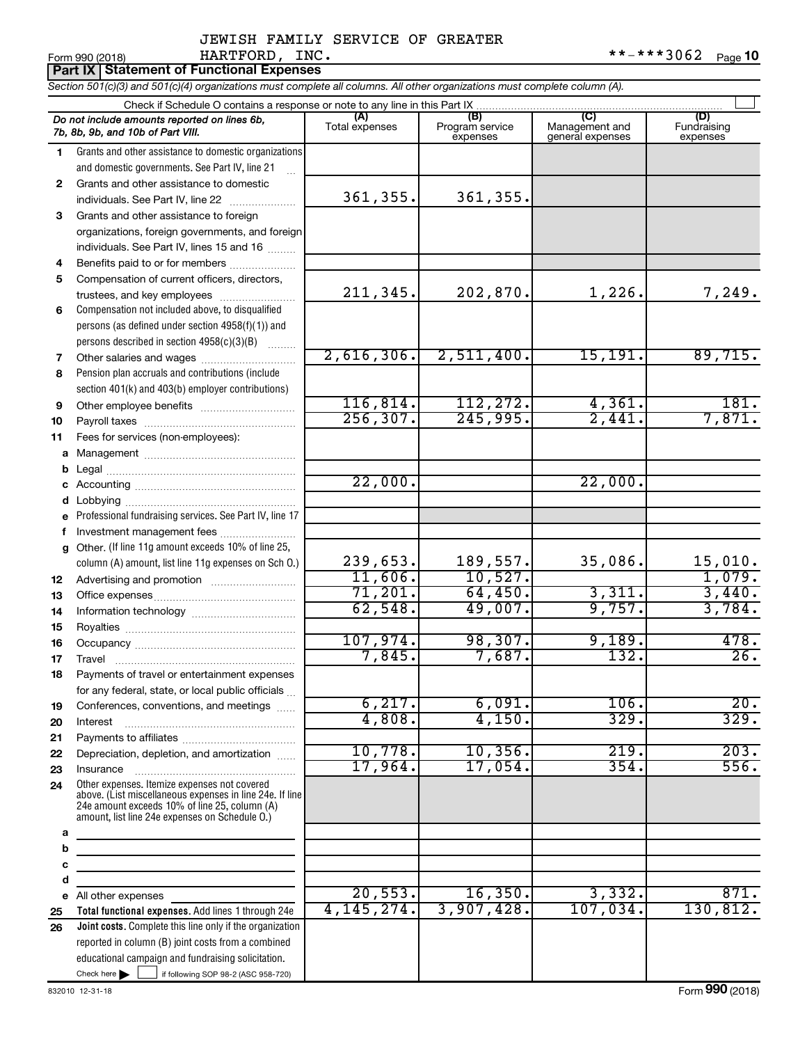#### JEWISH FAMILY SERVICE OF GREATER HARTFORD, INC.

**Part IX Statement of Functional Expenses**

*Section 501(c)(3) and 501(c)(4) organizations must complete all columns. All other organizations must complete column (A).*

|              | Check if Schedule O contains a response or note to any line in this Part IX                                                                                                                                 |                       |                                    |                                    |                                |  |  |  |  |  |
|--------------|-------------------------------------------------------------------------------------------------------------------------------------------------------------------------------------------------------------|-----------------------|------------------------------------|------------------------------------|--------------------------------|--|--|--|--|--|
|              | Do not include amounts reported on lines 6b,<br>7b, 8b, 9b, and 10b of Part VIII.                                                                                                                           | (A)<br>Total expenses | (B)<br>Program service<br>expenses | Management and<br>general expenses | (D)<br>Fundraising<br>expenses |  |  |  |  |  |
| 1.           | Grants and other assistance to domestic organizations                                                                                                                                                       |                       |                                    |                                    |                                |  |  |  |  |  |
|              | and domestic governments. See Part IV, line 21                                                                                                                                                              |                       |                                    |                                    |                                |  |  |  |  |  |
| $\mathbf{2}$ | Grants and other assistance to domestic                                                                                                                                                                     |                       |                                    |                                    |                                |  |  |  |  |  |
|              | individuals. See Part IV, line 22                                                                                                                                                                           | 361,355.              | 361,355.                           |                                    |                                |  |  |  |  |  |
| 3            | Grants and other assistance to foreign                                                                                                                                                                      |                       |                                    |                                    |                                |  |  |  |  |  |
|              | organizations, foreign governments, and foreign                                                                                                                                                             |                       |                                    |                                    |                                |  |  |  |  |  |
|              | individuals. See Part IV, lines 15 and 16                                                                                                                                                                   |                       |                                    |                                    |                                |  |  |  |  |  |
| 4            | Benefits paid to or for members                                                                                                                                                                             |                       |                                    |                                    |                                |  |  |  |  |  |
| 5            | Compensation of current officers, directors,                                                                                                                                                                |                       |                                    |                                    |                                |  |  |  |  |  |
|              | trustees, and key employees                                                                                                                                                                                 | 211,345.              | 202,870.                           | 1,226.                             | 7,249.                         |  |  |  |  |  |
| 6            | Compensation not included above, to disqualified                                                                                                                                                            |                       |                                    |                                    |                                |  |  |  |  |  |
|              | persons (as defined under section 4958(f)(1)) and                                                                                                                                                           |                       |                                    |                                    |                                |  |  |  |  |  |
|              | persons described in section 4958(c)(3)(B)                                                                                                                                                                  |                       |                                    |                                    |                                |  |  |  |  |  |
| 7            |                                                                                                                                                                                                             | 2,616,306.            | 2,511,400.                         | 15, 191.                           | 89,715.                        |  |  |  |  |  |
| 8            | Pension plan accruals and contributions (include                                                                                                                                                            |                       |                                    |                                    |                                |  |  |  |  |  |
|              | section 401(k) and 403(b) employer contributions)                                                                                                                                                           |                       |                                    |                                    |                                |  |  |  |  |  |
| 9            | Other employee benefits                                                                                                                                                                                     | 116,814.              | 112, 272.                          | 4,361.                             | 181.                           |  |  |  |  |  |
| 10           |                                                                                                                                                                                                             | 256, 307.             | 245,995.                           | 2,441.                             | 7,871.                         |  |  |  |  |  |
| 11           | Fees for services (non-employees):                                                                                                                                                                          |                       |                                    |                                    |                                |  |  |  |  |  |
| a            |                                                                                                                                                                                                             |                       |                                    |                                    |                                |  |  |  |  |  |
| b            |                                                                                                                                                                                                             | 22,000.               |                                    | 22,000.                            |                                |  |  |  |  |  |
| c            |                                                                                                                                                                                                             |                       |                                    |                                    |                                |  |  |  |  |  |
| d            |                                                                                                                                                                                                             |                       |                                    |                                    |                                |  |  |  |  |  |
| e            | Professional fundraising services. See Part IV, line 17                                                                                                                                                     |                       |                                    |                                    |                                |  |  |  |  |  |
| f            | Investment management fees<br>Other. (If line 11g amount exceeds 10% of line 25,                                                                                                                            |                       |                                    |                                    |                                |  |  |  |  |  |
| q            | column (A) amount, list line 11g expenses on Sch O.)                                                                                                                                                        | 239,653.              | 189,557.                           | 35,086.                            | 15,010.                        |  |  |  |  |  |
| 12           |                                                                                                                                                                                                             | 11,606.               | 10,527.                            |                                    | 1,079.                         |  |  |  |  |  |
| 13           |                                                                                                                                                                                                             | 71,201.               | 64,450.                            | 3,311.                             | 3,440.                         |  |  |  |  |  |
| 14           |                                                                                                                                                                                                             | 62,548.               | 49,007.                            | 9,757.                             | 3,784.                         |  |  |  |  |  |
| 15           |                                                                                                                                                                                                             |                       |                                    |                                    |                                |  |  |  |  |  |
| 16           |                                                                                                                                                                                                             | 107,974.              | 98,307.                            | 9,189.                             | 478.                           |  |  |  |  |  |
| 17           |                                                                                                                                                                                                             | 7,845.                | 7,687.                             | 132.                               | 26.                            |  |  |  |  |  |
| 18           | Payments of travel or entertainment expenses                                                                                                                                                                |                       |                                    |                                    |                                |  |  |  |  |  |
|              | for any federal, state, or local public officials                                                                                                                                                           |                       |                                    |                                    |                                |  |  |  |  |  |
| 19           | Conferences, conventions, and meetings                                                                                                                                                                      | 6, 217.               | 6,091.                             | 106.                               | 20.                            |  |  |  |  |  |
| 20           | Interest                                                                                                                                                                                                    | 4,808.                | 4,150.                             | 329.                               | 329.                           |  |  |  |  |  |
| 21           |                                                                                                                                                                                                             |                       |                                    |                                    |                                |  |  |  |  |  |
| 22           | Depreciation, depletion, and amortization                                                                                                                                                                   | 10,778.               | 10,356.                            | 219.                               | 203.                           |  |  |  |  |  |
| 23           | Insurance                                                                                                                                                                                                   | 17,964.               | 17,054.                            | 354.                               | 556.                           |  |  |  |  |  |
| 24           | Other expenses. Itemize expenses not covered<br>above. (List miscellaneous expenses in line 24e. If line<br>24e amount exceeds 10% of line 25, column (A)<br>amount, list line 24e expenses on Schedule O.) |                       |                                    |                                    |                                |  |  |  |  |  |
| a            |                                                                                                                                                                                                             |                       |                                    |                                    |                                |  |  |  |  |  |
| b            | <u> 1990 - Johann Barbara, martin a</u>                                                                                                                                                                     |                       |                                    |                                    |                                |  |  |  |  |  |
| с            |                                                                                                                                                                                                             |                       |                                    |                                    |                                |  |  |  |  |  |
| d            |                                                                                                                                                                                                             |                       |                                    |                                    |                                |  |  |  |  |  |
| е            | All other expenses                                                                                                                                                                                          | 20,553.               | 16,350.                            | 3,332.                             | 871.                           |  |  |  |  |  |
| 25           | Total functional expenses. Add lines 1 through 24e                                                                                                                                                          | 4, 145, 274.          | 3,907,428.                         | 107,034.                           | 130,812.                       |  |  |  |  |  |
| 26           | Joint costs. Complete this line only if the organization                                                                                                                                                    |                       |                                    |                                    |                                |  |  |  |  |  |
|              | reported in column (B) joint costs from a combined                                                                                                                                                          |                       |                                    |                                    |                                |  |  |  |  |  |
|              | educational campaign and fundraising solicitation.                                                                                                                                                          |                       |                                    |                                    |                                |  |  |  |  |  |
|              | Check here $\blacktriangleright$<br>if following SOP 98-2 (ASC 958-720)                                                                                                                                     |                       |                                    |                                    |                                |  |  |  |  |  |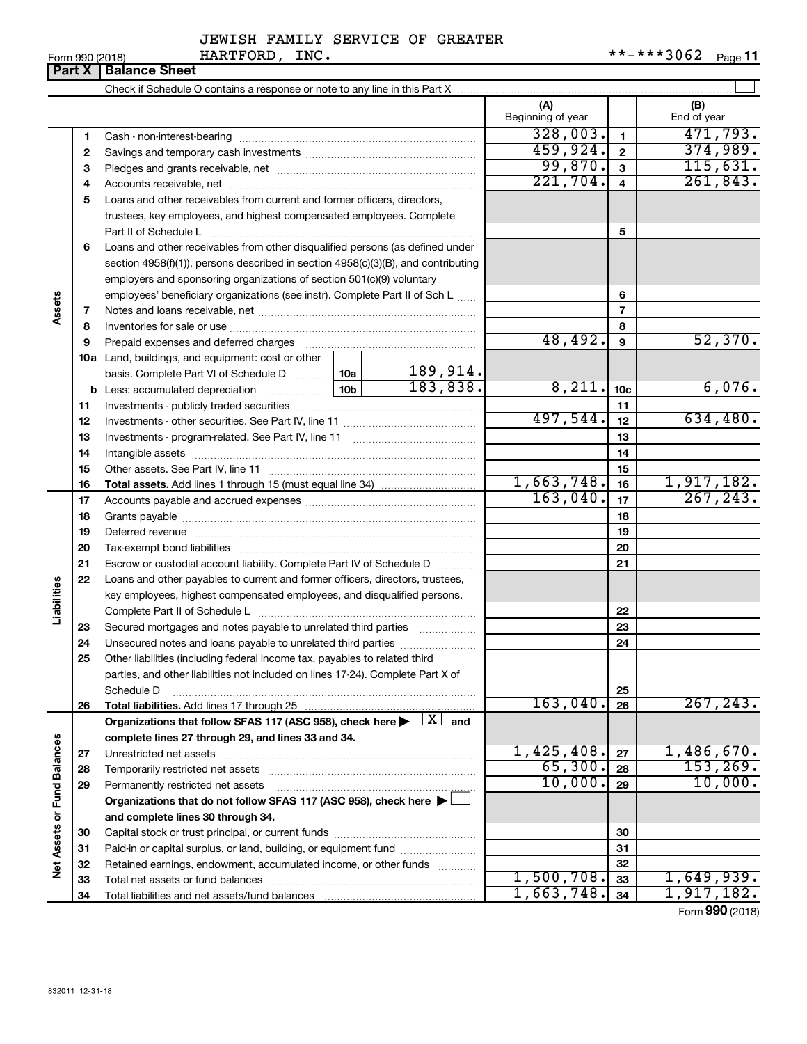#### JEWISH FAMILY SERVICE OF GREATER HARTFORD, INC. \*\*-\*\*\*3062

|             |        | HARTFORD, INC.<br>Form 990 (2018)                                                                                                                                                                                              |  |                     |                          |                         | **-***3062<br>Page 11 |
|-------------|--------|--------------------------------------------------------------------------------------------------------------------------------------------------------------------------------------------------------------------------------|--|---------------------|--------------------------|-------------------------|-----------------------|
|             | Part X | <b>Balance Sheet</b>                                                                                                                                                                                                           |  |                     |                          |                         |                       |
|             |        |                                                                                                                                                                                                                                |  |                     |                          |                         |                       |
|             |        |                                                                                                                                                                                                                                |  |                     | (A)<br>Beginning of year |                         | (B)<br>End of year    |
|             | 1      |                                                                                                                                                                                                                                |  |                     | 328,003.                 | $\mathbf{1}$            | 471, 793.             |
|             | 2      |                                                                                                                                                                                                                                |  |                     | 459,924.                 | $\overline{2}$          | 374,989.              |
|             | З      |                                                                                                                                                                                                                                |  |                     | 99,870.                  | $\mathbf{3}$            | 115,631.              |
|             | 4      |                                                                                                                                                                                                                                |  |                     | 221,704.                 | $\overline{\mathbf{4}}$ | 261,843.              |
|             | 5      | Loans and other receivables from current and former officers, directors,                                                                                                                                                       |  |                     |                          |                         |                       |
|             |        | trustees, key employees, and highest compensated employees. Complete                                                                                                                                                           |  |                     |                          | 5                       |                       |
|             | 6      | Loans and other receivables from other disqualified persons (as defined under                                                                                                                                                  |  |                     |                          |                         |                       |
|             |        | section $4958(f)(1)$ , persons described in section $4958(c)(3)(B)$ , and contributing                                                                                                                                         |  |                     |                          |                         |                       |
|             |        | employers and sponsoring organizations of section 501(c)(9) voluntary                                                                                                                                                          |  |                     |                          |                         |                       |
|             |        | employees' beneficiary organizations (see instr). Complete Part II of Sch L                                                                                                                                                    |  |                     | 6                        |                         |                       |
| Assets      | 7      |                                                                                                                                                                                                                                |  |                     | 7                        |                         |                       |
|             | 8      |                                                                                                                                                                                                                                |  |                     | 8                        |                         |                       |
|             | 9      | Prepaid expenses and deferred charges [11] [11] prepaid expenses and deferred charges [11] [11] presummation and the Prepaid expension and the Prepaid expension and the Prepaid experiment of Prepaid experiment and the Prep |  |                     | 48,492.                  | 9                       | 52,370.               |
|             |        | 10a Land, buildings, and equipment: cost or other                                                                                                                                                                              |  |                     |                          |                         |                       |
|             |        | basis. Complete Part VI of Schedule D  10a                                                                                                                                                                                     |  | 189,914.            |                          |                         |                       |
|             |        |                                                                                                                                                                                                                                |  | 183, 838.           | 8,211.                   | 10 <sub>c</sub>         | 6,076.                |
|             | 11     |                                                                                                                                                                                                                                |  |                     |                          | 11                      |                       |
|             | 12     |                                                                                                                                                                                                                                |  |                     | 497,544.                 | 12                      | 634,480.              |
|             | 13     |                                                                                                                                                                                                                                |  |                     |                          | 13                      |                       |
|             | 14     |                                                                                                                                                                                                                                |  |                     |                          | 14                      |                       |
|             | 15     |                                                                                                                                                                                                                                |  |                     |                          | 15                      |                       |
|             | 16     |                                                                                                                                                                                                                                |  |                     | 1,663,748.               | 16                      | 1,917,182.            |
|             | 17     |                                                                                                                                                                                                                                |  |                     | 163,040.                 | 17                      | 267, 243.             |
|             | 18     |                                                                                                                                                                                                                                |  |                     |                          | 18                      |                       |
|             | 19     | Deferred revenue manual contracts and contracts are all the manual contracts and contracts are contracted and contracts are contracted and contract are contracted and contract are contracted and contract are contracted and |  |                     |                          | 19                      |                       |
|             | 20     |                                                                                                                                                                                                                                |  |                     |                          | 20                      |                       |
|             | 21     | Escrow or custodial account liability. Complete Part IV of Schedule D                                                                                                                                                          |  | 1.1.1.1.1.1.1.1.1.1 |                          | 21                      |                       |
|             | 22     | Loans and other payables to current and former officers, directors, trustees,                                                                                                                                                  |  |                     |                          |                         |                       |
|             |        | key employees, highest compensated employees, and disqualified persons.                                                                                                                                                        |  |                     |                          |                         |                       |
| Liabilities |        | Complete Part II of Schedule L                                                                                                                                                                                                 |  |                     |                          | 22                      |                       |
|             | 23     | Secured mortgages and notes payable to unrelated third parties                                                                                                                                                                 |  |                     | 23                       |                         |                       |

#### **24 24** Unsecured notes and loans payable to unrelated third parties  $\ldots$  $\ldots$  $\ldots$  $\ldots$  $\ldots$ **25** Other liabilities (including federal income tax, payables to related third parties, and other liabilities not included on lines 17-24). Complete Part X of Schedule D ~~~~~~~~~~~~~~~~~~~~~~~~~~~~~~~~ **25**  $163,040.$  267,243. **26 26 Total liabilities.**  Add lines 17 through 25 Organizations that follow SFAS 117 (ASC 958), check here  $\blacktriangleright$   $\boxed{X}$  and **complete lines 27 through 29, and lines 33 and 34.** Net Assets or Fund Balances **Net Assets or Fund Balances**  $1,425,408$ .  $|z_7|$  1,486,670. **27 27** Unrestricted net assets ~~~~~~~~~~~~~~~~~~~~~~~~~~~  $65,300$ .  $28$  153,269. **28 28** Temporarily restricted net assets ~~~~~~~~~~~~~~~~~~~~~~ 10,000. 10,000. **29 29** Permanently restricted net assets ~~~~~~~~~~~~~~~~~~~~~ **Organizations that do not follow SFAS 117 (ASC 958), check here** | † **and complete lines 30 through 34. 30 30** Capital stock or trust principal, or current funds ~~~~~~~~~~~~~~~ **31 31** Paid-in or capital surplus, or land, building, or equipment fund ....................... **32 32** Retained earnings, endowment, accumulated income, or other funds ............  $1,500,708.$  33 1,649,939. Total net assets or fund balances ~~~~~~~~~~~~~~~~~~~~~~ **33 33** 1,663,748. 1,917,182.**34** Total liabilities and net assets/fund balances **34**

Form (2018) **990**

|  | Form 990 (2018) |  |
|--|-----------------|--|
|  |                 |  |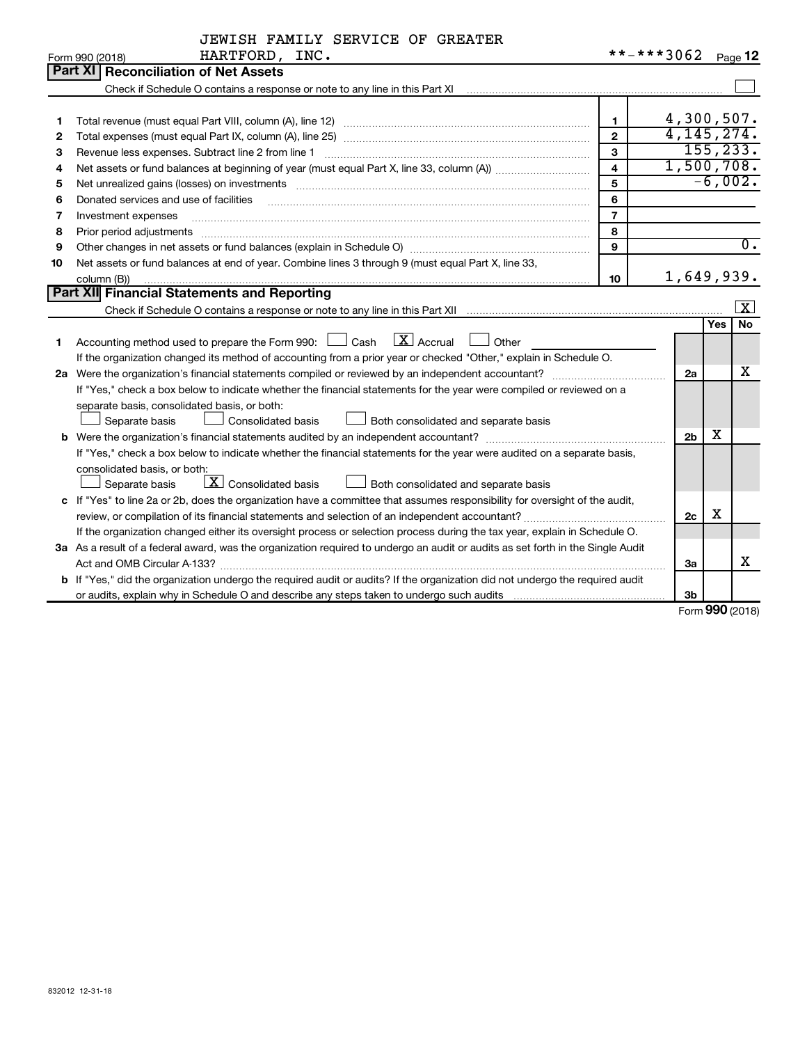|  | JEWISH FAMILY SERVICE OF GREATER |  |
|--|----------------------------------|--|
|  |                                  |  |

|    | HARTFORD, INC.<br>Form 990 (2018)                                                                                               | **-***3062     |                |               | Page 12                 |
|----|---------------------------------------------------------------------------------------------------------------------------------|----------------|----------------|---------------|-------------------------|
|    | Part XI   Reconciliation of Net Assets                                                                                          |                |                |               |                         |
|    | Check if Schedule O contains a response or note to any line in this Part XI                                                     |                |                |               |                         |
|    |                                                                                                                                 |                |                |               |                         |
| 1  |                                                                                                                                 | 1.             | 4,300,507.     |               |                         |
| 2  |                                                                                                                                 | $\mathbf{2}$   | 4, 145, 274.   |               |                         |
| 3  | Revenue less expenses. Subtract line 2 from line 1                                                                              | $\mathbf{3}$   |                | 155, 233.     |                         |
| 4  |                                                                                                                                 | $\overline{4}$ | 1,500,708.     |               |                         |
| 5  |                                                                                                                                 | 5              |                | $-6,002.$     |                         |
| 6  | Donated services and use of facilities                                                                                          | 6              |                |               |                         |
| 7  | Investment expenses                                                                                                             | $\overline{7}$ |                |               |                         |
| 8  | Prior period adjustments                                                                                                        | 8              |                |               |                         |
| 9  |                                                                                                                                 | 9              |                |               | $\overline{0}$ .        |
| 10 | Net assets or fund balances at end of year. Combine lines 3 through 9 (must equal Part X, line 33,                              |                |                |               |                         |
|    | column (B))                                                                                                                     | 10             | 1,649,939.     |               |                         |
|    | Part XII Financial Statements and Reporting                                                                                     |                |                |               |                         |
|    |                                                                                                                                 |                |                |               | $\overline{\mathbf{x}}$ |
|    |                                                                                                                                 |                |                | Yes           | <b>No</b>               |
| 1  | $\overline{X}$ Accrual<br>Accounting method used to prepare the Form 990: [130] Cash<br>Other                                   |                |                |               |                         |
|    | If the organization changed its method of accounting from a prior year or checked "Other," explain in Schedule O.               |                |                |               |                         |
|    | 2a Were the organization's financial statements compiled or reviewed by an independent accountant?                              |                | 2a             |               | х                       |
|    | If "Yes," check a box below to indicate whether the financial statements for the year were compiled or reviewed on a            |                |                |               |                         |
|    | separate basis, consolidated basis, or both:                                                                                    |                |                |               |                         |
|    | Both consolidated and separate basis<br>Separate basis<br>Consolidated basis                                                    |                |                |               |                         |
|    |                                                                                                                                 |                | 2 <sub>b</sub> | х             |                         |
|    | If "Yes," check a box below to indicate whether the financial statements for the year were audited on a separate basis,         |                |                |               |                         |
|    | consolidated basis, or both:                                                                                                    |                |                |               |                         |
|    | $\lfloor \mathbf{X} \rfloor$ Consolidated basis<br>Separate basis<br>Both consolidated and separate basis                       |                |                |               |                         |
|    | c If "Yes" to line 2a or 2b, does the organization have a committee that assumes responsibility for oversight of the audit,     |                |                |               |                         |
|    |                                                                                                                                 |                | 2c             | х             |                         |
|    | If the organization changed either its oversight process or selection process during the tax year, explain in Schedule O.       |                |                |               |                         |
|    | 3a As a result of a federal award, was the organization required to undergo an audit or audits as set forth in the Single Audit |                |                |               |                         |
|    | Act and OMB Circular A-133?                                                                                                     |                | За             |               | x                       |
|    | b If "Yes," did the organization undergo the required audit or audits? If the organization did not undergo the required audit   |                |                |               |                         |
|    |                                                                                                                                 |                | Зb             | $000 \approx$ |                         |

Form (2018) **990**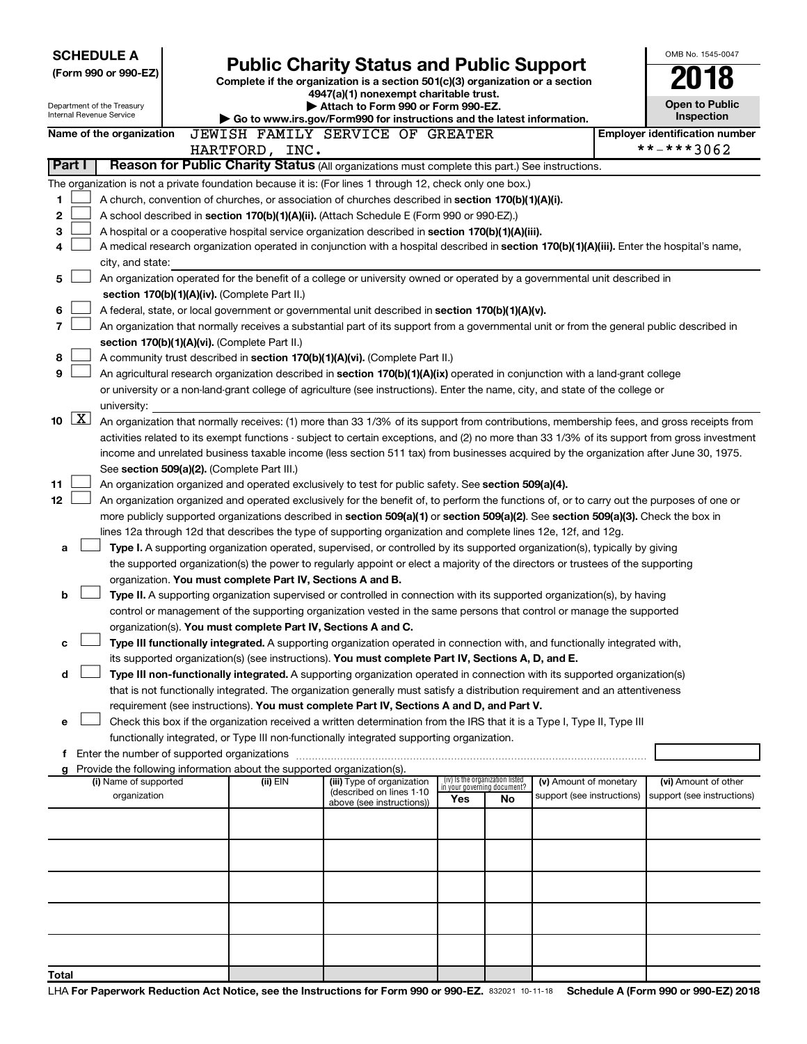| Internal Revenue Service<br>Inspection<br>Go to www.irs.gov/Form990 for instructions and the latest information.<br>JEWISH FAMILY SERVICE OF GREATER<br>Name of the organization<br><b>Employer identification number</b><br>**-***3062<br>HARTFORD, INC.<br>Reason for Public Charity Status (All organizations must complete this part.) See instructions.<br>Part I |  |
|------------------------------------------------------------------------------------------------------------------------------------------------------------------------------------------------------------------------------------------------------------------------------------------------------------------------------------------------------------------------|--|
|                                                                                                                                                                                                                                                                                                                                                                        |  |
|                                                                                                                                                                                                                                                                                                                                                                        |  |
|                                                                                                                                                                                                                                                                                                                                                                        |  |
| The organization is not a private foundation because it is: (For lines 1 through 12, check only one box.)                                                                                                                                                                                                                                                              |  |
| 1<br>A church, convention of churches, or association of churches described in section 170(b)(1)(A)(i).                                                                                                                                                                                                                                                                |  |
| 2<br>A school described in section 170(b)(1)(A)(ii). (Attach Schedule E (Form 990 or 990-EZ).)                                                                                                                                                                                                                                                                         |  |
| 3<br>A hospital or a cooperative hospital service organization described in section 170(b)(1)(A)(iii).                                                                                                                                                                                                                                                                 |  |
| A medical research organization operated in conjunction with a hospital described in section 170(b)(1)(A)(iii). Enter the hospital's name,<br>4                                                                                                                                                                                                                        |  |
| city, and state:                                                                                                                                                                                                                                                                                                                                                       |  |
| 5<br>An organization operated for the benefit of a college or university owned or operated by a governmental unit described in                                                                                                                                                                                                                                         |  |
| section 170(b)(1)(A)(iv). (Complete Part II.)                                                                                                                                                                                                                                                                                                                          |  |
| 6<br>A federal, state, or local government or governmental unit described in section 170(b)(1)(A)(v).                                                                                                                                                                                                                                                                  |  |
| 7<br>An organization that normally receives a substantial part of its support from a governmental unit or from the general public described in                                                                                                                                                                                                                         |  |
| section 170(b)(1)(A)(vi). (Complete Part II.)                                                                                                                                                                                                                                                                                                                          |  |
| 8<br>A community trust described in section 170(b)(1)(A)(vi). (Complete Part II.)                                                                                                                                                                                                                                                                                      |  |
| 9<br>An agricultural research organization described in section 170(b)(1)(A)(ix) operated in conjunction with a land-grant college                                                                                                                                                                                                                                     |  |
| or university or a non-land-grant college of agriculture (see instructions). Enter the name, city, and state of the college or                                                                                                                                                                                                                                         |  |
| university:<br>$\mathbf{X}$                                                                                                                                                                                                                                                                                                                                            |  |
| 10<br>An organization that normally receives: (1) more than 33 1/3% of its support from contributions, membership fees, and gross receipts from                                                                                                                                                                                                                        |  |
| activities related to its exempt functions - subject to certain exceptions, and (2) no more than 33 1/3% of its support from gross investment<br>income and unrelated business taxable income (less section 511 tax) from businesses acquired by the organization after June 30, 1975.                                                                                 |  |
| See section 509(a)(2). (Complete Part III.)                                                                                                                                                                                                                                                                                                                            |  |
| 11<br>An organization organized and operated exclusively to test for public safety. See section 509(a)(4).                                                                                                                                                                                                                                                             |  |
| 12<br>An organization organized and operated exclusively for the benefit of, to perform the functions of, or to carry out the purposes of one or                                                                                                                                                                                                                       |  |
| more publicly supported organizations described in section 509(a)(1) or section 509(a)(2). See section 509(a)(3). Check the box in                                                                                                                                                                                                                                     |  |
| lines 12a through 12d that describes the type of supporting organization and complete lines 12e, 12f, and 12g.                                                                                                                                                                                                                                                         |  |
| Type I. A supporting organization operated, supervised, or controlled by its supported organization(s), typically by giving<br>а                                                                                                                                                                                                                                       |  |
| the supported organization(s) the power to regularly appoint or elect a majority of the directors or trustees of the supporting                                                                                                                                                                                                                                        |  |
| organization. You must complete Part IV, Sections A and B.                                                                                                                                                                                                                                                                                                             |  |
| Type II. A supporting organization supervised or controlled in connection with its supported organization(s), by having<br>b                                                                                                                                                                                                                                           |  |
| control or management of the supporting organization vested in the same persons that control or manage the supported                                                                                                                                                                                                                                                   |  |
| organization(s). You must complete Part IV, Sections A and C.                                                                                                                                                                                                                                                                                                          |  |
| Type III functionally integrated. A supporting organization operated in connection with, and functionally integrated with,<br>c                                                                                                                                                                                                                                        |  |
| its supported organization(s) (see instructions). You must complete Part IV, Sections A, D, and E.                                                                                                                                                                                                                                                                     |  |
| Type III non-functionally integrated. A supporting organization operated in connection with its supported organization(s)<br>d                                                                                                                                                                                                                                         |  |
| that is not functionally integrated. The organization generally must satisfy a distribution requirement and an attentiveness                                                                                                                                                                                                                                           |  |
| requirement (see instructions). You must complete Part IV, Sections A and D, and Part V.                                                                                                                                                                                                                                                                               |  |
| Check this box if the organization received a written determination from the IRS that it is a Type I, Type II, Type III<br>е                                                                                                                                                                                                                                           |  |
| functionally integrated, or Type III non-functionally integrated supporting organization.                                                                                                                                                                                                                                                                              |  |
| f Enter the number of supported organizations<br>g Provide the following information about the supported organization(s).                                                                                                                                                                                                                                              |  |
| (iv) Is the organization listed<br>(i) Name of supported<br>$(ii)$ EIN<br>(iii) Type of organization<br>(v) Amount of monetary<br>(vi) Amount of other<br>in your governing document?                                                                                                                                                                                  |  |
| (described on lines 1-10<br>organization<br>support (see instructions)<br>support (see instructions)<br>Yes<br>No<br>above (see instructions))                                                                                                                                                                                                                         |  |
|                                                                                                                                                                                                                                                                                                                                                                        |  |
|                                                                                                                                                                                                                                                                                                                                                                        |  |
|                                                                                                                                                                                                                                                                                                                                                                        |  |
|                                                                                                                                                                                                                                                                                                                                                                        |  |
|                                                                                                                                                                                                                                                                                                                                                                        |  |
|                                                                                                                                                                                                                                                                                                                                                                        |  |
|                                                                                                                                                                                                                                                                                                                                                                        |  |
|                                                                                                                                                                                                                                                                                                                                                                        |  |
| Total                                                                                                                                                                                                                                                                                                                                                                  |  |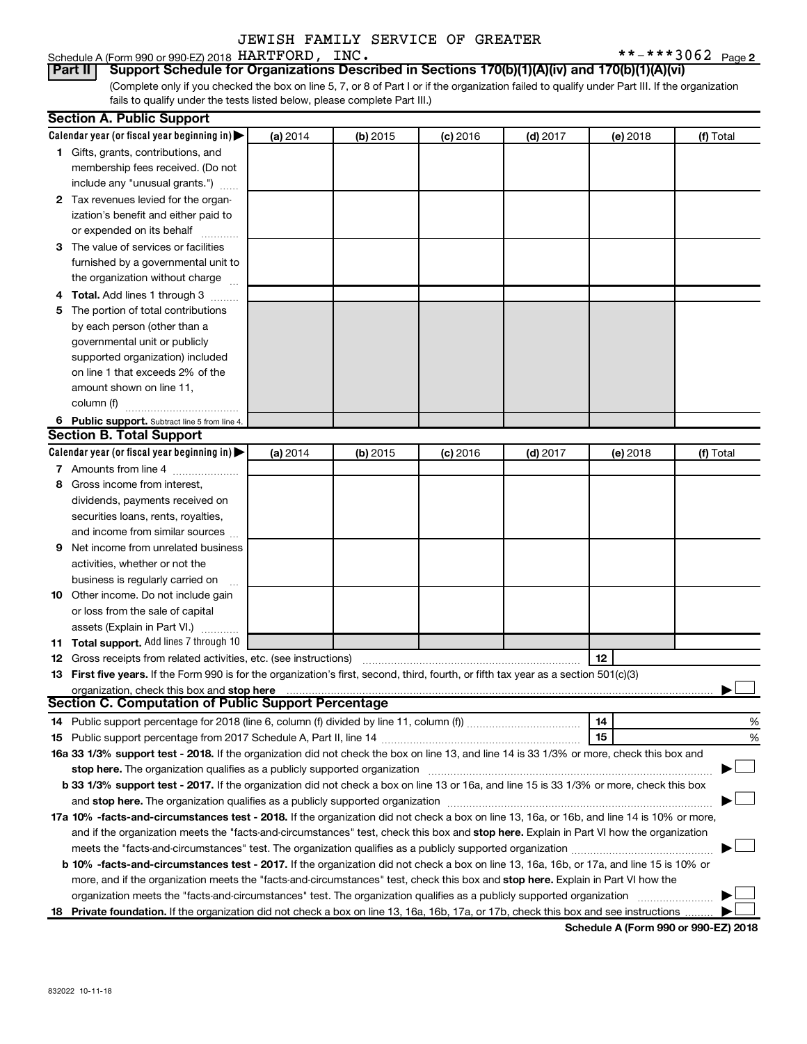Schedule A (Form 990 or 990-EZ) 2018 Page HARTFORD, INC. \*\*-\*\*\*3062

 $***$   $***$  3062 Page 2

(Complete only if you checked the box on line 5, 7, or 8 of Part I or if the organization failed to qualify under Part III. If the organization fails to qualify under the tests listed below, please complete Part III.) **Part II Support Schedule for Organizations Described in Sections 170(b)(1)(A)(iv) and 170(b)(1)(A)(vi)**

|   | <b>Section A. Public Support</b>                                                                                                           |          |          |            |            |          |           |
|---|--------------------------------------------------------------------------------------------------------------------------------------------|----------|----------|------------|------------|----------|-----------|
|   | Calendar year (or fiscal year beginning in)                                                                                                | (a) 2014 | (b) 2015 | $(c)$ 2016 | $(d)$ 2017 | (e) 2018 | (f) Total |
|   | 1 Gifts, grants, contributions, and                                                                                                        |          |          |            |            |          |           |
|   | membership fees received. (Do not                                                                                                          |          |          |            |            |          |           |
|   | include any "unusual grants.")                                                                                                             |          |          |            |            |          |           |
|   | 2 Tax revenues levied for the organ-                                                                                                       |          |          |            |            |          |           |
|   | ization's benefit and either paid to                                                                                                       |          |          |            |            |          |           |
|   | or expended on its behalf                                                                                                                  |          |          |            |            |          |           |
|   | 3 The value of services or facilities                                                                                                      |          |          |            |            |          |           |
|   | furnished by a governmental unit to                                                                                                        |          |          |            |            |          |           |
|   | the organization without charge                                                                                                            |          |          |            |            |          |           |
|   | 4 Total. Add lines 1 through 3                                                                                                             |          |          |            |            |          |           |
|   | 5 The portion of total contributions                                                                                                       |          |          |            |            |          |           |
|   | by each person (other than a                                                                                                               |          |          |            |            |          |           |
|   | governmental unit or publicly                                                                                                              |          |          |            |            |          |           |
|   | supported organization) included                                                                                                           |          |          |            |            |          |           |
|   | on line 1 that exceeds 2% of the                                                                                                           |          |          |            |            |          |           |
|   | amount shown on line 11,                                                                                                                   |          |          |            |            |          |           |
|   | column (f)                                                                                                                                 |          |          |            |            |          |           |
|   | 6 Public support. Subtract line 5 from line 4.                                                                                             |          |          |            |            |          |           |
|   | <b>Section B. Total Support</b>                                                                                                            |          |          |            |            |          |           |
|   | Calendar year (or fiscal year beginning in)                                                                                                | (a) 2014 | (b) 2015 | $(c)$ 2016 | $(d)$ 2017 | (e) 2018 | (f) Total |
|   | 7 Amounts from line 4                                                                                                                      |          |          |            |            |          |           |
|   | 8 Gross income from interest,                                                                                                              |          |          |            |            |          |           |
|   | dividends, payments received on                                                                                                            |          |          |            |            |          |           |
|   | securities loans, rents, royalties,                                                                                                        |          |          |            |            |          |           |
|   | and income from similar sources                                                                                                            |          |          |            |            |          |           |
| 9 | Net income from unrelated business                                                                                                         |          |          |            |            |          |           |
|   | activities, whether or not the                                                                                                             |          |          |            |            |          |           |
|   | business is regularly carried on                                                                                                           |          |          |            |            |          |           |
|   | 10 Other income. Do not include gain                                                                                                       |          |          |            |            |          |           |
|   | or loss from the sale of capital                                                                                                           |          |          |            |            |          |           |
|   | assets (Explain in Part VI.)                                                                                                               |          |          |            |            |          |           |
|   | 11 Total support. Add lines 7 through 10                                                                                                   |          |          |            |            |          |           |
|   | <b>12</b> Gross receipts from related activities, etc. (see instructions)                                                                  |          |          |            |            | 12       |           |
|   | 13 First five years. If the Form 990 is for the organization's first, second, third, fourth, or fifth tax year as a section 501(c)(3)      |          |          |            |            |          |           |
|   | organization, check this box and stop here                                                                                                 |          |          |            |            |          |           |
|   | <b>Section C. Computation of Public Support Percentage</b>                                                                                 |          |          |            |            |          |           |
|   |                                                                                                                                            |          |          |            |            | 14       | %         |
|   |                                                                                                                                            |          |          |            |            | 15       | %         |
|   | 16a 33 1/3% support test - 2018. If the organization did not check the box on line 13, and line 14 is 33 1/3% or more, check this box and  |          |          |            |            |          |           |
|   | stop here. The organization qualifies as a publicly supported organization                                                                 |          |          |            |            |          |           |
|   | b 33 1/3% support test - 2017. If the organization did not check a box on line 13 or 16a, and line 15 is 33 1/3% or more, check this box   |          |          |            |            |          |           |
|   |                                                                                                                                            |          |          |            |            |          |           |
|   | 17a 10% -facts-and-circumstances test - 2018. If the organization did not check a box on line 13, 16a, or 16b, and line 14 is 10% or more, |          |          |            |            |          |           |
|   | and if the organization meets the "facts-and-circumstances" test, check this box and stop here. Explain in Part VI how the organization    |          |          |            |            |          |           |
|   |                                                                                                                                            |          |          |            |            |          |           |
|   | b 10% -facts-and-circumstances test - 2017. If the organization did not check a box on line 13, 16a, 16b, or 17a, and line 15 is 10% or    |          |          |            |            |          |           |
|   | more, and if the organization meets the "facts-and-circumstances" test, check this box and stop here. Explain in Part VI how the           |          |          |            |            |          |           |
|   | organization meets the "facts-and-circumstances" test. The organization qualifies as a publicly supported organization                     |          |          |            |            |          |           |
|   | 18 Private foundation. If the organization did not check a box on line 13, 16a, 16b, 17a, or 17b, check this box and see instructions      |          |          |            |            |          |           |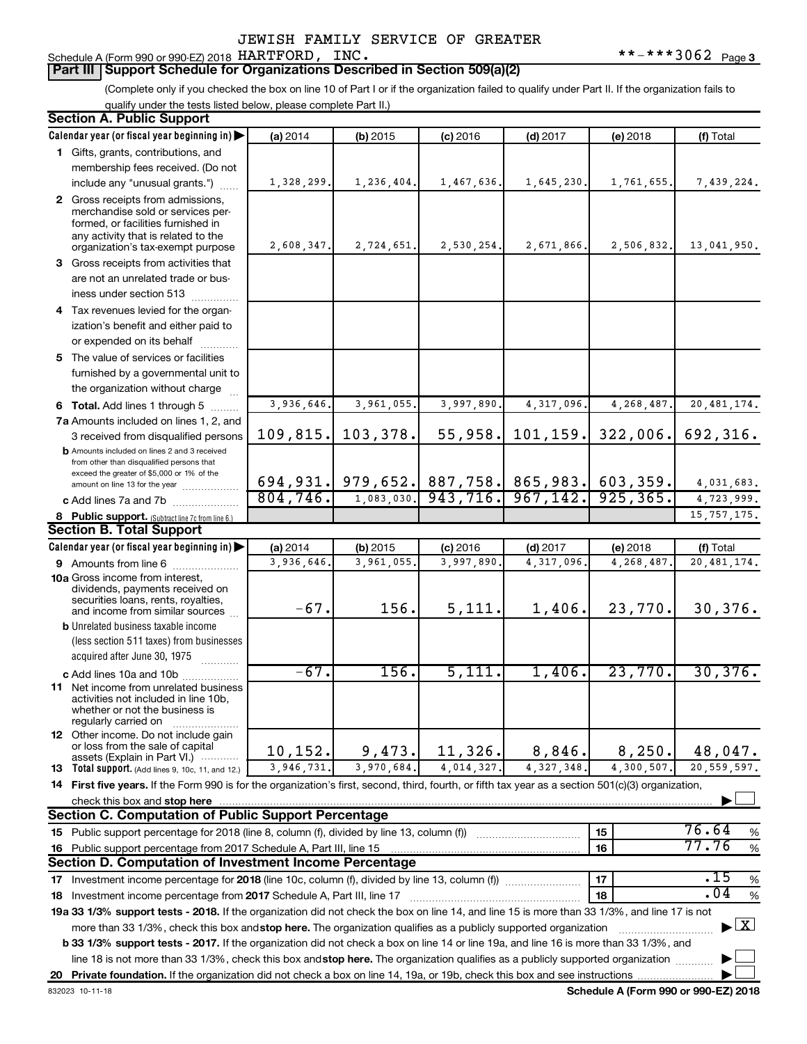#### Schedule A (Form 990 or 990-EZ) 2018 Page HARTFORD, INC. \*\*-\*\*\*3062

(Complete only if you checked the box on line 10 of Part I or if the organization failed to qualify under Part II. If the organization fails to qualify under the tests listed below, please complete Part II.)

| <b>Section A. Public Support</b>                                                                                                                    |            |                                              |            |                       |            |                         |
|-----------------------------------------------------------------------------------------------------------------------------------------------------|------------|----------------------------------------------|------------|-----------------------|------------|-------------------------|
| Calendar year (or fiscal year beginning in)                                                                                                         | (a) 2014   | $(b)$ 2015                                   | $(c)$ 2016 | $(d)$ 2017            | (e) 2018   | (f) Total               |
| 1 Gifts, grants, contributions, and                                                                                                                 |            |                                              |            |                       |            |                         |
| membership fees received. (Do not                                                                                                                   |            |                                              |            |                       |            |                         |
| include any "unusual grants.")                                                                                                                      | 1,328,299. | 1,236,404.                                   | 1,467,636. | 1,645,230.            | 1,761,655. | 7,439,224.              |
| 2 Gross receipts from admissions,                                                                                                                   |            |                                              |            |                       |            |                         |
| merchandise sold or services per-                                                                                                                   |            |                                              |            |                       |            |                         |
| formed, or facilities furnished in<br>any activity that is related to the                                                                           |            |                                              |            |                       |            |                         |
| organization's tax-exempt purpose                                                                                                                   | 2,608,347. | 2,724,651.                                   | 2,530,254. | 2,671,866.            | 2,506,832. | 13,041,950.             |
| 3 Gross receipts from activities that                                                                                                               |            |                                              |            |                       |            |                         |
| are not an unrelated trade or bus-                                                                                                                  |            |                                              |            |                       |            |                         |
| iness under section 513                                                                                                                             |            |                                              |            |                       |            |                         |
| 4 Tax revenues levied for the organ-                                                                                                                |            |                                              |            |                       |            |                         |
| ization's benefit and either paid to                                                                                                                |            |                                              |            |                       |            |                         |
| or expended on its behalf                                                                                                                           |            |                                              |            |                       |            |                         |
| 5 The value of services or facilities                                                                                                               |            |                                              |            |                       |            |                         |
| furnished by a governmental unit to                                                                                                                 |            |                                              |            |                       |            |                         |
| the organization without charge                                                                                                                     |            |                                              |            |                       |            |                         |
| 6 Total. Add lines 1 through 5                                                                                                                      | 3,936,646. | 3,961,055.                                   | 3,997,890  | 4,317,096             | 4,268,487  | 20, 481, 174.           |
| 7a Amounts included on lines 1, 2, and                                                                                                              |            |                                              |            |                       |            |                         |
| 3 received from disqualified persons                                                                                                                | 109,815.   | 103, 378.                                    | 55,958.    | 101, 159.             | 322,006.   | 692,316.                |
| <b>b</b> Amounts included on lines 2 and 3 received                                                                                                 |            |                                              |            |                       |            |                         |
| from other than disqualified persons that                                                                                                           |            |                                              |            |                       |            |                         |
| exceed the greater of \$5,000 or 1% of the<br>amount on line 13 for the year                                                                        |            | 694,931. 979,652. 887,758. 865,983. 603,359. |            |                       |            | 4,031,683.              |
| c Add lines 7a and 7b                                                                                                                               | 804, 746.  | 1,083,030.                                   |            | $943, 716.$ 967, 142. | 925, 365.  | $\overline{4,723},999.$ |
| 8 Public support. (Subtract line 7c from line 6.)                                                                                                   |            |                                              |            |                       |            | 15, 757, 175.           |
| <b>Section B. Total Support</b>                                                                                                                     |            |                                              |            |                       |            |                         |
| Calendar year (or fiscal year beginning in)                                                                                                         | (a) 2014   | $(b)$ 2015                                   | $(c)$ 2016 | $(d)$ 2017            | (e) 2018   | (f) Total               |
| 9 Amounts from line 6                                                                                                                               | 3,936,646  | 3,961,055                                    | 3,997,890  | 4,317,096             | 4,268,487  | 20, 481, 174.           |
| <b>10a</b> Gross income from interest,                                                                                                              |            |                                              |            |                       |            |                         |
| dividends, payments received on                                                                                                                     |            |                                              |            |                       |            |                         |
| securities loans, rents, royalties,<br>and income from similar sources                                                                              | $-67.$     | 156.                                         | 5,111.     | 1,406.                | 23,770.    | 30, 376.                |
| <b>b</b> Unrelated business taxable income                                                                                                          |            |                                              |            |                       |            |                         |
| (less section 511 taxes) from businesses                                                                                                            |            |                                              |            |                       |            |                         |
| acquired after June 30, 1975                                                                                                                        |            |                                              |            |                       |            |                         |
| c Add lines 10a and 10b                                                                                                                             | $-67.$     | 156.                                         | 5,111.     | 1,406.                | 23,770.    | 30, 376.                |
| 11 Net income from unrelated business                                                                                                               |            |                                              |            |                       |            |                         |
| activities not included in line 10b,                                                                                                                |            |                                              |            |                       |            |                         |
| whether or not the business is<br>regularly carried on                                                                                              |            |                                              |            |                       |            |                         |
| 12 Other income. Do not include gain                                                                                                                |            |                                              |            |                       |            |                         |
| or loss from the sale of capital                                                                                                                    | 10, 152.   | 9,473.                                       | 11,326.    | 8,846.                | 8,250.     | 48,047.                 |
| assets (Explain in Part VI.)<br><b>13</b> Total support. (Add lines 9, 10c, 11, and 12.)                                                            | 3,946,731. | 3,970,684.                                   | 4,014,327. | 4, 327, 348.          | 4,300,507. | 20,559,597.             |
| 14 First five years. If the Form 990 is for the organization's first, second, third, fourth, or fifth tax year as a section 501(c)(3) organization, |            |                                              |            |                       |            |                         |
| check this box and stop here                                                                                                                        |            |                                              |            |                       |            |                         |
| <b>Section C. Computation of Public Support Percentage</b>                                                                                          |            |                                              |            |                       |            |                         |
| 15 Public support percentage for 2018 (line 8, column (f), divided by line 13, column (f))                                                          |            |                                              |            |                       | 15         | 76.64<br>%              |
| 16 Public support percentage from 2017 Schedule A, Part III, line 15                                                                                |            |                                              |            |                       | 16         | 77.76<br>$\%$           |
| Section D. Computation of Investment Income Percentage                                                                                              |            |                                              |            |                       |            |                         |
| 17 Investment income percentage for 2018 (line 10c, column (f), divided by line 13, column (f))                                                     |            |                                              |            |                       | 17         | .15<br>$\%$             |
| 18 Investment income percentage from 2017 Schedule A, Part III, line 17                                                                             |            |                                              |            |                       | 18         | .04<br>$\%$             |
| 19a 33 1/3% support tests - 2018. If the organization did not check the box on line 14, and line 15 is more than 33 1/3%, and line 17 is not        |            |                                              |            |                       |            |                         |
| more than 33 1/3%, check this box and stop here. The organization qualifies as a publicly supported organization                                    |            |                                              |            |                       |            | $\boxed{\text{X}}$<br>▶ |
| b 33 1/3% support tests - 2017. If the organization did not check a box on line 14 or line 19a, and line 16 is more than 33 1/3%, and               |            |                                              |            |                       |            |                         |
| line 18 is not more than 33 1/3%, check this box and stop here. The organization qualifies as a publicly supported organization                     |            |                                              |            |                       |            |                         |
|                                                                                                                                                     |            |                                              |            |                       |            |                         |
|                                                                                                                                                     |            |                                              |            |                       |            |                         |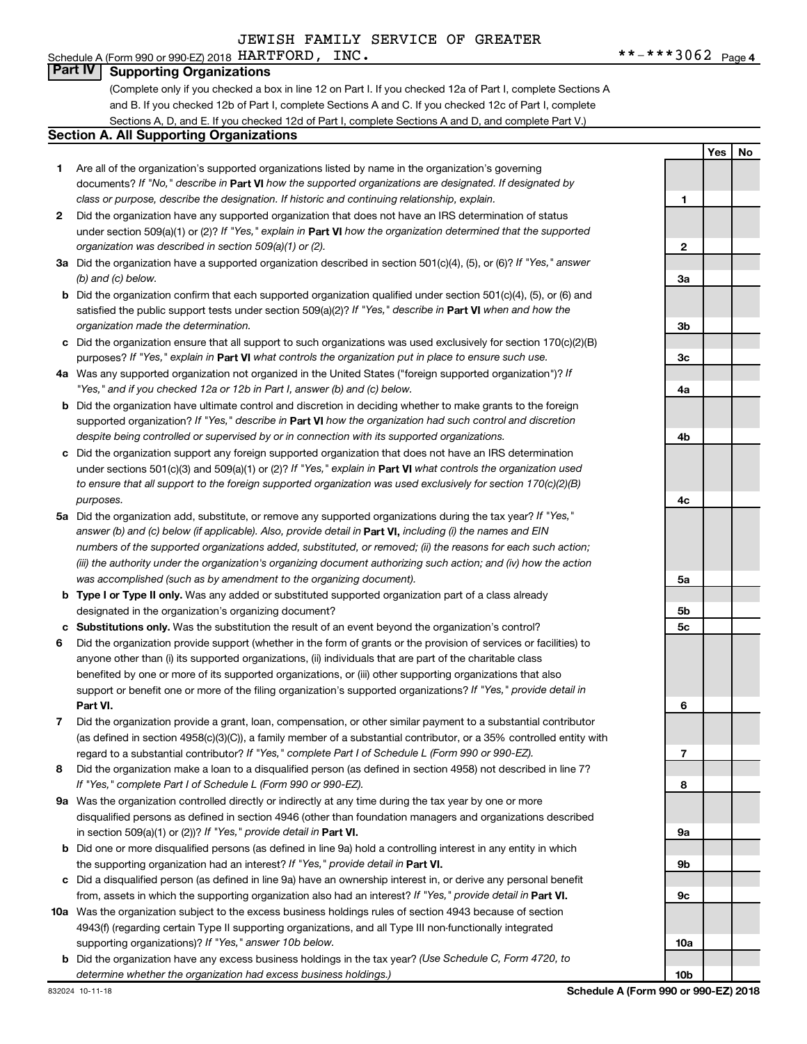# Schedule A (Form 990 or 990-EZ) 2018  $HARTFORM$ ,  $INC$ .

**Part IV Supporting Organizations**

(Complete only if you checked a box in line 12 on Part I. If you checked 12a of Part I, complete Sections A and B. If you checked 12b of Part I, complete Sections A and C. If you checked 12c of Part I, complete Sections A, D, and E. If you checked 12d of Part I, complete Sections A and D, and complete Part V.)

#### **Section A. All Supporting Organizations**

- **1** Are all of the organization's supported organizations listed by name in the organization's governing documents? If "No," describe in Part VI how the supported organizations are designated. If designated by *class or purpose, describe the designation. If historic and continuing relationship, explain.*
- **2** Did the organization have any supported organization that does not have an IRS determination of status under section 509(a)(1) or (2)? If "Yes," explain in Part **VI** how the organization determined that the supported *organization was described in section 509(a)(1) or (2).*
- **3a** Did the organization have a supported organization described in section 501(c)(4), (5), or (6)? If "Yes," answer *(b) and (c) below.*
- **b** Did the organization confirm that each supported organization qualified under section 501(c)(4), (5), or (6) and satisfied the public support tests under section 509(a)(2)? If "Yes," describe in Part VI when and how the *organization made the determination.*
- **c** Did the organization ensure that all support to such organizations was used exclusively for section 170(c)(2)(B) purposes? If "Yes," explain in Part VI what controls the organization put in place to ensure such use.
- **4 a** *If* Was any supported organization not organized in the United States ("foreign supported organization")? *"Yes," and if you checked 12a or 12b in Part I, answer (b) and (c) below.*
- **b** Did the organization have ultimate control and discretion in deciding whether to make grants to the foreign supported organization? If "Yes," describe in Part VI how the organization had such control and discretion *despite being controlled or supervised by or in connection with its supported organizations.*
- **c** Did the organization support any foreign supported organization that does not have an IRS determination under sections 501(c)(3) and 509(a)(1) or (2)? If "Yes," explain in Part VI what controls the organization used *to ensure that all support to the foreign supported organization was used exclusively for section 170(c)(2)(B) purposes.*
- **5a** Did the organization add, substitute, or remove any supported organizations during the tax year? If "Yes," answer (b) and (c) below (if applicable). Also, provide detail in **Part VI,** including (i) the names and EIN *numbers of the supported organizations added, substituted, or removed; (ii) the reasons for each such action; (iii) the authority under the organization's organizing document authorizing such action; and (iv) how the action was accomplished (such as by amendment to the organizing document).*
- **b** Type I or Type II only. Was any added or substituted supported organization part of a class already designated in the organization's organizing document?
- **c Substitutions only.**  Was the substitution the result of an event beyond the organization's control?
- **6** Did the organization provide support (whether in the form of grants or the provision of services or facilities) to **Part VI.** support or benefit one or more of the filing organization's supported organizations? If "Yes," provide detail in anyone other than (i) its supported organizations, (ii) individuals that are part of the charitable class benefited by one or more of its supported organizations, or (iii) other supporting organizations that also
- **7** Did the organization provide a grant, loan, compensation, or other similar payment to a substantial contributor regard to a substantial contributor? If "Yes," complete Part I of Schedule L (Form 990 or 990-EZ). (as defined in section 4958(c)(3)(C)), a family member of a substantial contributor, or a 35% controlled entity with
- **8** Did the organization make a loan to a disqualified person (as defined in section 4958) not described in line 7? *If "Yes," complete Part I of Schedule L (Form 990 or 990-EZ).*
- **9 a** Was the organization controlled directly or indirectly at any time during the tax year by one or more in section 509(a)(1) or (2))? If "Yes," provide detail in **Part VI.** disqualified persons as defined in section 4946 (other than foundation managers and organizations described
- **b** Did one or more disqualified persons (as defined in line 9a) hold a controlling interest in any entity in which the supporting organization had an interest? If "Yes," provide detail in Part VI.
- **c** Did a disqualified person (as defined in line 9a) have an ownership interest in, or derive any personal benefit from, assets in which the supporting organization also had an interest? If "Yes," provide detail in Part VI.
- **10 a** Was the organization subject to the excess business holdings rules of section 4943 because of section supporting organizations)? If "Yes," answer 10b below. 4943(f) (regarding certain Type II supporting organizations, and all Type III non-functionally integrated
	- **b** Did the organization have any excess business holdings in the tax year? (Use Schedule C, Form 4720, to *determine whether the organization had excess business holdings.)*

**1 2 3a 3b 3c 4a 4b 4c 5a 5b 5c 6 7 8 9a 9b 9c 10a**

**10b**

**Yes No**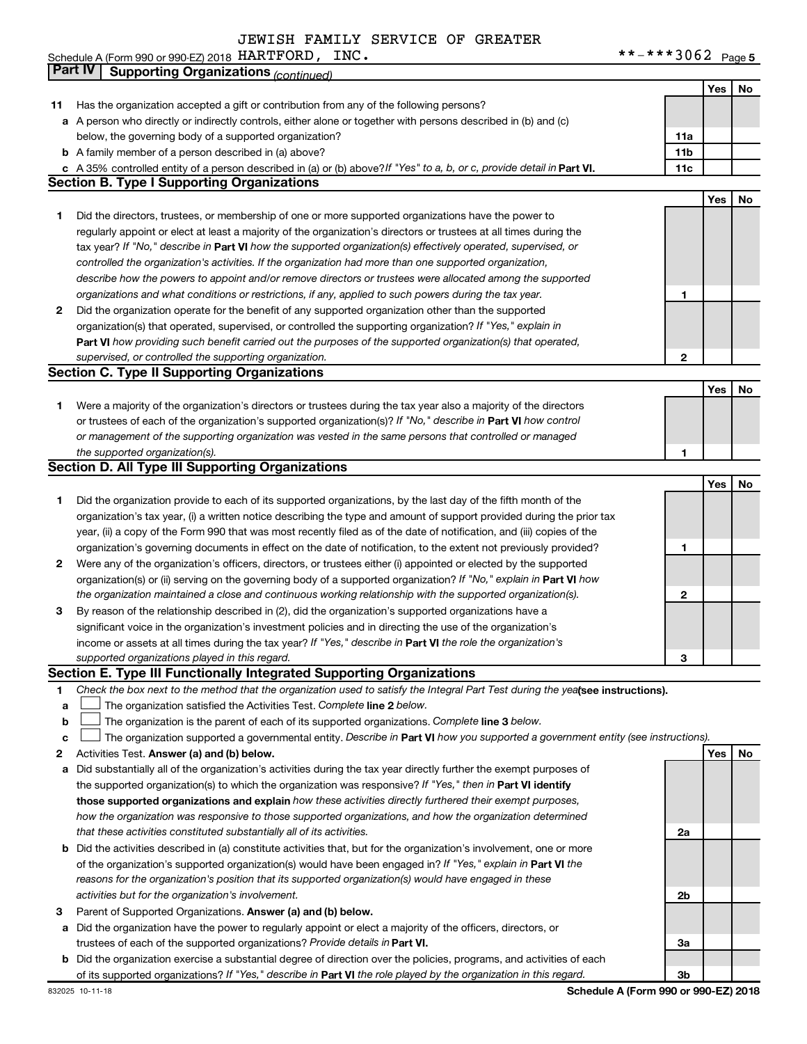Schedule A (Form 990 or 990-EZ) 2018 Page HARTFORD, INC. \*\*-\*\*\*3062

 $***$   $***$   $*$  3062 Page 5

|    | Part IV<br><b>Supporting Organizations (continued)</b>                                                                          |                 |     |    |
|----|---------------------------------------------------------------------------------------------------------------------------------|-----------------|-----|----|
|    |                                                                                                                                 |                 | Yes | No |
| 11 | Has the organization accepted a gift or contribution from any of the following persons?                                         |                 |     |    |
|    | a A person who directly or indirectly controls, either alone or together with persons described in (b) and (c)                  |                 |     |    |
|    | below, the governing body of a supported organization?                                                                          | 11a             |     |    |
|    | <b>b</b> A family member of a person described in (a) above?                                                                    | 11 <sub>b</sub> |     |    |
|    | c A 35% controlled entity of a person described in (a) or (b) above? If "Yes" to a, b, or c, provide detail in Part VI.         | 11c             |     |    |
|    | <b>Section B. Type I Supporting Organizations</b>                                                                               |                 |     |    |
|    |                                                                                                                                 |                 | Yes | No |
| 1  | Did the directors, trustees, or membership of one or more supported organizations have the power to                             |                 |     |    |
|    | regularly appoint or elect at least a majority of the organization's directors or trustees at all times during the              |                 |     |    |
|    | tax year? If "No," describe in Part VI how the supported organization(s) effectively operated, supervised, or                   |                 |     |    |
|    | controlled the organization's activities. If the organization had more than one supported organization,                         |                 |     |    |
|    | describe how the powers to appoint and/or remove directors or trustees were allocated among the supported                       |                 |     |    |
|    | organizations and what conditions or restrictions, if any, applied to such powers during the tax year.                          | 1               |     |    |
| 2  | Did the organization operate for the benefit of any supported organization other than the supported                             |                 |     |    |
|    | organization(s) that operated, supervised, or controlled the supporting organization? If "Yes," explain in                      |                 |     |    |
|    | Part VI how providing such benefit carried out the purposes of the supported organization(s) that operated,                     |                 |     |    |
|    | supervised, or controlled the supporting organization.                                                                          | $\mathbf{2}$    |     |    |
|    | <b>Section C. Type II Supporting Organizations</b>                                                                              |                 |     |    |
|    |                                                                                                                                 |                 | Yes | No |
| 1. | Were a majority of the organization's directors or trustees during the tax year also a majority of the directors                |                 |     |    |
|    | or trustees of each of the organization's supported organization(s)? If "No," describe in Part VI how control                   |                 |     |    |
|    | or management of the supporting organization was vested in the same persons that controlled or managed                          |                 |     |    |
|    | the supported organization(s).                                                                                                  | 1               |     |    |
|    | <b>Section D. All Type III Supporting Organizations</b>                                                                         |                 |     |    |
|    |                                                                                                                                 |                 | Yes | No |
| 1  | Did the organization provide to each of its supported organizations, by the last day of the fifth month of the                  |                 |     |    |
|    | organization's tax year, (i) a written notice describing the type and amount of support provided during the prior tax           |                 |     |    |
|    |                                                                                                                                 |                 |     |    |
|    | year, (ii) a copy of the Form 990 that was most recently filed as of the date of notification, and (iii) copies of the          |                 |     |    |
|    | organization's governing documents in effect on the date of notification, to the extent not previously provided?                | 1               |     |    |
| 2  | Were any of the organization's officers, directors, or trustees either (i) appointed or elected by the supported                |                 |     |    |
|    | organization(s) or (ii) serving on the governing body of a supported organization? If "No," explain in Part VI how              |                 |     |    |
|    | the organization maintained a close and continuous working relationship with the supported organization(s).                     | $\mathbf{2}$    |     |    |
| 3  | By reason of the relationship described in (2), did the organization's supported organizations have a                           |                 |     |    |
|    | significant voice in the organization's investment policies and in directing the use of the organization's                      |                 |     |    |
|    | income or assets at all times during the tax year? If "Yes," describe in Part VI the role the organization's                    |                 |     |    |
|    | supported organizations played in this regard.                                                                                  | з               |     |    |
|    | Section E. Type III Functionally Integrated Supporting Organizations                                                            |                 |     |    |
| 1  | Check the box next to the method that the organization used to satisfy the Integral Part Test during the yealsee instructions). |                 |     |    |
| a  | The organization satisfied the Activities Test. Complete line 2 below.                                                          |                 |     |    |
| b  | The organization is the parent of each of its supported organizations. Complete line 3 below.                                   |                 |     |    |
| с  | The organization supported a governmental entity. Describe in Part VI how you supported a government entity (see instructions). |                 |     |    |
| 2  | Activities Test. Answer (a) and (b) below.                                                                                      |                 | Yes | No |
| а  | Did substantially all of the organization's activities during the tax year directly further the exempt purposes of              |                 |     |    |
|    | the supported organization(s) to which the organization was responsive? If "Yes," then in Part VI identify                      |                 |     |    |
|    | those supported organizations and explain how these activities directly furthered their exempt purposes,                        |                 |     |    |
|    | how the organization was responsive to those supported organizations, and how the organization determined                       |                 |     |    |
|    | that these activities constituted substantially all of its activities.                                                          | 2a              |     |    |
|    | <b>b</b> Did the activities described in (a) constitute activities that, but for the organization's involvement, one or more    |                 |     |    |
|    | of the organization's supported organization(s) would have been engaged in? If "Yes," explain in Part VI the                    |                 |     |    |
|    | reasons for the organization's position that its supported organization(s) would have engaged in these                          |                 |     |    |
|    | activities but for the organization's involvement.                                                                              | 2b              |     |    |
| з  | Parent of Supported Organizations. Answer (a) and (b) below.                                                                    |                 |     |    |
| а  | Did the organization have the power to regularly appoint or elect a majority of the officers, directors, or                     |                 |     |    |
|    | trustees of each of the supported organizations? Provide details in Part VI.                                                    | За              |     |    |
|    | <b>b</b> Did the organization exercise a substantial degree of direction over the policies, programs, and activities of each    |                 |     |    |
|    | of its supported organizations? If "Yes," describe in Part VI the role played by the organization in this regard.               | 3b              |     |    |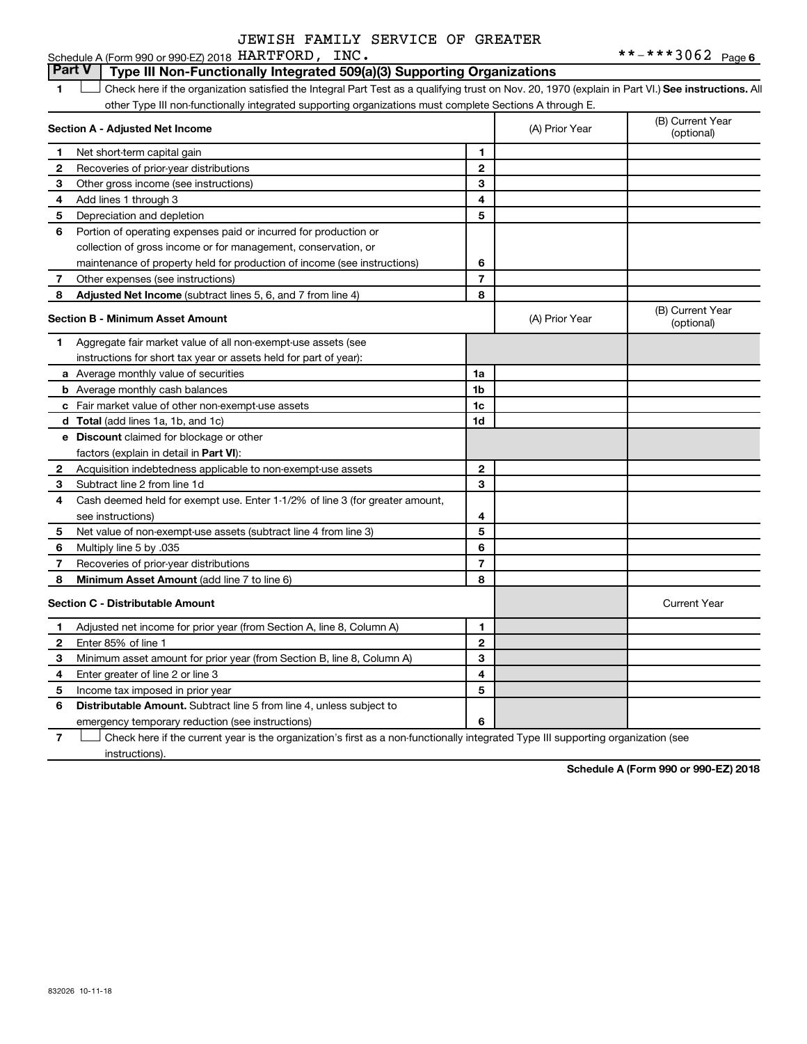#### **Part V Type III Non-Functionally Integrated 509(a)(3) Supporting Organizations**

1 **Letter See instructions.** All Check here if the organization satisfied the Integral Part Test as a qualifying trust on Nov. 20, 1970 (explain in Part VI.) See instructions. All other Type III non-functionally integrated supporting organizations must complete Sections A through E.

|              | Section A - Adjusted Net Income                                              |                | (A) Prior Year | (B) Current Year<br>(optional) |
|--------------|------------------------------------------------------------------------------|----------------|----------------|--------------------------------|
| 1            | Net short-term capital gain                                                  | 1              |                |                                |
| 2            | Recoveries of prior-year distributions                                       | $\mathbf{2}$   |                |                                |
| 3            | Other gross income (see instructions)                                        | 3              |                |                                |
| 4            | Add lines 1 through 3                                                        | 4              |                |                                |
| 5            | Depreciation and depletion                                                   | 5              |                |                                |
| 6            | Portion of operating expenses paid or incurred for production or             |                |                |                                |
|              | collection of gross income or for management, conservation, or               |                |                |                                |
|              | maintenance of property held for production of income (see instructions)     | 6              |                |                                |
| 7            | Other expenses (see instructions)                                            | $\overline{7}$ |                |                                |
| 8            | Adjusted Net Income (subtract lines 5, 6, and 7 from line 4)                 | 8              |                |                                |
|              | <b>Section B - Minimum Asset Amount</b>                                      |                | (A) Prior Year | (B) Current Year<br>(optional) |
| 1            | Aggregate fair market value of all non-exempt-use assets (see                |                |                |                                |
|              | instructions for short tax year or assets held for part of year):            |                |                |                                |
|              | a Average monthly value of securities                                        | 1a             |                |                                |
|              | <b>b</b> Average monthly cash balances                                       | 1b             |                |                                |
|              | c Fair market value of other non-exempt-use assets                           | 1c             |                |                                |
|              | <b>d</b> Total (add lines 1a, 1b, and 1c)                                    | 1 <sub>d</sub> |                |                                |
|              | e Discount claimed for blockage or other                                     |                |                |                                |
|              | factors (explain in detail in <b>Part VI</b> ):                              |                |                |                                |
| 2            | Acquisition indebtedness applicable to non-exempt-use assets                 | $\mathbf{2}$   |                |                                |
| З            | Subtract line 2 from line 1d                                                 | 3              |                |                                |
| 4            | Cash deemed held for exempt use. Enter 1-1/2% of line 3 (for greater amount, |                |                |                                |
|              | see instructions)                                                            | 4              |                |                                |
| 5            | Net value of non-exempt-use assets (subtract line 4 from line 3)             | 5              |                |                                |
| 6            | Multiply line 5 by .035                                                      | 6              |                |                                |
| 7            | Recoveries of prior-year distributions                                       | $\overline{7}$ |                |                                |
| 8            | <b>Minimum Asset Amount (add line 7 to line 6)</b>                           | 8              |                |                                |
|              | <b>Section C - Distributable Amount</b>                                      |                |                | <b>Current Year</b>            |
| 1            | Adjusted net income for prior year (from Section A, line 8, Column A)        | 1              |                |                                |
| $\mathbf{2}$ | Enter 85% of line 1                                                          | $\mathbf{2}$   |                |                                |
| З            | Minimum asset amount for prior year (from Section B, line 8, Column A)       | 3              |                |                                |
| 4            | Enter greater of line 2 or line 3                                            | 4              |                |                                |
| 5            | Income tax imposed in prior year                                             | 5              |                |                                |
| 6            | Distributable Amount. Subtract line 5 from line 4, unless subject to         |                |                |                                |
|              | emergency temporary reduction (see instructions)                             | 6              |                |                                |

**7** Let Check here if the current year is the organization's first as a non-functionally integrated Type III supporting organization (see instructions).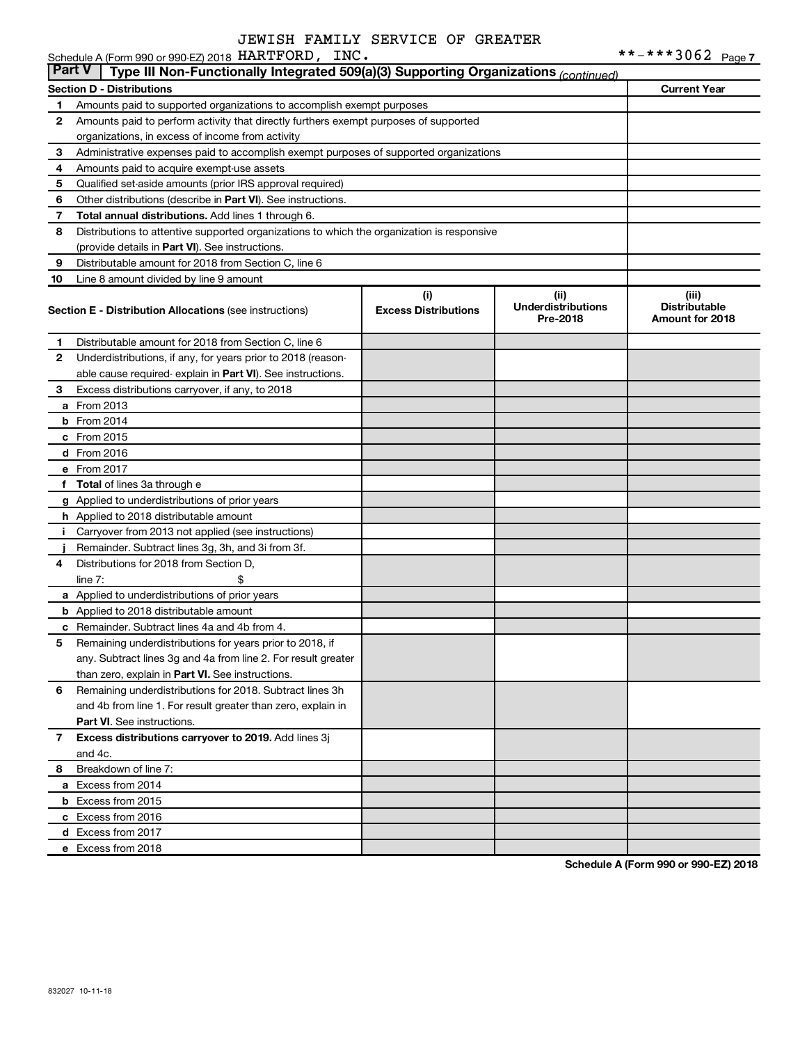|              | Schedule A (Form 990 or 990-EZ) 2018 HARTFORD, INC.                                        |                                    |                                               | **-***3062 Page 7                                |
|--------------|--------------------------------------------------------------------------------------------|------------------------------------|-----------------------------------------------|--------------------------------------------------|
| ∣ Part V     | Type III Non-Functionally Integrated 509(a)(3) Supporting Organizations (continued)        |                                    |                                               |                                                  |
|              | <b>Section D - Distributions</b>                                                           |                                    |                                               | <b>Current Year</b>                              |
| 1            | Amounts paid to supported organizations to accomplish exempt purposes                      |                                    |                                               |                                                  |
| $\mathbf{2}$ | Amounts paid to perform activity that directly furthers exempt purposes of supported       |                                    |                                               |                                                  |
|              | organizations, in excess of income from activity                                           |                                    |                                               |                                                  |
| 3            | Administrative expenses paid to accomplish exempt purposes of supported organizations      |                                    |                                               |                                                  |
| 4            | Amounts paid to acquire exempt-use assets                                                  |                                    |                                               |                                                  |
| 5            | Qualified set-aside amounts (prior IRS approval required)                                  |                                    |                                               |                                                  |
| 6            | Other distributions (describe in Part VI). See instructions.                               |                                    |                                               |                                                  |
| 7            | Total annual distributions. Add lines 1 through 6.                                         |                                    |                                               |                                                  |
| 8            | Distributions to attentive supported organizations to which the organization is responsive |                                    |                                               |                                                  |
|              | (provide details in Part VI). See instructions.                                            |                                    |                                               |                                                  |
| 9            | Distributable amount for 2018 from Section C, line 6                                       |                                    |                                               |                                                  |
| 10           | Line 8 amount divided by line 9 amount                                                     |                                    |                                               |                                                  |
|              | Section E - Distribution Allocations (see instructions)                                    | (i)<br><b>Excess Distributions</b> | (ii)<br><b>Underdistributions</b><br>Pre-2018 | (iii)<br><b>Distributable</b><br>Amount for 2018 |
| 1            | Distributable amount for 2018 from Section C, line 6                                       |                                    |                                               |                                                  |
| 2            | Underdistributions, if any, for years prior to 2018 (reason-                               |                                    |                                               |                                                  |
|              | able cause required-explain in Part VI). See instructions.                                 |                                    |                                               |                                                  |
| 3            | Excess distributions carryover, if any, to 2018                                            |                                    |                                               |                                                  |
|              | <b>a</b> From 2013                                                                         |                                    |                                               |                                                  |
|              | $b$ From 2014                                                                              |                                    |                                               |                                                  |
|              | $c$ From 2015                                                                              |                                    |                                               |                                                  |
|              | d From 2016                                                                                |                                    |                                               |                                                  |
|              | e From 2017                                                                                |                                    |                                               |                                                  |
|              | f Total of lines 3a through e                                                              |                                    |                                               |                                                  |
|              | g Applied to underdistributions of prior years                                             |                                    |                                               |                                                  |
|              | h Applied to 2018 distributable amount                                                     |                                    |                                               |                                                  |
| j.           | Carryover from 2013 not applied (see instructions)                                         |                                    |                                               |                                                  |
|              | Remainder. Subtract lines 3g, 3h, and 3i from 3f.                                          |                                    |                                               |                                                  |
| 4            | Distributions for 2018 from Section D,                                                     |                                    |                                               |                                                  |
|              | \$<br>line $7:$                                                                            |                                    |                                               |                                                  |
|              | a Applied to underdistributions of prior years                                             |                                    |                                               |                                                  |
|              | <b>b</b> Applied to 2018 distributable amount                                              |                                    |                                               |                                                  |
|              | <b>c</b> Remainder. Subtract lines 4a and 4b from 4.                                       |                                    |                                               |                                                  |
| 5            | Remaining underdistributions for years prior to 2018, if                                   |                                    |                                               |                                                  |
|              | any. Subtract lines 3g and 4a from line 2. For result greater                              |                                    |                                               |                                                  |
|              | than zero, explain in Part VI. See instructions.                                           |                                    |                                               |                                                  |
| 6            | Remaining underdistributions for 2018. Subtract lines 3h                                   |                                    |                                               |                                                  |
|              | and 4b from line 1. For result greater than zero, explain in<br>Part VI. See instructions. |                                    |                                               |                                                  |
| $\mathbf{7}$ | Excess distributions carryover to 2019. Add lines 3j                                       |                                    |                                               |                                                  |
|              | and 4c.                                                                                    |                                    |                                               |                                                  |
| 8            | Breakdown of line 7:                                                                       |                                    |                                               |                                                  |
|              | a Excess from 2014                                                                         |                                    |                                               |                                                  |
|              | <b>b</b> Excess from 2015                                                                  |                                    |                                               |                                                  |
|              | c Excess from 2016                                                                         |                                    |                                               |                                                  |
|              | d Excess from 2017                                                                         |                                    |                                               |                                                  |
|              | e Excess from 2018                                                                         |                                    |                                               |                                                  |
|              |                                                                                            |                                    |                                               |                                                  |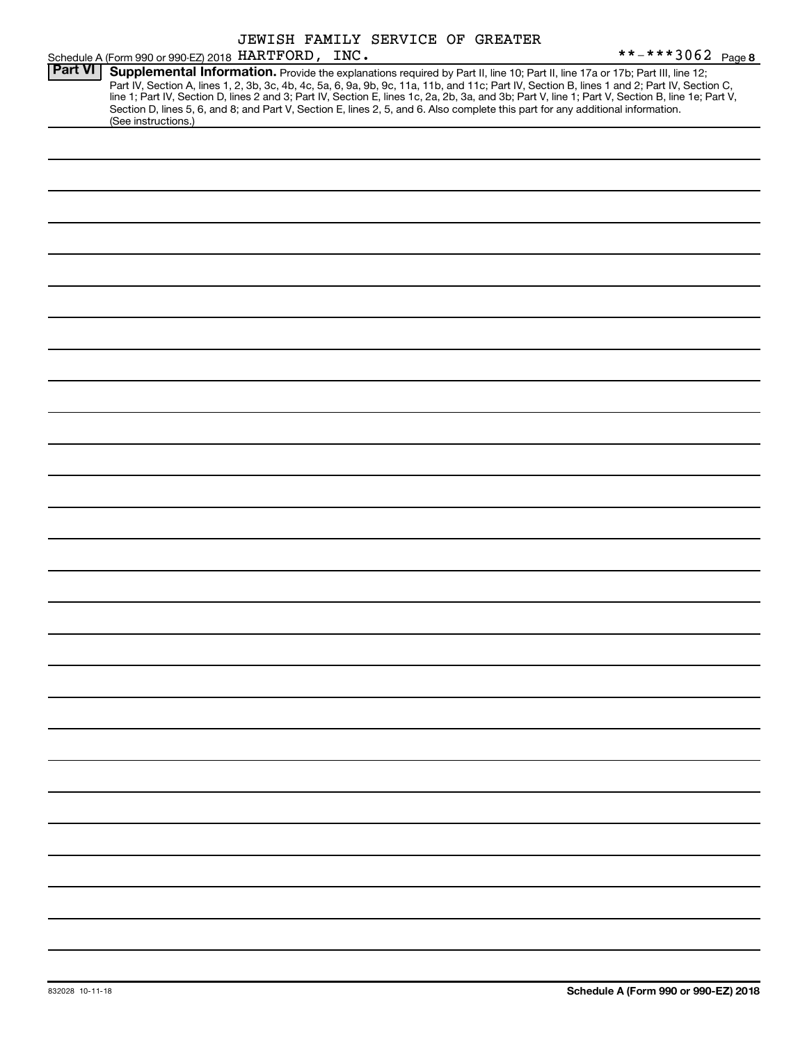|                |                                                     |  | JEWISH FAMILY SERVICE OF GREATER |                                                                                                                                                                                                                                                                                                                                                                                                                                                                                                                                                                      |
|----------------|-----------------------------------------------------|--|----------------------------------|----------------------------------------------------------------------------------------------------------------------------------------------------------------------------------------------------------------------------------------------------------------------------------------------------------------------------------------------------------------------------------------------------------------------------------------------------------------------------------------------------------------------------------------------------------------------|
|                | Schedule A (Form 990 or 990-EZ) 2018 HARTFORD, INC. |  |                                  | **-***3062 Page 8                                                                                                                                                                                                                                                                                                                                                                                                                                                                                                                                                    |
| <b>Part VI</b> | (See instructions.)                                 |  |                                  | Supplemental Information. Provide the explanations required by Part II, line 10; Part II, line 17a or 17b; Part III, line 12;<br>Part IV, Section A, lines 1, 2, 3b, 3c, 4b, 4c, 5a, 6, 9a, 9b, 9c, 11a, 11b, and 11c; Part IV, Section B, lines 1 and 2; Part IV, Section C,<br>line 1; Part IV, Section D, lines 2 and 3; Part IV, Section E, lines 1c, 2a, 2b, 3a, and 3b; Part V, line 1; Part V, Section B, line 1e; Part V,<br>Section D, lines 5, 6, and 8; and Part V, Section E, lines 2, 5, and 6. Also complete this part for any additional information. |
|                |                                                     |  |                                  |                                                                                                                                                                                                                                                                                                                                                                                                                                                                                                                                                                      |
|                |                                                     |  |                                  |                                                                                                                                                                                                                                                                                                                                                                                                                                                                                                                                                                      |
|                |                                                     |  |                                  |                                                                                                                                                                                                                                                                                                                                                                                                                                                                                                                                                                      |
|                |                                                     |  |                                  |                                                                                                                                                                                                                                                                                                                                                                                                                                                                                                                                                                      |
|                |                                                     |  |                                  |                                                                                                                                                                                                                                                                                                                                                                                                                                                                                                                                                                      |
|                |                                                     |  |                                  |                                                                                                                                                                                                                                                                                                                                                                                                                                                                                                                                                                      |
|                |                                                     |  |                                  |                                                                                                                                                                                                                                                                                                                                                                                                                                                                                                                                                                      |
|                |                                                     |  |                                  |                                                                                                                                                                                                                                                                                                                                                                                                                                                                                                                                                                      |
|                |                                                     |  |                                  |                                                                                                                                                                                                                                                                                                                                                                                                                                                                                                                                                                      |
|                |                                                     |  |                                  |                                                                                                                                                                                                                                                                                                                                                                                                                                                                                                                                                                      |
|                |                                                     |  |                                  |                                                                                                                                                                                                                                                                                                                                                                                                                                                                                                                                                                      |
|                |                                                     |  |                                  |                                                                                                                                                                                                                                                                                                                                                                                                                                                                                                                                                                      |
|                |                                                     |  |                                  |                                                                                                                                                                                                                                                                                                                                                                                                                                                                                                                                                                      |
|                |                                                     |  |                                  |                                                                                                                                                                                                                                                                                                                                                                                                                                                                                                                                                                      |
|                |                                                     |  |                                  |                                                                                                                                                                                                                                                                                                                                                                                                                                                                                                                                                                      |
|                |                                                     |  |                                  |                                                                                                                                                                                                                                                                                                                                                                                                                                                                                                                                                                      |
|                |                                                     |  |                                  |                                                                                                                                                                                                                                                                                                                                                                                                                                                                                                                                                                      |
|                |                                                     |  |                                  |                                                                                                                                                                                                                                                                                                                                                                                                                                                                                                                                                                      |
|                |                                                     |  |                                  |                                                                                                                                                                                                                                                                                                                                                                                                                                                                                                                                                                      |
|                |                                                     |  |                                  |                                                                                                                                                                                                                                                                                                                                                                                                                                                                                                                                                                      |
|                |                                                     |  |                                  |                                                                                                                                                                                                                                                                                                                                                                                                                                                                                                                                                                      |
|                |                                                     |  |                                  |                                                                                                                                                                                                                                                                                                                                                                                                                                                                                                                                                                      |
|                |                                                     |  |                                  |                                                                                                                                                                                                                                                                                                                                                                                                                                                                                                                                                                      |
|                |                                                     |  |                                  |                                                                                                                                                                                                                                                                                                                                                                                                                                                                                                                                                                      |
|                |                                                     |  |                                  |                                                                                                                                                                                                                                                                                                                                                                                                                                                                                                                                                                      |
|                |                                                     |  |                                  |                                                                                                                                                                                                                                                                                                                                                                                                                                                                                                                                                                      |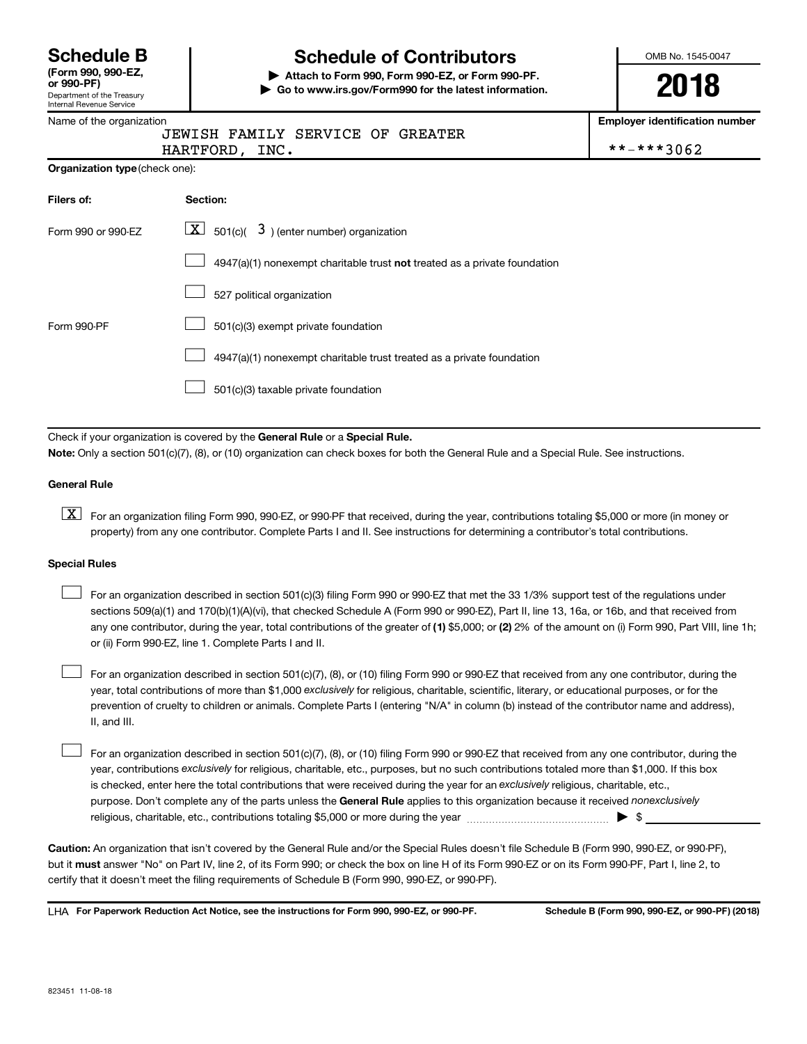| <b>Schedule B</b>  |  |
|--------------------|--|
| (Form 990, 990-EZ, |  |

## Department of the Treasury Internal Revenue Service

# **Schedule of Contributors**

**or 990-PF) | Attach to Form 990, Form 990-EZ, or Form 990-PF. | Go to www.irs.gov/Form990 for the latest information.** OMB No. 1545-0047

# **2018**

**Employer identification number**

|  | Name of the organization |
|--|--------------------------|
|--|--------------------------|

| JEWISH FAMILY SERVICE OF GREATER |  |  |  |  |
|----------------------------------|--|--|--|--|
|----------------------------------|--|--|--|--|

| <b>HARTFORD</b> | INC. | $\sim$<br>$\ddot{\,}$ |
|-----------------|------|-----------------------|
|                 |      |                       |

| *-***3062 |  |  |  |  |
|-----------|--|--|--|--|
|           |  |  |  |  |

|  | <b>Organization type (check one):</b> |
|--|---------------------------------------|
|--|---------------------------------------|

| Filers of:         | Section:                                                                  |
|--------------------|---------------------------------------------------------------------------|
| Form 990 or 990-EZ | $\lfloor x \rfloor$ 501(c)( 3) (enter number) organization                |
|                    | 4947(a)(1) nonexempt charitable trust not treated as a private foundation |
|                    | 527 political organization                                                |
| Form 990-PF        | 501(c)(3) exempt private foundation                                       |
|                    | 4947(a)(1) nonexempt charitable trust treated as a private foundation     |
|                    | 501(c)(3) taxable private foundation                                      |

Check if your organization is covered by the General Rule or a Special Rule.

**Note:**  Only a section 501(c)(7), (8), or (10) organization can check boxes for both the General Rule and a Special Rule. See instructions.

#### **General Rule**

**K** For an organization filing Form 990, 990-EZ, or 990-PF that received, during the year, contributions totaling \$5,000 or more (in money or property) from any one contributor. Complete Parts I and II. See instructions for determining a contributor's total contributions.

#### **Special Rules**

 $\Box$ 

any one contributor, during the year, total contributions of the greater of (1) \$5,000; or (2) 2% of the amount on (i) Form 990, Part VIII, line 1h; For an organization described in section 501(c)(3) filing Form 990 or 990-EZ that met the 33 1/3% support test of the regulations under sections 509(a)(1) and 170(b)(1)(A)(vi), that checked Schedule A (Form 990 or 990-EZ), Part II, line 13, 16a, or 16b, and that received from or (ii) Form 990-EZ, line 1. Complete Parts I and II.  $\Box$ 

year, total contributions of more than \$1,000 *exclusively* for religious, charitable, scientific, literary, or educational purposes, or for the For an organization described in section 501(c)(7), (8), or (10) filing Form 990 or 990-EZ that received from any one contributor, during the prevention of cruelty to children or animals. Complete Parts I (entering "N/A" in column (b) instead of the contributor name and address), II, and III.  $\Box$ 

purpose. Don't complete any of the parts unless the General Rule applies to this organization because it received nonexclusively year, contributions exclusively for religious, charitable, etc., purposes, but no such contributions totaled more than \$1,000. If this box is checked, enter here the total contributions that were received during the year for an exclusively religious, charitable, etc., For an organization described in section 501(c)(7), (8), or (10) filing Form 990 or 990-EZ that received from any one contributor, during the religious, charitable, etc., contributions totaling \$5,000 or more during the year  $~\ldots\ldots\ldots\ldots\ldots\ldots\ldots\ldots\ldots\blacktriangleright~$ \$

**Caution:**  An organization that isn't covered by the General Rule and/or the Special Rules doesn't file Schedule B (Form 990, 990-EZ, or 990-PF),  **must** but it answer "No" on Part IV, line 2, of its Form 990; or check the box on line H of its Form 990-EZ or on its Form 990-PF, Part I, line 2, to certify that it doesn't meet the filing requirements of Schedule B (Form 990, 990-EZ, or 990-PF).

**For Paperwork Reduction Act Notice, see the instructions for Form 990, 990-EZ, or 990-PF. Schedule B (Form 990, 990-EZ, or 990-PF) (2018)** LHA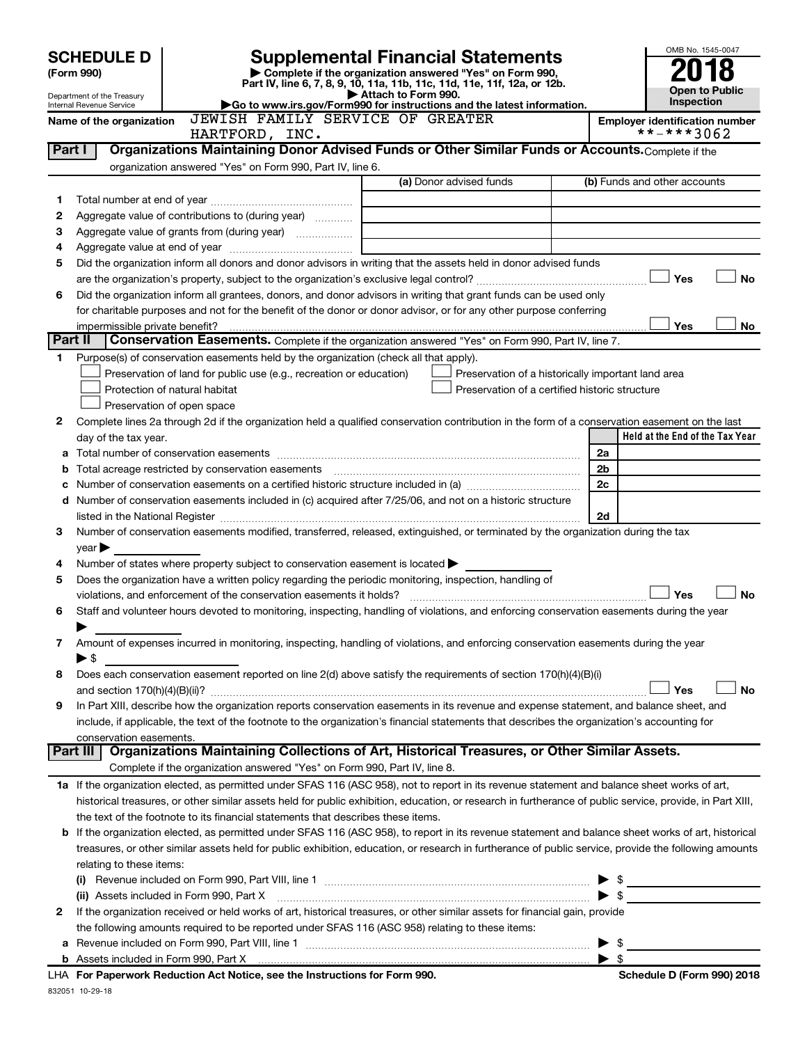|                | <b>SCHEDULE D</b>              | <b>Supplemental Financial Statements</b>                                                                                                                  |                                                                                   |                                                                                                      |    |                                                     | OMB No. 1545-0047                   |
|----------------|--------------------------------|-----------------------------------------------------------------------------------------------------------------------------------------------------------|-----------------------------------------------------------------------------------|------------------------------------------------------------------------------------------------------|----|-----------------------------------------------------|-------------------------------------|
|                | (Form 990)                     | Complete if the organization answered "Yes" on Form 990,<br>Part IV, line 6, 7, 8, 9, 10, 11a, 11b, 11c, 11d, 11e, 11f, 12a, or 12b.                      |                                                                                   |                                                                                                      |    |                                                     |                                     |
|                | Department of the Treasury     |                                                                                                                                                           | Attach to Form 990.                                                               |                                                                                                      |    |                                                     | <b>Open to Public</b><br>Inspection |
|                | Internal Revenue Service       | Go to www.irs.gov/Form990 for instructions and the latest information.<br>JEWISH FAMILY SERVICE OF GREATER                                                |                                                                                   |                                                                                                      |    |                                                     |                                     |
|                | Name of the organization       | HARTFORD, INC.                                                                                                                                            |                                                                                   |                                                                                                      |    | <b>Employer identification number</b><br>**-***3062 |                                     |
| Part I         |                                | Organizations Maintaining Donor Advised Funds or Other Similar Funds or Accounts. Complete if the                                                         |                                                                                   |                                                                                                      |    |                                                     |                                     |
|                |                                | organization answered "Yes" on Form 990, Part IV, line 6.                                                                                                 |                                                                                   |                                                                                                      |    |                                                     |                                     |
|                |                                |                                                                                                                                                           |                                                                                   | (a) Donor advised funds                                                                              |    | (b) Funds and other accounts                        |                                     |
| 1              |                                |                                                                                                                                                           |                                                                                   |                                                                                                      |    |                                                     |                                     |
| 2              |                                | Aggregate value of contributions to (during year)                                                                                                         |                                                                                   |                                                                                                      |    |                                                     |                                     |
| З              |                                |                                                                                                                                                           |                                                                                   |                                                                                                      |    |                                                     |                                     |
| 4              |                                |                                                                                                                                                           |                                                                                   |                                                                                                      |    |                                                     |                                     |
| 5              |                                | Did the organization inform all donors and donor advisors in writing that the assets held in donor advised funds                                          |                                                                                   |                                                                                                      |    |                                                     |                                     |
|                |                                |                                                                                                                                                           |                                                                                   |                                                                                                      |    | Yes                                                 | No                                  |
| 6              |                                | Did the organization inform all grantees, donors, and donor advisors in writing that grant funds can be used only                                         |                                                                                   |                                                                                                      |    |                                                     |                                     |
|                |                                | for charitable purposes and not for the benefit of the donor or donor advisor, or for any other purpose conferring                                        |                                                                                   |                                                                                                      |    |                                                     |                                     |
|                | impermissible private benefit? |                                                                                                                                                           |                                                                                   |                                                                                                      |    | Yes                                                 | No                                  |
| <b>Part II</b> |                                | Conservation Easements. Complete if the organization answered "Yes" on Form 990, Part IV, line 7.                                                         |                                                                                   |                                                                                                      |    |                                                     |                                     |
| 1.             |                                | Purpose(s) of conservation easements held by the organization (check all that apply).                                                                     |                                                                                   |                                                                                                      |    |                                                     |                                     |
|                |                                | Preservation of land for public use (e.g., recreation or education)<br>Protection of natural habitat                                                      |                                                                                   | Preservation of a historically important land area<br>Preservation of a certified historic structure |    |                                                     |                                     |
|                |                                | Preservation of open space                                                                                                                                |                                                                                   |                                                                                                      |    |                                                     |                                     |
| 2              |                                | Complete lines 2a through 2d if the organization held a qualified conservation contribution in the form of a conservation easement on the last            |                                                                                   |                                                                                                      |    |                                                     |                                     |
|                | day of the tax year.           |                                                                                                                                                           |                                                                                   |                                                                                                      |    | Held at the End of the Tax Year                     |                                     |
| а              |                                |                                                                                                                                                           |                                                                                   |                                                                                                      | 2a |                                                     |                                     |
| b              |                                |                                                                                                                                                           |                                                                                   |                                                                                                      | 2b |                                                     |                                     |
| с              |                                |                                                                                                                                                           |                                                                                   |                                                                                                      | 2c |                                                     |                                     |
| d              |                                | Number of conservation easements included in (c) acquired after 7/25/06, and not on a historic structure                                                  |                                                                                   |                                                                                                      |    |                                                     |                                     |
|                |                                |                                                                                                                                                           |                                                                                   |                                                                                                      | 2d |                                                     |                                     |
| 3              |                                | Number of conservation easements modified, transferred, released, extinguished, or terminated by the organization during the tax                          |                                                                                   |                                                                                                      |    |                                                     |                                     |
|                | year                           |                                                                                                                                                           |                                                                                   |                                                                                                      |    |                                                     |                                     |
| 4              |                                | Number of states where property subject to conservation easement is located $\blacktriangleright$                                                         |                                                                                   |                                                                                                      |    |                                                     |                                     |
| 5              |                                | Does the organization have a written policy regarding the periodic monitoring, inspection, handling of                                                    |                                                                                   |                                                                                                      |    |                                                     |                                     |
|                |                                |                                                                                                                                                           |                                                                                   |                                                                                                      |    | Yes                                                 | <b>No</b>                           |
| 6              |                                | Staff and volunteer hours devoted to monitoring, inspecting, handling of violations, and enforcing conservation easements during the year                 |                                                                                   |                                                                                                      |    |                                                     |                                     |
|                |                                |                                                                                                                                                           |                                                                                   |                                                                                                      |    |                                                     |                                     |
| 7              |                                | Amount of expenses incurred in monitoring, inspecting, handling of violations, and enforcing conservation easements during the year                       |                                                                                   |                                                                                                      |    |                                                     |                                     |
|                | ► \$                           | Does each conservation easement reported on line 2(d) above satisfy the requirements of section 170(h)(4)(B)(i)                                           |                                                                                   |                                                                                                      |    |                                                     |                                     |
| 8              |                                |                                                                                                                                                           |                                                                                   |                                                                                                      |    | Yes                                                 | No                                  |
| 9              |                                | In Part XIII, describe how the organization reports conservation easements in its revenue and expense statement, and balance sheet, and                   |                                                                                   |                                                                                                      |    |                                                     |                                     |
|                |                                | include, if applicable, the text of the footnote to the organization's financial statements that describes the organization's accounting for              |                                                                                   |                                                                                                      |    |                                                     |                                     |
|                | conservation easements.        |                                                                                                                                                           |                                                                                   |                                                                                                      |    |                                                     |                                     |
|                |                                | Part III   Organizations Maintaining Collections of Art, Historical Treasures, or Other Similar Assets.                                                   |                                                                                   |                                                                                                      |    |                                                     |                                     |
|                |                                | Complete if the organization answered "Yes" on Form 990, Part IV, line 8.                                                                                 |                                                                                   |                                                                                                      |    |                                                     |                                     |
|                |                                | 1a If the organization elected, as permitted under SFAS 116 (ASC 958), not to report in its revenue statement and balance sheet works of art,             |                                                                                   |                                                                                                      |    |                                                     |                                     |
|                |                                | historical treasures, or other similar assets held for public exhibition, education, or research in furtherance of public service, provide, in Part XIII, |                                                                                   |                                                                                                      |    |                                                     |                                     |
|                |                                | the text of the footnote to its financial statements that describes these items.                                                                          |                                                                                   |                                                                                                      |    |                                                     |                                     |
| b              |                                | If the organization elected, as permitted under SFAS 116 (ASC 958), to report in its revenue statement and balance sheet works of art, historical         |                                                                                   |                                                                                                      |    |                                                     |                                     |
|                |                                | treasures, or other similar assets held for public exhibition, education, or research in furtherance of public service, provide the following amounts     |                                                                                   |                                                                                                      |    |                                                     |                                     |
|                | relating to these items:       |                                                                                                                                                           |                                                                                   |                                                                                                      |    |                                                     |                                     |
|                |                                |                                                                                                                                                           |                                                                                   |                                                                                                      |    |                                                     |                                     |
|                |                                | (ii) Assets included in Form 990, Part X                                                                                                                  |                                                                                   |                                                                                                      |    | $\triangleright$ \$                                 |                                     |
| 2              |                                | If the organization received or held works of art, historical treasures, or other similar assets for financial gain, provide                              |                                                                                   |                                                                                                      |    |                                                     |                                     |
|                |                                | the following amounts required to be reported under SFAS 116 (ASC 958) relating to these items:                                                           |                                                                                   |                                                                                                      |    |                                                     |                                     |
| a              |                                |                                                                                                                                                           |                                                                                   |                                                                                                      | \$ |                                                     |                                     |
|                |                                |                                                                                                                                                           | $H_{\text{tot}}$ . The state of the state $f_{\text{tot}}$ is $\Gamma$ shown 000. |                                                                                                      |    |                                                     |                                     |

832051 10-29-18 **For Paperwork Reduction Act Notice, see the Instructions for Form 990. Schedule D (Form 990) 2018** LHA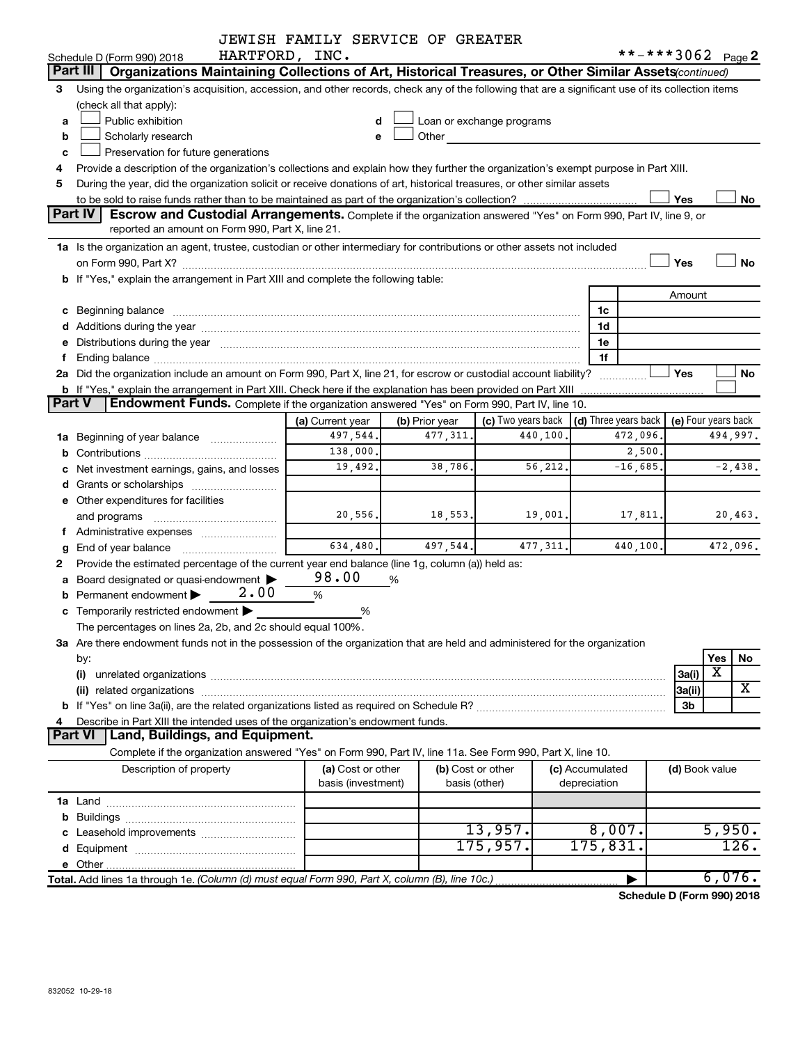|               |                                                                                                                                                                                                                                | JEWISH FAMILY SERVICE OF GREATER |                   |                                                                                                                                                                                                                                |                 |            |                     |                                   |
|---------------|--------------------------------------------------------------------------------------------------------------------------------------------------------------------------------------------------------------------------------|----------------------------------|-------------------|--------------------------------------------------------------------------------------------------------------------------------------------------------------------------------------------------------------------------------|-----------------|------------|---------------------|-----------------------------------|
|               | HARTFORD, INC.<br>Schedule D (Form 990) 2018                                                                                                                                                                                   |                                  |                   |                                                                                                                                                                                                                                |                 |            | **-***3062 Page 2   |                                   |
|               | Part III<br>Organizations Maintaining Collections of Art, Historical Treasures, or Other Similar Assets (continued)                                                                                                            |                                  |                   |                                                                                                                                                                                                                                |                 |            |                     |                                   |
| 3             | Using the organization's acquisition, accession, and other records, check any of the following that are a significant use of its collection items                                                                              |                                  |                   |                                                                                                                                                                                                                                |                 |            |                     |                                   |
|               | (check all that apply):                                                                                                                                                                                                        |                                  |                   |                                                                                                                                                                                                                                |                 |            |                     |                                   |
| a             | Public exhibition                                                                                                                                                                                                              | d                                |                   | Loan or exchange programs                                                                                                                                                                                                      |                 |            |                     |                                   |
| b             | Scholarly research                                                                                                                                                                                                             |                                  |                   | Other and the control of the control of the control of the control of the control of the control of the control of the control of the control of the control of the control of the control of the control of the control of th |                 |            |                     |                                   |
| c             | Preservation for future generations                                                                                                                                                                                            |                                  |                   |                                                                                                                                                                                                                                |                 |            |                     |                                   |
| 4             | Provide a description of the organization's collections and explain how they further the organization's exempt purpose in Part XIII.                                                                                           |                                  |                   |                                                                                                                                                                                                                                |                 |            |                     |                                   |
| 5             | During the year, did the organization solicit or receive donations of art, historical treasures, or other similar assets                                                                                                       |                                  |                   |                                                                                                                                                                                                                                |                 |            |                     |                                   |
|               |                                                                                                                                                                                                                                |                                  |                   |                                                                                                                                                                                                                                |                 |            | Yes                 | No                                |
|               | <b>Part IV</b><br><b>Escrow and Custodial Arrangements.</b> Complete if the organization answered "Yes" on Form 990, Part IV, line 9, or                                                                                       |                                  |                   |                                                                                                                                                                                                                                |                 |            |                     |                                   |
|               | reported an amount on Form 990, Part X, line 21.                                                                                                                                                                               |                                  |                   |                                                                                                                                                                                                                                |                 |            |                     |                                   |
|               | 1a Is the organization an agent, trustee, custodian or other intermediary for contributions or other assets not included                                                                                                       |                                  |                   |                                                                                                                                                                                                                                |                 |            |                     |                                   |
|               |                                                                                                                                                                                                                                |                                  |                   |                                                                                                                                                                                                                                |                 |            | Yes                 | <b>No</b>                         |
|               | b If "Yes," explain the arrangement in Part XIII and complete the following table:                                                                                                                                             |                                  |                   |                                                                                                                                                                                                                                |                 |            |                     |                                   |
|               |                                                                                                                                                                                                                                |                                  |                   |                                                                                                                                                                                                                                |                 |            | Amount              |                                   |
|               |                                                                                                                                                                                                                                |                                  |                   |                                                                                                                                                                                                                                | 1c              |            |                     |                                   |
|               |                                                                                                                                                                                                                                |                                  |                   |                                                                                                                                                                                                                                | 1d              |            |                     |                                   |
|               | e Distributions during the year manufactured and continuum and contact the year manufactured and contact the year manufactured and contact the year manufactured and contact the year manufactured and contact the year manufa |                                  |                   |                                                                                                                                                                                                                                | 1e              |            |                     |                                   |
| f.            |                                                                                                                                                                                                                                |                                  |                   |                                                                                                                                                                                                                                | 1f              |            |                     |                                   |
|               | 2a Did the organization include an amount on Form 990, Part X, line 21, for escrow or custodial account liability?                                                                                                             |                                  |                   |                                                                                                                                                                                                                                |                 | .          | Yes                 | No                                |
| <b>Part V</b> | <b>b</b> If "Yes," explain the arrangement in Part XIII. Check here if the explanation has been provided on Part XIII<br>Endowment Funds. Complete if the organization answered "Yes" on Form 990, Part IV, line 10.           |                                  |                   |                                                                                                                                                                                                                                |                 |            |                     |                                   |
|               |                                                                                                                                                                                                                                |                                  |                   |                                                                                                                                                                                                                                |                 |            |                     |                                   |
|               |                                                                                                                                                                                                                                | (a) Current year                 | (b) Prior year    | (c) Two years back $\vert$ (d) Three years back $\vert$                                                                                                                                                                        |                 |            | (e) Four years back |                                   |
|               | <b>1a</b> Beginning of year balance <i>manumumum</i>                                                                                                                                                                           | 497,544.                         | 477, 311.         | 440,100.                                                                                                                                                                                                                       |                 | 472,096.   |                     | 494,997.                          |
|               |                                                                                                                                                                                                                                | 138,000.                         |                   |                                                                                                                                                                                                                                |                 | 2,500.     |                     |                                   |
|               | c Net investment earnings, gains, and losses                                                                                                                                                                                   | 19,492.                          | 38,786.           | 56, 212.                                                                                                                                                                                                                       |                 | $-16,685.$ |                     | $-2,438.$                         |
|               |                                                                                                                                                                                                                                |                                  |                   |                                                                                                                                                                                                                                |                 |            |                     |                                   |
|               | e Other expenditures for facilities                                                                                                                                                                                            |                                  |                   |                                                                                                                                                                                                                                |                 |            |                     |                                   |
|               |                                                                                                                                                                                                                                | 20,556.                          | 18,553.           | 19,001.                                                                                                                                                                                                                        |                 | 17,811.    |                     | 20,463.                           |
|               |                                                                                                                                                                                                                                | 634,480.                         | 497,544.          | 477, 311.                                                                                                                                                                                                                      |                 | 440,100.   |                     | 472,096.                          |
|               |                                                                                                                                                                                                                                |                                  |                   |                                                                                                                                                                                                                                |                 |            |                     |                                   |
| 2             | Provide the estimated percentage of the current year end balance (line 1g, column (a)) held as:                                                                                                                                | 98.00                            | %                 |                                                                                                                                                                                                                                |                 |            |                     |                                   |
|               | a Board designated or quasi-endowment ><br>2.00<br><b>b</b> Permanent endowment $\blacktriangleright$                                                                                                                          |                                  |                   |                                                                                                                                                                                                                                |                 |            |                     |                                   |
|               |                                                                                                                                                                                                                                | %                                |                   |                                                                                                                                                                                                                                |                 |            |                     |                                   |
|               | c Temporarily restricted endowment $\blacktriangleright$<br>The percentages on lines 2a, 2b, and 2c should equal 100%.                                                                                                         | %                                |                   |                                                                                                                                                                                                                                |                 |            |                     |                                   |
|               | 3a Are there endowment funds not in the possession of the organization that are held and administered for the organization                                                                                                     |                                  |                   |                                                                                                                                                                                                                                |                 |            |                     |                                   |
|               |                                                                                                                                                                                                                                |                                  |                   |                                                                                                                                                                                                                                |                 |            |                     | Yes<br>No                         |
|               | by:<br>(i)                                                                                                                                                                                                                     |                                  |                   |                                                                                                                                                                                                                                |                 |            | 3a(i)               | X                                 |
|               |                                                                                                                                                                                                                                |                                  |                   |                                                                                                                                                                                                                                |                 |            | 3a(ii)              | X                                 |
|               |                                                                                                                                                                                                                                |                                  |                   |                                                                                                                                                                                                                                |                 |            | 3b                  |                                   |
| 4             | Describe in Part XIII the intended uses of the organization's endowment funds.                                                                                                                                                 |                                  |                   |                                                                                                                                                                                                                                |                 |            |                     |                                   |
|               | Land, Buildings, and Equipment.<br><b>Part VI</b>                                                                                                                                                                              |                                  |                   |                                                                                                                                                                                                                                |                 |            |                     |                                   |
|               | Complete if the organization answered "Yes" on Form 990, Part IV, line 11a. See Form 990, Part X, line 10.                                                                                                                     |                                  |                   |                                                                                                                                                                                                                                |                 |            |                     |                                   |
|               | Description of property                                                                                                                                                                                                        | (a) Cost or other                | (b) Cost or other |                                                                                                                                                                                                                                | (c) Accumulated |            | (d) Book value      |                                   |
|               |                                                                                                                                                                                                                                | basis (investment)               | basis (other)     |                                                                                                                                                                                                                                | depreciation    |            |                     |                                   |
|               |                                                                                                                                                                                                                                |                                  |                   |                                                                                                                                                                                                                                |                 |            |                     |                                   |
|               |                                                                                                                                                                                                                                |                                  |                   |                                                                                                                                                                                                                                |                 |            |                     |                                   |
|               |                                                                                                                                                                                                                                |                                  |                   | 13,957.                                                                                                                                                                                                                        | 8,007.          |            |                     | 5,950.                            |
|               |                                                                                                                                                                                                                                |                                  |                   | 175,957.                                                                                                                                                                                                                       | 175,831.        |            |                     | 126.                              |
|               |                                                                                                                                                                                                                                |                                  |                   |                                                                                                                                                                                                                                |                 |            |                     |                                   |
|               | Total. Add lines 1a through 1e. (Column (d) must equal Form 990, Part X, column (B), line 10c.)                                                                                                                                |                                  |                   |                                                                                                                                                                                                                                |                 |            |                     | 6,076.                            |
|               |                                                                                                                                                                                                                                |                                  |                   |                                                                                                                                                                                                                                |                 |            |                     | <b>Cohodulo D (Form 000) 2010</b> |

**Schedule D (Form 990) 2018**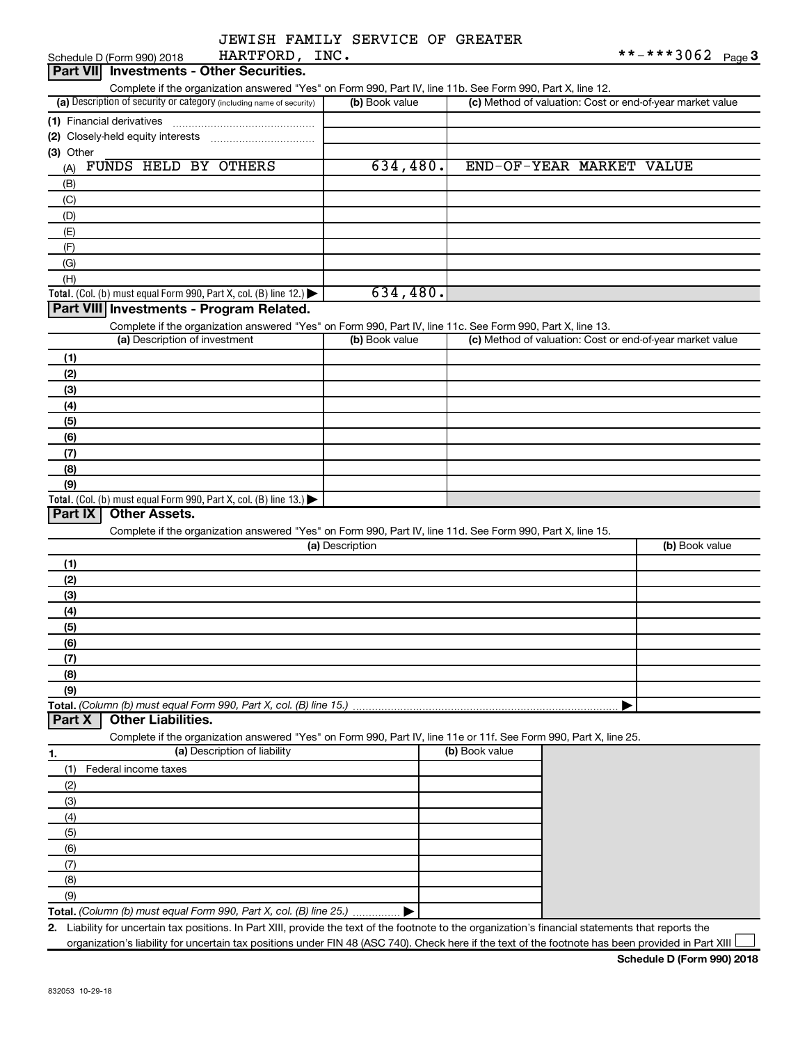|  | JEWISH FAMILY SERVICE OF GREATER |  |
|--|----------------------------------|--|
|  |                                  |  |

| HARTFORD, INC.<br>Schedule D (Form 990) 2018                                                                                                         |                 |                | **-***3062<br>Page $3$                                    |
|------------------------------------------------------------------------------------------------------------------------------------------------------|-----------------|----------------|-----------------------------------------------------------|
| <b>Part VII</b> Investments - Other Securities.                                                                                                      |                 |                |                                                           |
| Complete if the organization answered "Yes" on Form 990, Part IV, line 11b. See Form 990, Part X, line 12.                                           |                 |                |                                                           |
| (a) Description of security or category (including name of security)                                                                                 | (b) Book value  |                | (c) Method of valuation: Cost or end-of-year market value |
| (1) Financial derivatives                                                                                                                            |                 |                |                                                           |
|                                                                                                                                                      |                 |                |                                                           |
| (3) Other                                                                                                                                            |                 |                |                                                           |
| FUNDS HELD BY OTHERS<br>(A)                                                                                                                          | 634,480.        |                | END-OF-YEAR MARKET VALUE                                  |
| (B)                                                                                                                                                  |                 |                |                                                           |
| (C)                                                                                                                                                  |                 |                |                                                           |
| (D)                                                                                                                                                  |                 |                |                                                           |
|                                                                                                                                                      |                 |                |                                                           |
| (E)                                                                                                                                                  |                 |                |                                                           |
| (F)                                                                                                                                                  |                 |                |                                                           |
| (G)                                                                                                                                                  |                 |                |                                                           |
| (H)                                                                                                                                                  |                 |                |                                                           |
| Total. (Col. (b) must equal Form 990, Part X, col. (B) line 12.)                                                                                     | 634,480.        |                |                                                           |
| Part VIII Investments - Program Related.                                                                                                             |                 |                |                                                           |
| Complete if the organization answered "Yes" on Form 990, Part IV, line 11c. See Form 990, Part X, line 13.                                           |                 |                |                                                           |
| (a) Description of investment                                                                                                                        | (b) Book value  |                | (c) Method of valuation: Cost or end-of-year market value |
| (1)                                                                                                                                                  |                 |                |                                                           |
| (2)                                                                                                                                                  |                 |                |                                                           |
| (3)                                                                                                                                                  |                 |                |                                                           |
| (4)                                                                                                                                                  |                 |                |                                                           |
| (5)                                                                                                                                                  |                 |                |                                                           |
| (6)                                                                                                                                                  |                 |                |                                                           |
| (7)                                                                                                                                                  |                 |                |                                                           |
| (8)                                                                                                                                                  |                 |                |                                                           |
| (9)                                                                                                                                                  |                 |                |                                                           |
| Total. (Col. (b) must equal Form 990, Part X, col. (B) line 13.)                                                                                     |                 |                |                                                           |
| Part IX<br><b>Other Assets.</b>                                                                                                                      |                 |                |                                                           |
| Complete if the organization answered "Yes" on Form 990, Part IV, line 11d. See Form 990, Part X, line 15.                                           |                 |                |                                                           |
|                                                                                                                                                      | (a) Description |                | (b) Book value                                            |
|                                                                                                                                                      |                 |                |                                                           |
| (1)                                                                                                                                                  |                 |                |                                                           |
| (2)                                                                                                                                                  |                 |                |                                                           |
| (3)                                                                                                                                                  |                 |                |                                                           |
| (4)                                                                                                                                                  |                 |                |                                                           |
| (5)                                                                                                                                                  |                 |                |                                                           |
| (6)                                                                                                                                                  |                 |                |                                                           |
| (7)                                                                                                                                                  |                 |                |                                                           |
| (8)                                                                                                                                                  |                 |                |                                                           |
| (9)                                                                                                                                                  |                 |                |                                                           |
|                                                                                                                                                      |                 |                |                                                           |
| <b>Other Liabilities.</b><br>Part X                                                                                                                  |                 |                |                                                           |
| Complete if the organization answered "Yes" on Form 990, Part IV, line 11e or 11f. See Form 990, Part X, line 25.                                    |                 |                |                                                           |
| (a) Description of liability<br>1.                                                                                                                   |                 | (b) Book value |                                                           |
| (1)<br>Federal income taxes                                                                                                                          |                 |                |                                                           |
| (2)                                                                                                                                                  |                 |                |                                                           |
| (3)                                                                                                                                                  |                 |                |                                                           |
| (4)                                                                                                                                                  |                 |                |                                                           |
|                                                                                                                                                      |                 |                |                                                           |
| (5)                                                                                                                                                  |                 |                |                                                           |
| (6)                                                                                                                                                  |                 |                |                                                           |
| (7)                                                                                                                                                  |                 |                |                                                           |
| (8)                                                                                                                                                  |                 |                |                                                           |
| (9)                                                                                                                                                  |                 |                |                                                           |
| Total. (Column (b) must equal Form 990, Part X, col. (B) line 25.)                                                                                   |                 |                |                                                           |
| 2. Liability for uncertain tax positions. In Part XIII, provide the text of the footnote to the organization's financial statements that reports the |                 |                |                                                           |

organization's liability for uncertain tax positions under FIN 48 (ASC 740). Check here if the text of the footnote has been provided in Part XIII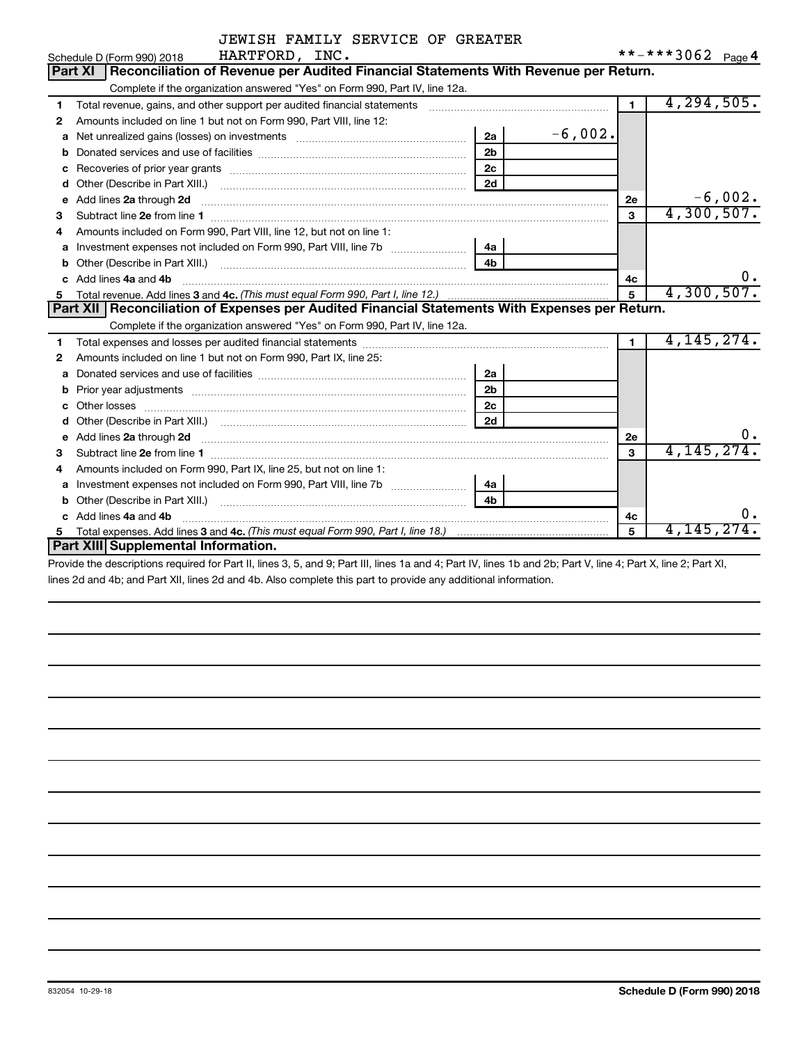|    | HARTFORD, INC.<br>Schedule D (Form 990) 2018                                                                                                                                                                                         |                |           |                      | **-***3062 Page 4 |
|----|--------------------------------------------------------------------------------------------------------------------------------------------------------------------------------------------------------------------------------------|----------------|-----------|----------------------|-------------------|
|    | Reconciliation of Revenue per Audited Financial Statements With Revenue per Return.<br>Part XI                                                                                                                                       |                |           |                      |                   |
|    | Complete if the organization answered "Yes" on Form 990, Part IV, line 12a.                                                                                                                                                          |                |           |                      |                   |
| 1  | Total revenue, gains, and other support per audited financial statements [[[[[[[[[[[[[[[[[[[[[[[[]]]]]]]]]]]]                                                                                                                        |                |           | $\blacksquare$       | 4, 294, 505.      |
| 2  | Amounts included on line 1 but not on Form 990, Part VIII, line 12:                                                                                                                                                                  |                |           |                      |                   |
| a  |                                                                                                                                                                                                                                      | 2a             | $-6,002.$ |                      |                   |
| b  |                                                                                                                                                                                                                                      | 2 <sub>b</sub> |           |                      |                   |
| c  |                                                                                                                                                                                                                                      | 2c             |           |                      |                   |
| d  |                                                                                                                                                                                                                                      | 2d             |           |                      |                   |
| е  | Add lines 2a through 2d <b>continuum continuum contract and continuum contract and continuum contract and continuum contract and continuum contract and continuum contract and continuum contract and continuum contract and con</b> |                |           | 2е                   | $-6,002.$         |
| з  |                                                                                                                                                                                                                                      |                |           | 3                    | 4,300,507.        |
| 4  | Amounts included on Form 990, Part VIII, line 12, but not on line 1:                                                                                                                                                                 |                |           |                      |                   |
| a  | Investment expenses not included on Form 990, Part VIII, line 7b [                                                                                                                                                                   | l 4a           |           |                      |                   |
| b  |                                                                                                                                                                                                                                      | 4 <sub>h</sub> |           |                      |                   |
| c. | Add lines 4a and 4b                                                                                                                                                                                                                  |                |           | 4с                   | υ.                |
| 5. |                                                                                                                                                                                                                                      |                |           | 5                    | 4,300,507.        |
|    | Part XII   Reconciliation of Expenses per Audited Financial Statements With Expenses per Return.                                                                                                                                     |                |           |                      |                   |
|    | Complete if the organization answered "Yes" on Form 990, Part IV, line 12a.                                                                                                                                                          |                |           |                      |                   |
| 1  |                                                                                                                                                                                                                                      |                |           | $\blacktriangleleft$ | 4, 145, 274.      |
| 2  | Amounts included on line 1 but not on Form 990, Part IX, line 25:                                                                                                                                                                    |                |           |                      |                   |
| a  |                                                                                                                                                                                                                                      | 2a             |           |                      |                   |
| b  |                                                                                                                                                                                                                                      | 2 <sub>b</sub> |           |                      |                   |
| c  |                                                                                                                                                                                                                                      | 2 <sub>c</sub> |           |                      |                   |
| d  |                                                                                                                                                                                                                                      | 2d             |           |                      |                   |
| e  | Add lines 2a through 2d <b>manufactures</b> and the contract of the contract of the contract of the contract of the contract of the contract of the contract of the contract of the contract of the contract of the contract of the  |                |           | 2e                   | 0.                |
| з  |                                                                                                                                                                                                                                      |                |           | 3                    | 4, 145, 274.      |
| 4  | Amounts included on Form 990, Part IX, line 25, but not on line 1:                                                                                                                                                                   |                |           |                      |                   |
| a  |                                                                                                                                                                                                                                      | 4a             |           |                      |                   |
| b  | Other (Describe in Part XIII.) [100] [100] [100] [100] [100] [100] [100] [100] [100] [100] [100] [100] [100] [                                                                                                                       |                |           |                      |                   |
|    | c Add lines 4a and 4b                                                                                                                                                                                                                |                |           | 4c                   | 0.                |
|    |                                                                                                                                                                                                                                      |                |           | 5                    | 4,145,2           |
|    | Part XIII Supplemental Information.                                                                                                                                                                                                  |                |           |                      |                   |

Provide the descriptions required for Part II, lines 3, 5, and 9; Part III, lines 1a and 4; Part IV, lines 1b and 2b; Part V, line 4; Part X, line 2; Part XI, lines 2d and 4b; and Part XII, lines 2d and 4b. Also complete this part to provide any additional information.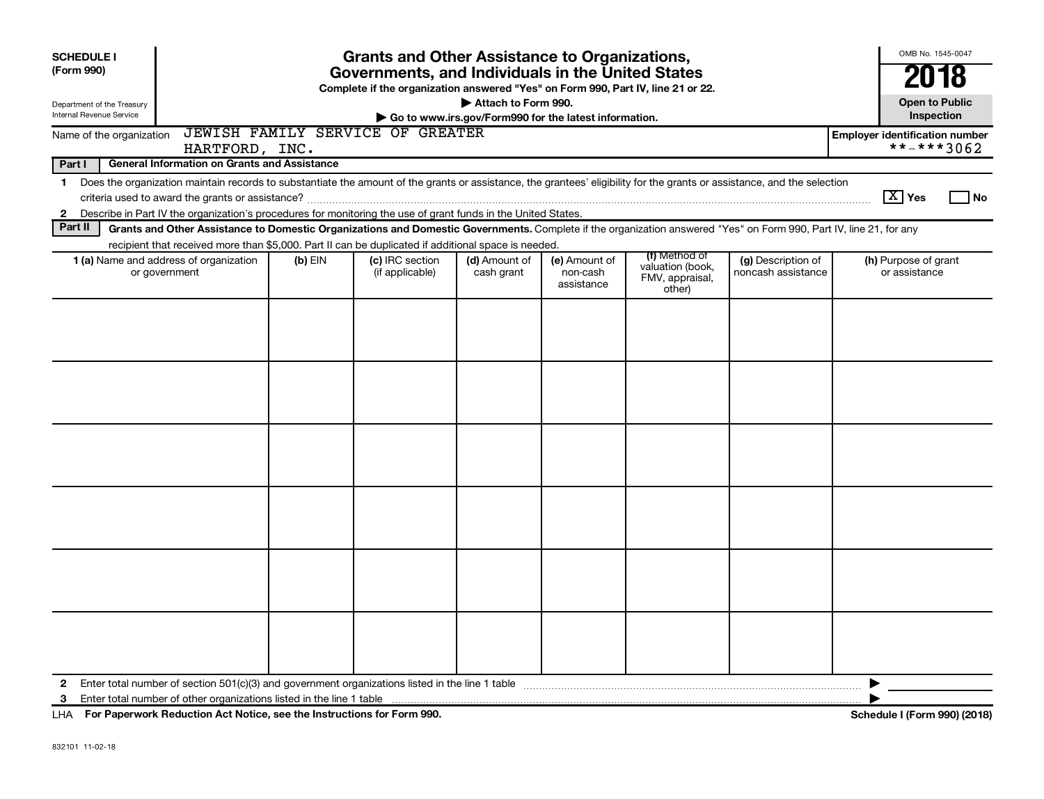| <b>SCHEDULE I</b><br>(Form 990)                        | <b>Grants and Other Assistance to Organizations,</b><br>Governments, and Individuals in the United States<br>Complete if the organization answered "Yes" on Form 990, Part IV, line 21 or 22.                                                                                             |           |                                    |                                                                              |                                         |                                                                |                                          |                                                     |
|--------------------------------------------------------|-------------------------------------------------------------------------------------------------------------------------------------------------------------------------------------------------------------------------------------------------------------------------------------------|-----------|------------------------------------|------------------------------------------------------------------------------|-----------------------------------------|----------------------------------------------------------------|------------------------------------------|-----------------------------------------------------|
| Department of the Treasury<br>Internal Revenue Service |                                                                                                                                                                                                                                                                                           |           |                                    | Attach to Form 990.<br>Go to www.irs.gov/Form990 for the latest information. |                                         |                                                                |                                          | <b>Open to Public</b><br>Inspection                 |
| Name of the organization                               | HARTFORD, INC.                                                                                                                                                                                                                                                                            |           | JEWISH FAMILY SERVICE OF GREATER   |                                                                              |                                         |                                                                |                                          | <b>Employer identification number</b><br>**-***3062 |
| Part I                                                 | <b>General Information on Grants and Assistance</b>                                                                                                                                                                                                                                       |           |                                    |                                                                              |                                         |                                                                |                                          |                                                     |
| $\mathbf 1$<br>$\mathbf{2}$                            | Does the organization maintain records to substantiate the amount of the grants or assistance, the grantees' eligibility for the grants or assistance, and the selection<br>Describe in Part IV the organization's procedures for monitoring the use of grant funds in the United States. |           |                                    |                                                                              |                                         |                                                                |                                          | $\boxed{\text{X}}$ Yes<br>  No                      |
| Part II                                                | Grants and Other Assistance to Domestic Organizations and Domestic Governments. Complete if the organization answered "Yes" on Form 990, Part IV, line 21, for any                                                                                                                        |           |                                    |                                                                              |                                         |                                                                |                                          |                                                     |
|                                                        | recipient that received more than \$5,000. Part II can be duplicated if additional space is needed.<br>1 (a) Name and address of organization<br>or government                                                                                                                            | $(b)$ EIN | (c) IRC section<br>(if applicable) | (d) Amount of<br>cash grant                                                  | (e) Amount of<br>non-cash<br>assistance | (f) Method of<br>valuation (book,<br>FMV, appraisal,<br>other) | (g) Description of<br>noncash assistance | (h) Purpose of grant<br>or assistance               |
|                                                        |                                                                                                                                                                                                                                                                                           |           |                                    |                                                                              |                                         |                                                                |                                          |                                                     |
|                                                        |                                                                                                                                                                                                                                                                                           |           |                                    |                                                                              |                                         |                                                                |                                          |                                                     |
|                                                        |                                                                                                                                                                                                                                                                                           |           |                                    |                                                                              |                                         |                                                                |                                          |                                                     |
|                                                        |                                                                                                                                                                                                                                                                                           |           |                                    |                                                                              |                                         |                                                                |                                          |                                                     |
|                                                        |                                                                                                                                                                                                                                                                                           |           |                                    |                                                                              |                                         |                                                                |                                          |                                                     |
|                                                        |                                                                                                                                                                                                                                                                                           |           |                                    |                                                                              |                                         |                                                                |                                          |                                                     |
| 2<br>3                                                 |                                                                                                                                                                                                                                                                                           |           |                                    |                                                                              |                                         |                                                                |                                          | ▶                                                   |

**For Paperwork Reduction Act Notice, see the Instructions for Form 990. Schedule I (Form 990) (2018)** LHA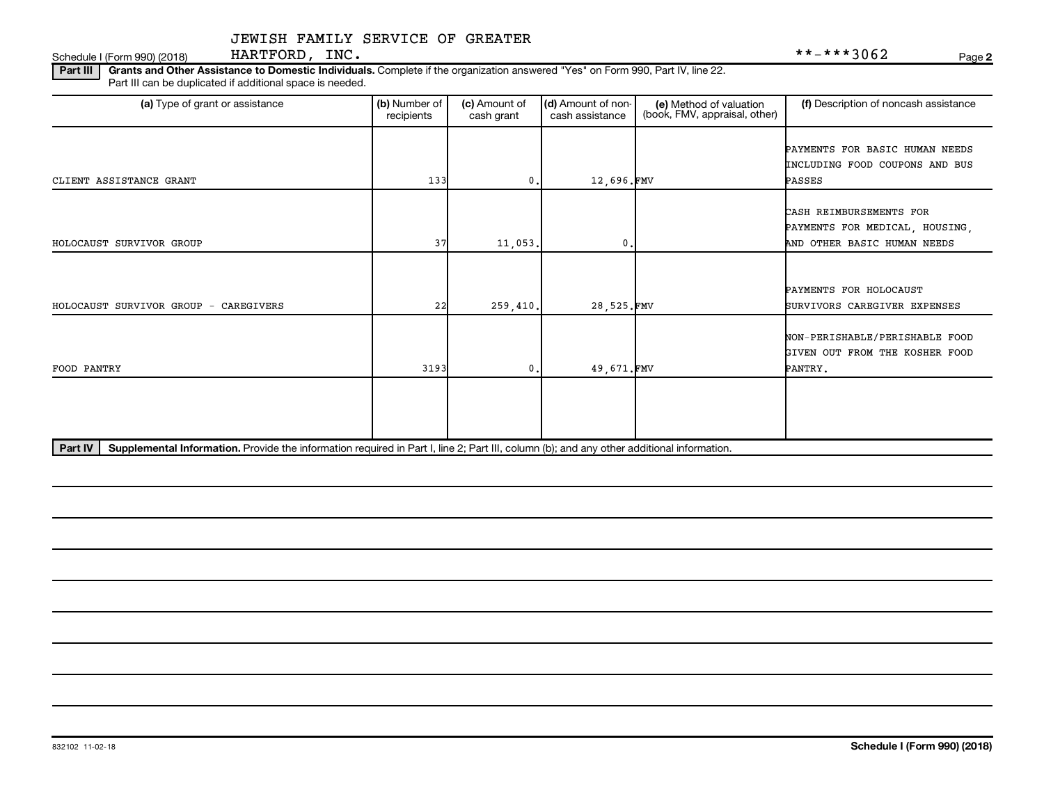Schedule I (Form 990) (2018)  $\begin{array}{c} \text{HARTFORD} \end{array}$   $\begin{array}{c} \text{INC} \end{array}$ 

**2**

Part III | Grants and Other Assistance to Domestic Individuals. Complete if the organization answered "Yes" on Form 990, Part IV, line 22. Part III can be duplicated if additional space is needed.

| (a) Type of grant or assistance                                                                                                                      | (b) Number of<br>recipients | (c) Amount of<br>cash grant | (d) Amount of non-<br>cash assistance | (e) Method of valuation<br>(book, FMV, appraisal, other) | (f) Description of noncash assistance |
|------------------------------------------------------------------------------------------------------------------------------------------------------|-----------------------------|-----------------------------|---------------------------------------|----------------------------------------------------------|---------------------------------------|
|                                                                                                                                                      |                             |                             |                                       |                                                          | PAYMENTS FOR BASIC HUMAN NEEDS        |
|                                                                                                                                                      |                             |                             |                                       |                                                          | INCLUDING FOOD COUPONS AND BUS        |
| CLIENT ASSISTANCE GRANT                                                                                                                              | 133                         | 0                           | 12,696.FMV                            |                                                          | PASSES                                |
|                                                                                                                                                      |                             |                             |                                       |                                                          |                                       |
|                                                                                                                                                      |                             |                             |                                       |                                                          | CASH REIMBURSEMENTS FOR               |
|                                                                                                                                                      |                             |                             |                                       |                                                          | PAYMENTS FOR MEDICAL, HOUSING,        |
| HOLOCAUST SURVIVOR GROUP                                                                                                                             | 37                          | 11,053.                     | 0                                     |                                                          | AND OTHER BASIC HUMAN NEEDS           |
|                                                                                                                                                      |                             |                             |                                       |                                                          |                                       |
|                                                                                                                                                      |                             |                             |                                       |                                                          | PAYMENTS FOR HOLOCAUST                |
| HOLOCAUST SURVIVOR GROUP - CAREGIVERS                                                                                                                | 22                          | 259,410.                    | 28,525.FMV                            |                                                          | SURVIVORS CAREGIVER EXPENSES          |
|                                                                                                                                                      |                             |                             |                                       |                                                          |                                       |
|                                                                                                                                                      |                             |                             |                                       |                                                          | NON-PERISHABLE/PERISHABLE FOOD        |
|                                                                                                                                                      |                             |                             |                                       |                                                          | GIVEN OUT FROM THE KOSHER FOOD        |
| FOOD PANTRY                                                                                                                                          | 3193                        | 0                           | 49.671.FMV                            |                                                          | PANTRY.                               |
|                                                                                                                                                      |                             |                             |                                       |                                                          |                                       |
|                                                                                                                                                      |                             |                             |                                       |                                                          |                                       |
|                                                                                                                                                      |                             |                             |                                       |                                                          |                                       |
| Part IV<br>Supplemental Information. Provide the information required in Part I, line 2; Part III, column (b); and any other additional information. |                             |                             |                                       |                                                          |                                       |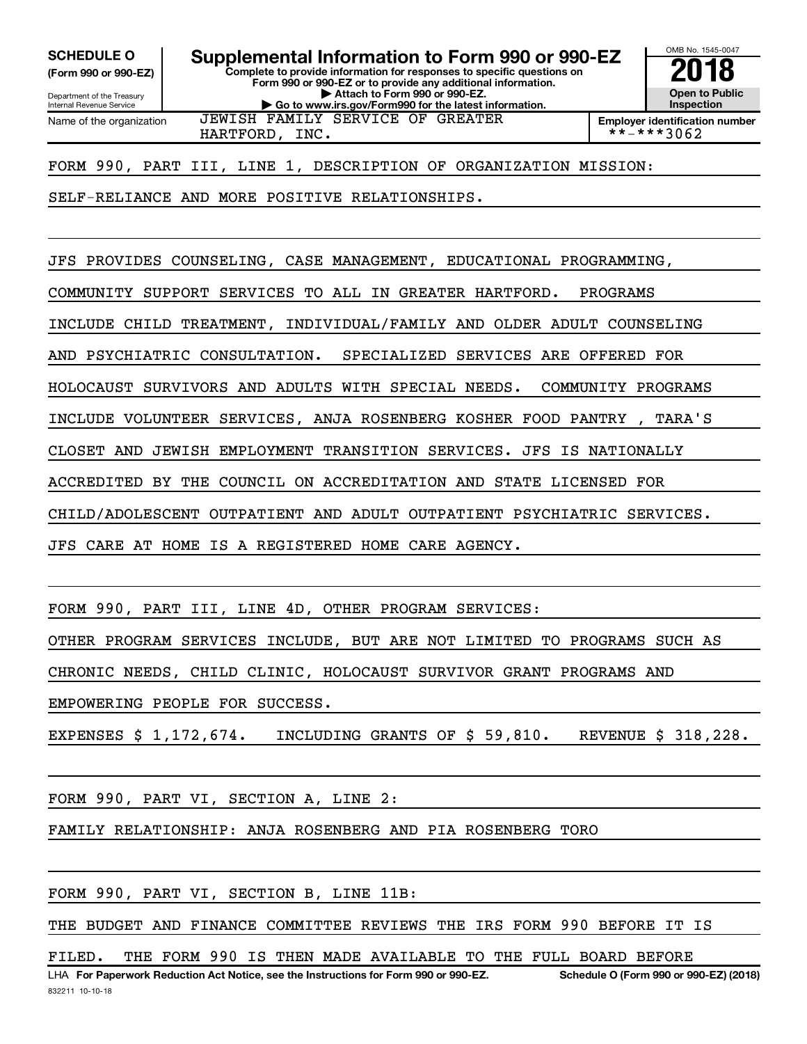**(Form 990 or 990-EZ)**

Department of the Treasury Internal Revenue Service Name of the organization

**Complete to provide information for responses to specific questions on Form 990 or 990-EZ or to provide any additional information. | Attach to Form 990 or 990-EZ. | Go to www.irs.gov/Form990 for the latest information.** SCHEDULE O **Supplemental Information to Form 990 or 990-EZ 2018**<br>(Form 990 or 990-EZ) Complete to provide information for responses to specific questions on



**Employer identification number** HARTFORD, INC.  $| * * - * * * 3062$ 

FORM 990, PART III, LINE 1, DESCRIPTION OF ORGANIZATION MISSION:

JEWISH FAMILY SERVICE OF GREATER

SELF-RELIANCE AND MORE POSITIVE RELATIONSHIPS.

JFS PROVIDES COUNSELING, CASE MANAGEMENT, EDUCATIONAL PROGRAMMING,

COMMUNITY SUPPORT SERVICES TO ALL IN GREATER HARTFORD. PROGRAMS

INCLUDE CHILD TREATMENT, INDIVIDUAL/FAMILY AND OLDER ADULT COUNSELING

AND PSYCHIATRIC CONSULTATION. SPECIALIZED SERVICES ARE OFFERED FOR

HOLOCAUST SURVIVORS AND ADULTS WITH SPECIAL NEEDS. COMMUNITY PROGRAMS

INCLUDE VOLUNTEER SERVICES, ANJA ROSENBERG KOSHER FOOD PANTRY , TARA'S

CLOSET AND JEWISH EMPLOYMENT TRANSITION SERVICES. JFS IS NATIONALLY

ACCREDITED BY THE COUNCIL ON ACCREDITATION AND STATE LICENSED FOR

CHILD/ADOLESCENT OUTPATIENT AND ADULT OUTPATIENT PSYCHIATRIC SERVICES.

JFS CARE AT HOME IS A REGISTERED HOME CARE AGENCY.

FORM 990, PART III, LINE 4D, OTHER PROGRAM SERVICES:

OTHER PROGRAM SERVICES INCLUDE, BUT ARE NOT LIMITED TO PROGRAMS SUCH AS

CHRONIC NEEDS, CHILD CLINIC, HOLOCAUST SURVIVOR GRANT PROGRAMS AND

EMPOWERING PEOPLE FOR SUCCESS.

EXPENSES \$ 1,172,674. INCLUDING GRANTS OF \$ 59,810. REVENUE \$ 318,228.

FORM 990, PART VI, SECTION A, LINE 2:

FAMILY RELATIONSHIP: ANJA ROSENBERG AND PIA ROSENBERG TORO

FORM 990, PART VI, SECTION B, LINE 11B:

THE BUDGET AND FINANCE COMMITTEE REVIEWS THE IRS FORM 990 BEFORE IT IS

FILED. THE FORM 990 IS THEN MADE AVAILABLE TO THE FULL BOARD BEFORE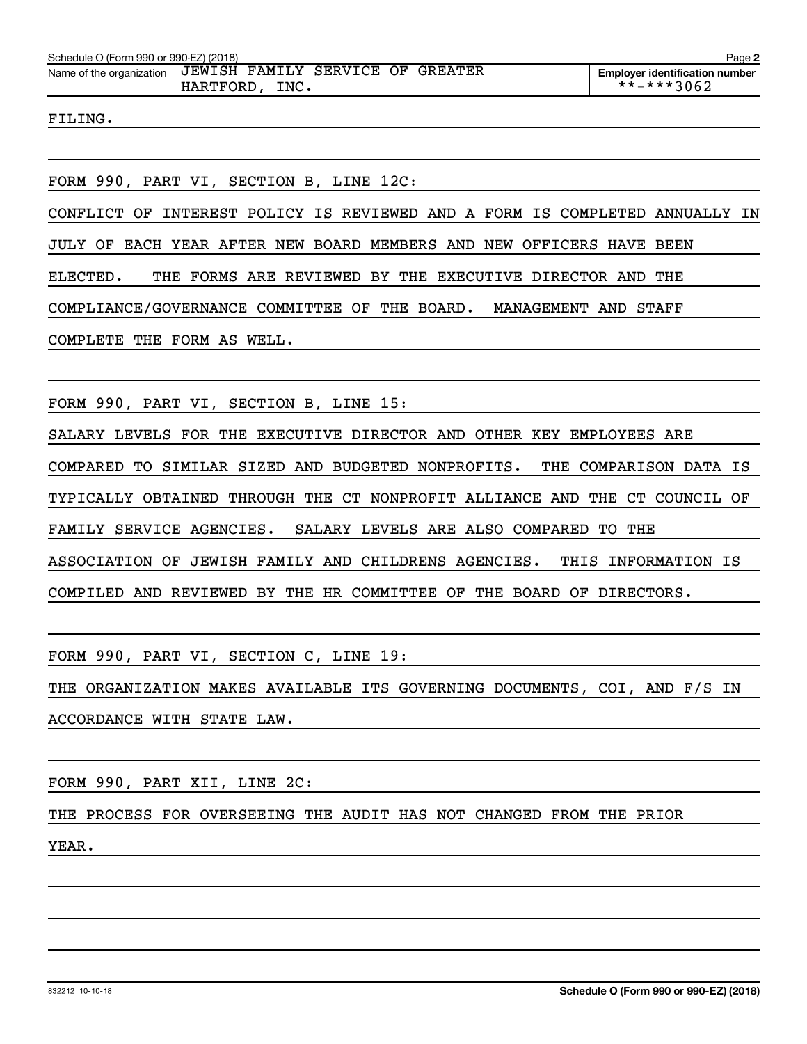FILING.

FORM 990, PART VI, SECTION B, LINE 12C:

CONFLICT OF INTEREST POLICY IS REVIEWED AND A FORM IS COMPLETED ANNUALLY IN

JULY OF EACH YEAR AFTER NEW BOARD MEMBERS AND NEW OFFICERS HAVE BEEN

ELECTED. THE FORMS ARE REVIEWED BY THE EXECUTIVE DIRECTOR AND THE

COMPLIANCE/GOVERNANCE COMMITTEE OF THE BOARD. MANAGEMENT AND STAFF

COMPLETE THE FORM AS WELL.

FORM 990, PART VI, SECTION B, LINE 15:

SALARY LEVELS FOR THE EXECUTIVE DIRECTOR AND OTHER KEY EMPLOYEES ARE COMPARED TO SIMILAR SIZED AND BUDGETED NONPROFITS. THE COMPARISON DATA IS TYPICALLY OBTAINED THROUGH THE CT NONPROFIT ALLIANCE AND THE CT COUNCIL OF FAMILY SERVICE AGENCIES. SALARY LEVELS ARE ALSO COMPARED TO THE ASSOCIATION OF JEWISH FAMILY AND CHILDRENS AGENCIES. THIS INFORMATION IS COMPILED AND REVIEWED BY THE HR COMMITTEE OF THE BOARD OF DIRECTORS.

FORM 990, PART VI, SECTION C, LINE 19:

THE ORGANIZATION MAKES AVAILABLE ITS GOVERNING DOCUMENTS, COI, AND F/S IN ACCORDANCE WITH STATE LAW.

FORM 990, PART XII, LINE 2C:

THE PROCESS FOR OVERSEEING THE AUDIT HAS NOT CHANGED FROM THE PRIOR

YEAR.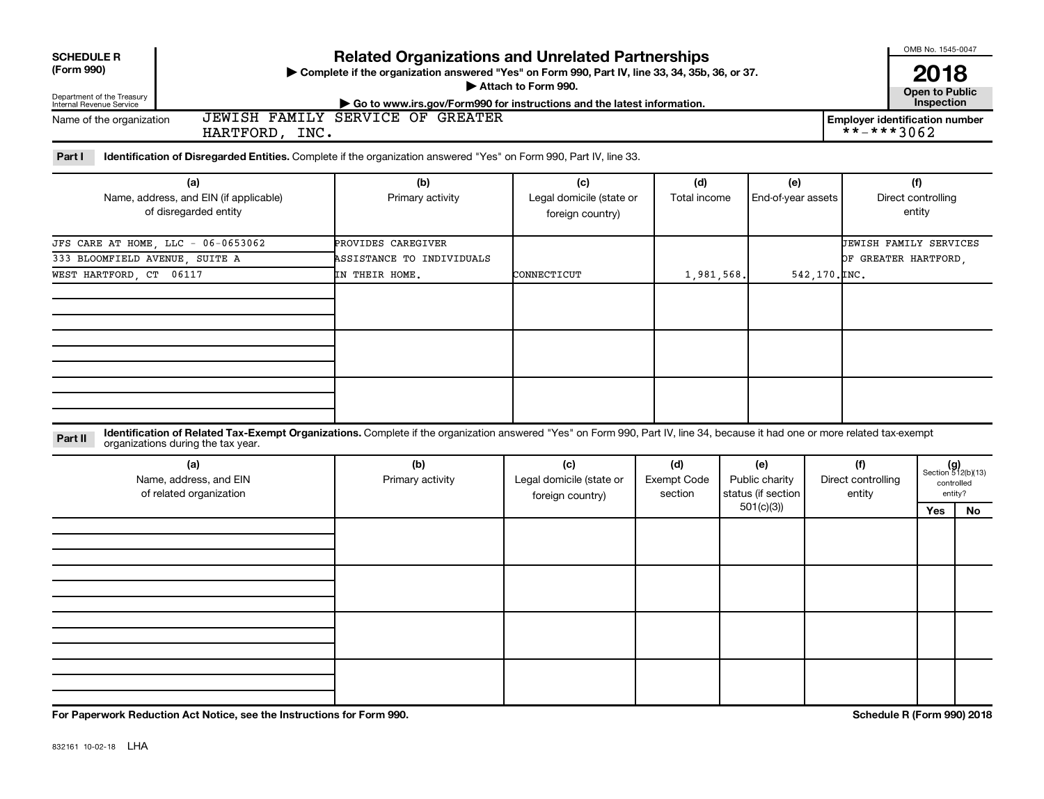| <b>Related Organizations and Unrelated Partnerships</b><br><b>SCHEDULE R</b><br>(Form 990)<br>> Complete if the organization answered "Yes" on Form 990, Part IV, line 33, 34, 35b, 36, or 37.<br>Attach to Form 990.<br>Department of the Treasury<br>► Go to www.irs.gov/Form990 for instructions and the latest information.<br>Internal Revenue Service |                                                                                                                                                |                                                                                                                           |                                                     |                     |                           |                                     |  |  |  |  |  |
|-------------------------------------------------------------------------------------------------------------------------------------------------------------------------------------------------------------------------------------------------------------------------------------------------------------------------------------------------------------|------------------------------------------------------------------------------------------------------------------------------------------------|---------------------------------------------------------------------------------------------------------------------------|-----------------------------------------------------|---------------------|---------------------------|-------------------------------------|--|--|--|--|--|
|                                                                                                                                                                                                                                                                                                                                                             | SERVICE OF GREATER<br>JEWISH FAMILY<br>Name of the organization<br><b>Employer identification number</b><br>$***$ $***$ 3062<br>HARTFORD, INC. |                                                                                                                           |                                                     |                     |                           |                                     |  |  |  |  |  |
| Part I                                                                                                                                                                                                                                                                                                                                                      |                                                                                                                                                | <b>Identification of Disregarded Entities.</b> Complete if the organization answered "Yes" on Form 990, Part IV, line 33. |                                                     |                     |                           |                                     |  |  |  |  |  |
|                                                                                                                                                                                                                                                                                                                                                             | (a)<br>Name, address, and EIN (if applicable)<br>of disregarded entity                                                                         | (b)<br>Primary activity                                                                                                   | (c)<br>Legal domicile (state or<br>foreign country) | (d)<br>Total income | (e)<br>End-of-year assets | (f)<br>Direct controlling<br>entity |  |  |  |  |  |
| $TBA$ $CMBB$ $RDB$ $HOMB$ $TFA$                                                                                                                                                                                                                                                                                                                             | ac acroaco                                                                                                                                     | 00.0177000 03.00071700                                                                                                    |                                                     |                     |                           | Foutan ou plutty apputanc           |  |  |  |  |  |

| of disregarded entity              |                           | foreign country) |            |               | entity                        |
|------------------------------------|---------------------------|------------------|------------|---------------|-------------------------------|
| JFS CARE AT HOME, LLC - 06-0653062 | PROVIDES CAREGIVER        |                  |            |               | <b>JEWISH FAMILY SERVICES</b> |
| 333 BLOOMFIELD AVENUE, SUITE A     | ASSISTANCE TO INDIVIDUALS |                  |            |               | OF GREATER HARTFORD,          |
| WEST HARTFORD, CT 06117            | IN THEIR HOME.            | CONNECTICUT      | 1,981,568. | 542,170. INC. |                               |
|                                    |                           |                  |            |               |                               |
|                                    |                           |                  |            |               |                               |
|                                    |                           |                  |            |               |                               |
|                                    |                           |                  |            |               |                               |
|                                    |                           |                  |            |               |                               |
|                                    |                           |                  |            |               |                               |
|                                    |                           |                  |            |               |                               |
|                                    |                           |                  |            |               |                               |
|                                    |                           |                  |            |               |                               |

| Part II | <b>Identification of Related Tax-Exempt Organizations.</b> Complete if the organization answered "Yes" on Form 990, Part IV, line 34, because it had one or more related tax-exemp.<br>organizations during the tax year. |
|---------|---------------------------------------------------------------------------------------------------------------------------------------------------------------------------------------------------------------------------|
|         |                                                                                                                                                                                                                           |

| (a)<br>Name, address, and EIN<br>of related organization | (b)<br>Primary activity | (c)<br>Legal domicile (state or<br>foreign country) | (d)<br><b>Exempt Code</b><br>section |           |  |     |    |  |  |  |  |  |  |  |  |  |  | (e)<br>Public charity<br>status (if section | (f)<br>Direct controlling<br>entity |  | $(g)$<br>Section 512(b)(13)<br>controlled<br>entity? |
|----------------------------------------------------------|-------------------------|-----------------------------------------------------|--------------------------------------|-----------|--|-----|----|--|--|--|--|--|--|--|--|--|--|---------------------------------------------|-------------------------------------|--|------------------------------------------------------|
|                                                          |                         |                                                     |                                      | 501(c)(3) |  | Yes | No |  |  |  |  |  |  |  |  |  |  |                                             |                                     |  |                                                      |
|                                                          |                         |                                                     |                                      |           |  |     |    |  |  |  |  |  |  |  |  |  |  |                                             |                                     |  |                                                      |
|                                                          |                         |                                                     |                                      |           |  |     |    |  |  |  |  |  |  |  |  |  |  |                                             |                                     |  |                                                      |
|                                                          |                         |                                                     |                                      |           |  |     |    |  |  |  |  |  |  |  |  |  |  |                                             |                                     |  |                                                      |
|                                                          |                         |                                                     |                                      |           |  |     |    |  |  |  |  |  |  |  |  |  |  |                                             |                                     |  |                                                      |

**For Paperwork Reduction Act Notice, see the Instructions for Form 990. Schedule R (Form 990) 2018**

OMB No. 1545-0047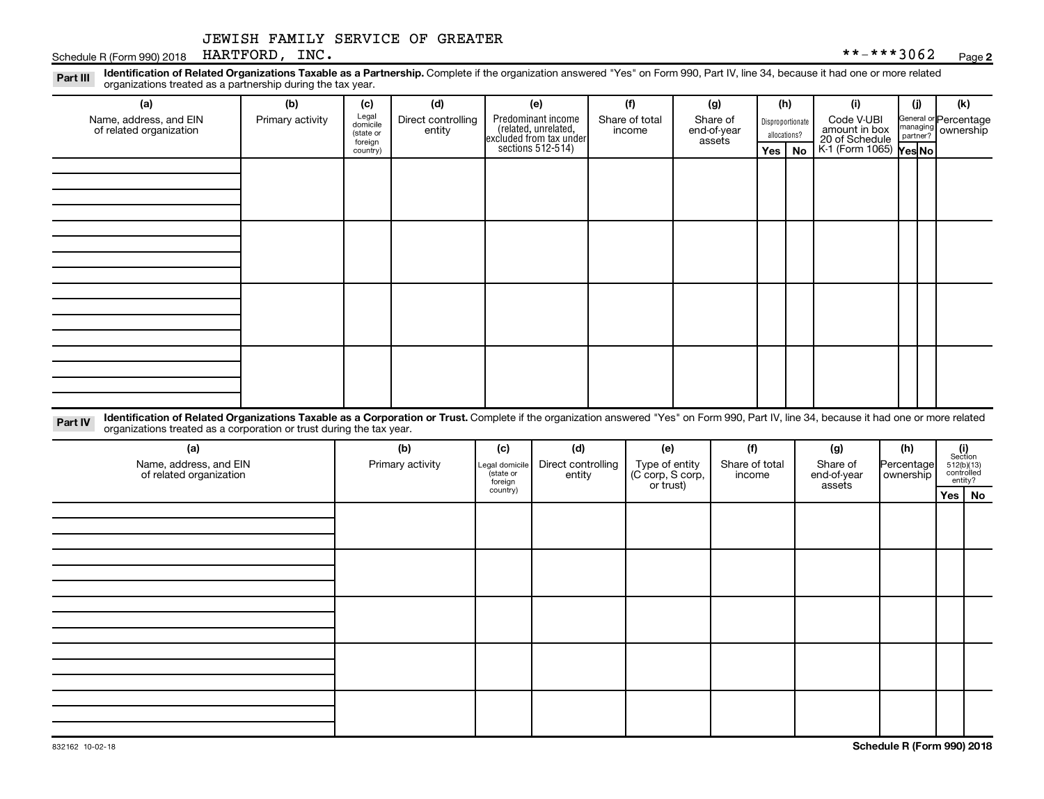#### Schedule R (Form 990) 2018 Page HARTFORD, INC. \*\*-\*\*\*3062

Disproportionate Legal domicile (state or General or Percentage Part III Identification of Related Organizations Taxable as a Partnership. Complete if the organization answered "Yes" on Form 990, Part IV, line 34, because it had one or more related<br>Read to the organizations tracted as **(a) (b) (c) (d) (e) (f) (g) (h) (i) (j) (k)** Predominant income (related, unrelated, organizations treated as a partnership during the tax year. Name, address, and EIN of related organization Primary activity  $\int_{\text{diamial}}^{\text{legal}}$  Direct controlling entity Share of total income Share of end-of-year Code V-UBI

| of related organization |  | aomicile<br>(state or<br>foreign<br>country) | $\check{\phantom{a}}$<br>entity | (related, unrelated,<br>excluded from tax under<br>sections 512-514) | income | end-of-year<br>assets | $-0.0$ $\mu$ $0.00$ $\mu$ $0.00$ $\mu$<br>allocations? |  | amount in box<br>20 of Schedule<br>K-1 (Form 1065) <b>Yes No</b> |  |  |
|-------------------------|--|----------------------------------------------|---------------------------------|----------------------------------------------------------------------|--------|-----------------------|--------------------------------------------------------|--|------------------------------------------------------------------|--|--|
|                         |  |                                              |                                 |                                                                      |        |                       | Yes   No                                               |  |                                                                  |  |  |
|                         |  |                                              |                                 |                                                                      |        |                       |                                                        |  |                                                                  |  |  |
|                         |  |                                              |                                 |                                                                      |        |                       |                                                        |  |                                                                  |  |  |
|                         |  |                                              |                                 |                                                                      |        |                       |                                                        |  |                                                                  |  |  |
|                         |  |                                              |                                 |                                                                      |        |                       |                                                        |  |                                                                  |  |  |
|                         |  |                                              |                                 |                                                                      |        |                       |                                                        |  |                                                                  |  |  |
|                         |  |                                              |                                 |                                                                      |        |                       |                                                        |  |                                                                  |  |  |
|                         |  |                                              |                                 |                                                                      |        |                       |                                                        |  |                                                                  |  |  |
|                         |  |                                              |                                 |                                                                      |        |                       |                                                        |  |                                                                  |  |  |
|                         |  |                                              |                                 |                                                                      |        |                       |                                                        |  |                                                                  |  |  |
|                         |  |                                              |                                 |                                                                      |        |                       |                                                        |  |                                                                  |  |  |
|                         |  |                                              |                                 |                                                                      |        |                       |                                                        |  |                                                                  |  |  |
|                         |  |                                              |                                 |                                                                      |        |                       |                                                        |  |                                                                  |  |  |
|                         |  |                                              |                                 |                                                                      |        |                       |                                                        |  |                                                                  |  |  |
|                         |  |                                              |                                 |                                                                      |        |                       |                                                        |  |                                                                  |  |  |
|                         |  |                                              |                                 |                                                                      |        |                       |                                                        |  |                                                                  |  |  |
|                         |  |                                              |                                 |                                                                      |        |                       |                                                        |  |                                                                  |  |  |

Part IV Identification of Related Organizations Taxable as a Corporation or Trust. Complete if the organization answered "Yes" on Form 990, Part IV, line 34, because it had one or more related organizations treated as a corporation or trust during the tax year.

| (a)<br>Name, address, and EIN<br>of related organization | (b)<br>Primary activity | (c)<br>Legal domicile<br>(state or<br>foreign | (d)<br>Direct controlling<br>entity | (e)<br>Type of entity<br>(C corp, S corp,<br>or trust) | (f)<br>Share of total<br>income | (g)<br>Share of<br>end-of-year<br>assets | (h)<br>Percentage<br>ownership | (i)<br>Section<br>$512(b)(13)$<br>controlled<br>entity? |          |
|----------------------------------------------------------|-------------------------|-----------------------------------------------|-------------------------------------|--------------------------------------------------------|---------------------------------|------------------------------------------|--------------------------------|---------------------------------------------------------|----------|
|                                                          |                         | country)                                      |                                     |                                                        |                                 |                                          |                                |                                                         | Yes   No |
|                                                          |                         |                                               |                                     |                                                        |                                 |                                          |                                |                                                         |          |
|                                                          |                         |                                               |                                     |                                                        |                                 |                                          |                                |                                                         |          |
|                                                          |                         |                                               |                                     |                                                        |                                 |                                          |                                |                                                         |          |
|                                                          |                         |                                               |                                     |                                                        |                                 |                                          |                                |                                                         |          |
|                                                          |                         |                                               |                                     |                                                        |                                 |                                          |                                |                                                         |          |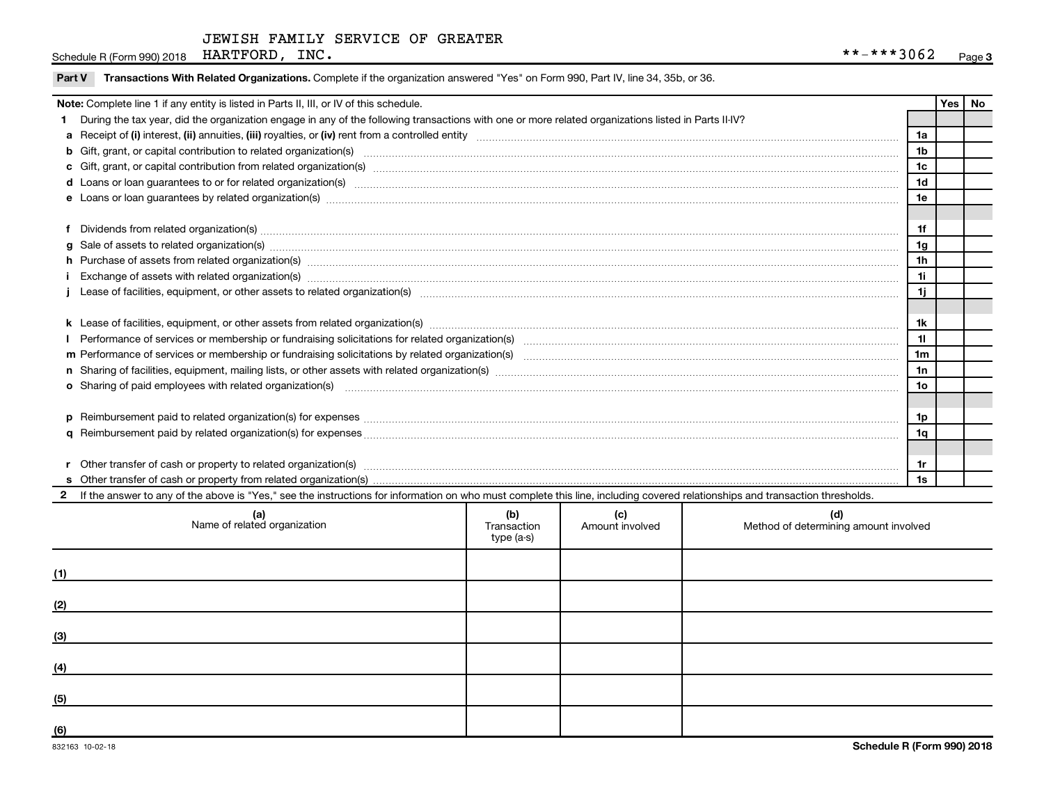Schedule R (Form 990) 2018 Page HARTFORD, INC. \*\*-\*\*\*3062

| Note: Complete line 1 if any entity is listed in Parts II, III, or IV of this schedule. |                                                                                                                                                                                                                                |                |     |    |  |  |  |
|-----------------------------------------------------------------------------------------|--------------------------------------------------------------------------------------------------------------------------------------------------------------------------------------------------------------------------------|----------------|-----|----|--|--|--|
|                                                                                         | During the tax year, did the organization engage in any of the following transactions with one or more related organizations listed in Parts II-IV?                                                                            |                | Yes | No |  |  |  |
|                                                                                         |                                                                                                                                                                                                                                | 1a             |     |    |  |  |  |
|                                                                                         |                                                                                                                                                                                                                                | 1b             |     |    |  |  |  |
|                                                                                         |                                                                                                                                                                                                                                | 1c             |     |    |  |  |  |
|                                                                                         | d Loans or loan guarantees to or for related organization(s) www.communically.communically content to an analyzing content of the content of the content of the content of the content of the content of the content of the co | 1 <sub>d</sub> |     |    |  |  |  |
|                                                                                         |                                                                                                                                                                                                                                | 1e             |     |    |  |  |  |
|                                                                                         |                                                                                                                                                                                                                                |                |     |    |  |  |  |
|                                                                                         | Dividends from related organization(s) www.andron.com/www.andron.com/www.andron.com/www.andron.com/www.andron.com/www.andron.com/www.andron.com/www.andron.com/www.andron.com/www.andron.com/www.andron.com/www.andron.com/www | 1f             |     |    |  |  |  |
| a                                                                                       | Sale of assets to related organization(s) material contents and content to the content of the content of the content of the content of the content of the content of the content of the content of the content of the content  | 1g             |     |    |  |  |  |
|                                                                                         | h Purchase of assets from related organization(s) manufactured content to content the content of assets from related organization(s) manufactured content to content the content of the content of the content of the content  | 1 <sub>h</sub> |     |    |  |  |  |
|                                                                                         | Exchange of assets with related organization(s) manufactured content and content and content and content and content and content and content and content and content and content and content and content and content and conte | 1i             |     |    |  |  |  |
|                                                                                         |                                                                                                                                                                                                                                | 1j             |     |    |  |  |  |
|                                                                                         |                                                                                                                                                                                                                                |                |     |    |  |  |  |
|                                                                                         |                                                                                                                                                                                                                                | 1k             |     |    |  |  |  |
|                                                                                         |                                                                                                                                                                                                                                | 11             |     |    |  |  |  |
|                                                                                         |                                                                                                                                                                                                                                | 1 <sub>m</sub> |     |    |  |  |  |
|                                                                                         |                                                                                                                                                                                                                                | 1n             |     |    |  |  |  |
|                                                                                         |                                                                                                                                                                                                                                | 1o             |     |    |  |  |  |
|                                                                                         |                                                                                                                                                                                                                                |                |     |    |  |  |  |
| <b>p</b>                                                                                | Reimbursement paid to related organization(s) for expenses [1111] Relation and the content of the content of the content of the content of the content of the content of the content of the content of the content of the cont | 1p             |     |    |  |  |  |
|                                                                                         |                                                                                                                                                                                                                                | 1q             |     |    |  |  |  |
|                                                                                         |                                                                                                                                                                                                                                |                |     |    |  |  |  |
|                                                                                         | Other transfer of cash or property to related organization(s) manufactured contains and contains and contains a set of cash or property to related organization(s) manufactured contains and contains a set of cash or propert | 1r             |     |    |  |  |  |
|                                                                                         |                                                                                                                                                                                                                                | 1s             |     |    |  |  |  |
|                                                                                         | If the answer to any of the above is "Yes," see the instructions for information on who must complete this line, including covered relationships and transaction thresholds.                                                   |                |     |    |  |  |  |

| (a)<br>Name of related organization | (b)<br>Transaction<br>type (a-s) | (c)<br>Amount involved | (d)<br>Method of determining amount involved |
|-------------------------------------|----------------------------------|------------------------|----------------------------------------------|
| (1)                                 |                                  |                        |                                              |
| (2)                                 |                                  |                        |                                              |
| (3)                                 |                                  |                        |                                              |
| (4)                                 |                                  |                        |                                              |
| (5)                                 |                                  |                        |                                              |
| (6)                                 |                                  |                        |                                              |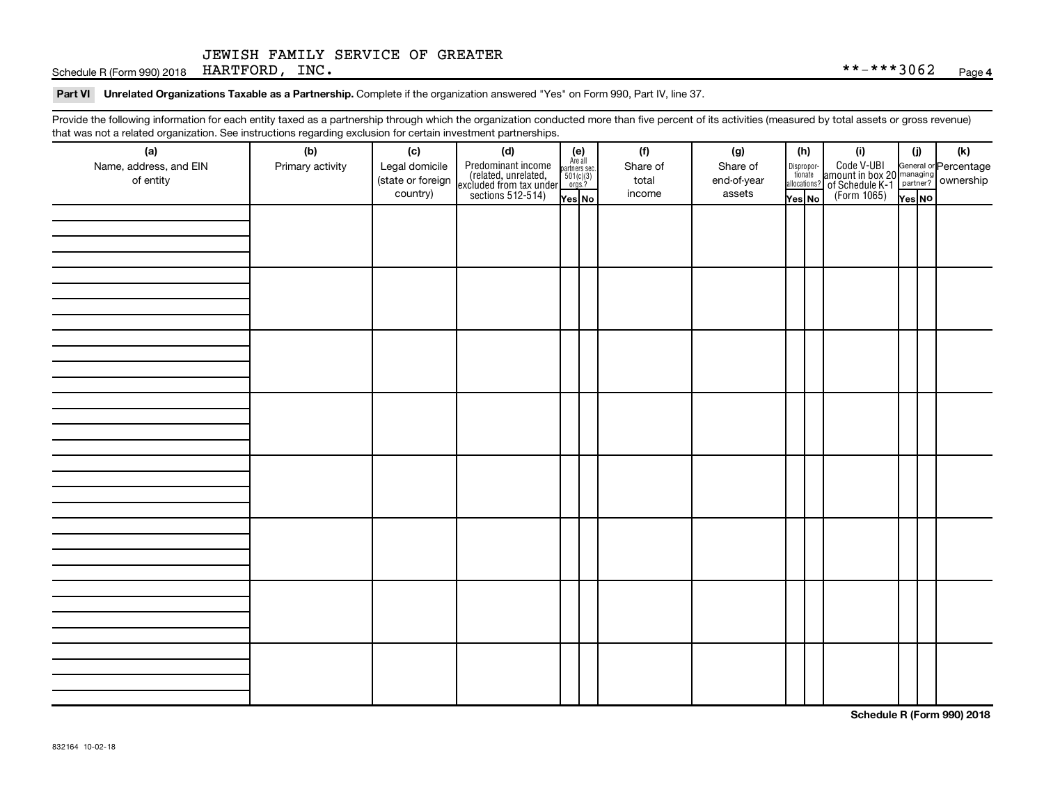Schedule R (Form 990) 2018 Page HARTFORD, INC. \*\*-\*\*\*3062

#### Part VI Unrelated Organizations Taxable as a Partnership. Complete if the organization answered "Yes" on Form 990, Part IV, line 37.

Provide the following information for each entity taxed as a partnership through which the organization conducted more than five percent of its activities (measured by total assets or gross revenue) that was not a related organization. See instructions regarding exclusion for certain investment partnerships.

| that was not a related erganization. Occupations regarding exclusion for cortain investment partnerships.<br>(a) | (b)              | (c)               |                                                                                                                                                                                                                                                                                                          |  | (f)      | (g)         | (h)                                                                                                                                       | (i)                                                                                                           | (i)    | $(\mathsf{k})$ |  |  |  |  |  |  |  |
|------------------------------------------------------------------------------------------------------------------|------------------|-------------------|----------------------------------------------------------------------------------------------------------------------------------------------------------------------------------------------------------------------------------------------------------------------------------------------------------|--|----------|-------------|-------------------------------------------------------------------------------------------------------------------------------------------|---------------------------------------------------------------------------------------------------------------|--------|----------------|--|--|--|--|--|--|--|
| Name, address, and EIN                                                                                           | Primary activity | Legal domicile    | (d)<br>Predominant income<br>(related, unrelated, $\begin{array}{ l l }\n\hline\n\text{Areal} & \text{Areaall} \\ \text{(related, unrelated, marked, 501(c)(3))} \\ \text{excluded from tax under } \frac{507(c)}{501(c)} \\ \hline\n\text{sections 512-514)} & \text{Yes } \text{N} \cdot\n\end{array}$ |  | Share of | Share of    |                                                                                                                                           |                                                                                                               |        |                |  |  |  |  |  |  |  |
| of entity                                                                                                        |                  | (state or foreign |                                                                                                                                                                                                                                                                                                          |  | total    | end-of-year | $\fbox{\parbox{0.5cm}{\begin{tabular}{ l l } \hline Disproportion} \\ \hline \text{tion} \\ \hline allocations? \\ \hline \end{tabular}}$ |                                                                                                               |        |                |  |  |  |  |  |  |  |
|                                                                                                                  |                  | country)          |                                                                                                                                                                                                                                                                                                          |  | income   | assets      | Yes No                                                                                                                                    | Code V-UBI<br>amount in box 20 managing<br>2 of Schedule K-1 partner?<br>(Form 1065)<br>$\frac{1}{\sqrt{10}}$ | Yes No |                |  |  |  |  |  |  |  |
|                                                                                                                  |                  |                   |                                                                                                                                                                                                                                                                                                          |  |          |             |                                                                                                                                           |                                                                                                               |        |                |  |  |  |  |  |  |  |
|                                                                                                                  |                  |                   |                                                                                                                                                                                                                                                                                                          |  |          |             |                                                                                                                                           |                                                                                                               |        |                |  |  |  |  |  |  |  |
|                                                                                                                  |                  |                   |                                                                                                                                                                                                                                                                                                          |  |          |             |                                                                                                                                           |                                                                                                               |        |                |  |  |  |  |  |  |  |
|                                                                                                                  |                  |                   |                                                                                                                                                                                                                                                                                                          |  |          |             |                                                                                                                                           |                                                                                                               |        |                |  |  |  |  |  |  |  |
|                                                                                                                  |                  |                   |                                                                                                                                                                                                                                                                                                          |  |          |             |                                                                                                                                           |                                                                                                               |        |                |  |  |  |  |  |  |  |
|                                                                                                                  |                  |                   |                                                                                                                                                                                                                                                                                                          |  |          |             |                                                                                                                                           |                                                                                                               |        |                |  |  |  |  |  |  |  |
|                                                                                                                  |                  |                   |                                                                                                                                                                                                                                                                                                          |  |          |             |                                                                                                                                           |                                                                                                               |        |                |  |  |  |  |  |  |  |
|                                                                                                                  |                  |                   |                                                                                                                                                                                                                                                                                                          |  |          |             |                                                                                                                                           |                                                                                                               |        |                |  |  |  |  |  |  |  |
|                                                                                                                  |                  |                   |                                                                                                                                                                                                                                                                                                          |  |          |             |                                                                                                                                           |                                                                                                               |        |                |  |  |  |  |  |  |  |
|                                                                                                                  |                  |                   |                                                                                                                                                                                                                                                                                                          |  |          |             |                                                                                                                                           |                                                                                                               |        |                |  |  |  |  |  |  |  |
|                                                                                                                  |                  |                   |                                                                                                                                                                                                                                                                                                          |  |          |             |                                                                                                                                           |                                                                                                               |        |                |  |  |  |  |  |  |  |
|                                                                                                                  |                  |                   |                                                                                                                                                                                                                                                                                                          |  |          |             |                                                                                                                                           |                                                                                                               |        |                |  |  |  |  |  |  |  |
|                                                                                                                  |                  |                   |                                                                                                                                                                                                                                                                                                          |  |          |             |                                                                                                                                           |                                                                                                               |        |                |  |  |  |  |  |  |  |
|                                                                                                                  |                  |                   |                                                                                                                                                                                                                                                                                                          |  |          |             |                                                                                                                                           |                                                                                                               |        |                |  |  |  |  |  |  |  |
|                                                                                                                  |                  |                   |                                                                                                                                                                                                                                                                                                          |  |          |             |                                                                                                                                           |                                                                                                               |        |                |  |  |  |  |  |  |  |
|                                                                                                                  |                  |                   |                                                                                                                                                                                                                                                                                                          |  |          |             |                                                                                                                                           |                                                                                                               |        |                |  |  |  |  |  |  |  |
|                                                                                                                  |                  |                   |                                                                                                                                                                                                                                                                                                          |  |          |             |                                                                                                                                           |                                                                                                               |        |                |  |  |  |  |  |  |  |
|                                                                                                                  |                  |                   |                                                                                                                                                                                                                                                                                                          |  |          |             |                                                                                                                                           |                                                                                                               |        |                |  |  |  |  |  |  |  |
|                                                                                                                  |                  |                   |                                                                                                                                                                                                                                                                                                          |  |          |             |                                                                                                                                           |                                                                                                               |        |                |  |  |  |  |  |  |  |
|                                                                                                                  |                  |                   |                                                                                                                                                                                                                                                                                                          |  |          |             |                                                                                                                                           |                                                                                                               |        |                |  |  |  |  |  |  |  |
|                                                                                                                  |                  |                   |                                                                                                                                                                                                                                                                                                          |  |          |             |                                                                                                                                           |                                                                                                               |        |                |  |  |  |  |  |  |  |
|                                                                                                                  |                  |                   |                                                                                                                                                                                                                                                                                                          |  |          |             |                                                                                                                                           |                                                                                                               |        |                |  |  |  |  |  |  |  |
|                                                                                                                  |                  |                   |                                                                                                                                                                                                                                                                                                          |  |          |             |                                                                                                                                           |                                                                                                               |        |                |  |  |  |  |  |  |  |
|                                                                                                                  |                  |                   |                                                                                                                                                                                                                                                                                                          |  |          |             |                                                                                                                                           |                                                                                                               |        |                |  |  |  |  |  |  |  |
|                                                                                                                  |                  |                   |                                                                                                                                                                                                                                                                                                          |  |          |             |                                                                                                                                           |                                                                                                               |        |                |  |  |  |  |  |  |  |
|                                                                                                                  |                  |                   |                                                                                                                                                                                                                                                                                                          |  |          |             |                                                                                                                                           |                                                                                                               |        |                |  |  |  |  |  |  |  |
|                                                                                                                  |                  |                   |                                                                                                                                                                                                                                                                                                          |  |          |             |                                                                                                                                           |                                                                                                               |        |                |  |  |  |  |  |  |  |
|                                                                                                                  |                  |                   |                                                                                                                                                                                                                                                                                                          |  |          |             |                                                                                                                                           |                                                                                                               |        |                |  |  |  |  |  |  |  |
|                                                                                                                  |                  |                   |                                                                                                                                                                                                                                                                                                          |  |          |             |                                                                                                                                           |                                                                                                               |        |                |  |  |  |  |  |  |  |
|                                                                                                                  |                  |                   |                                                                                                                                                                                                                                                                                                          |  |          |             |                                                                                                                                           |                                                                                                               |        |                |  |  |  |  |  |  |  |
|                                                                                                                  |                  |                   |                                                                                                                                                                                                                                                                                                          |  |          |             |                                                                                                                                           |                                                                                                               |        |                |  |  |  |  |  |  |  |
|                                                                                                                  |                  |                   |                                                                                                                                                                                                                                                                                                          |  |          |             |                                                                                                                                           |                                                                                                               |        |                |  |  |  |  |  |  |  |

**Schedule R (Form 990) 2018**